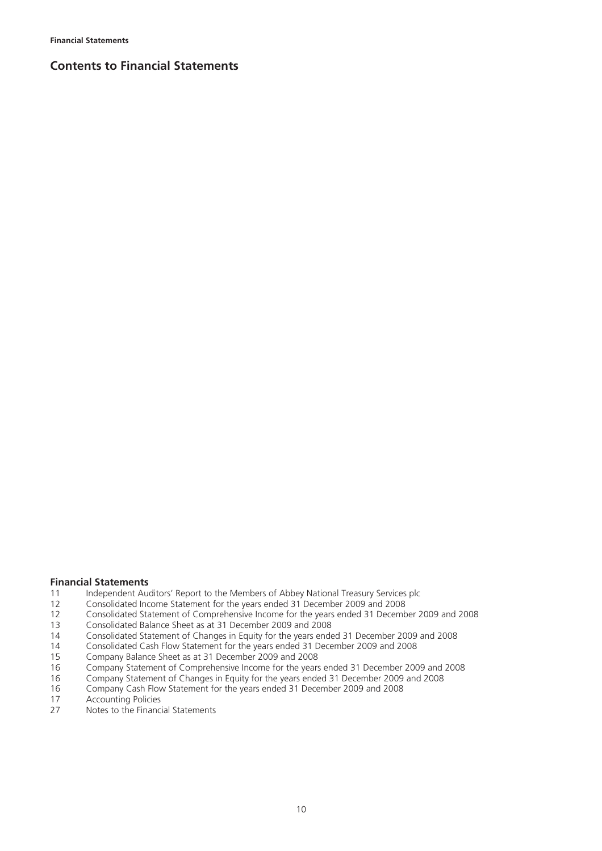## **Contents to Financial Statements**

# **Financial Statements**<br>11 **Independent Aug**

- 11 Independent Auditors' Report to the Members of Abbey National Treasury Services plc<br>12 Consolidated Income Statement for the years ended 31 December 2009 and 2008
- 12 Consolidated Income Statement for the years ended 31 December 2009 and 2008<br>12 Consolidated Statement of Comprehensive Income for the years ended 31 Decemb
- 12 Consolidated Statement of Comprehensive Income for the years ended 31 December 2009 and 2008<br>13 Consolidated Balance Sheet as at 31 December 2009 and 2008
- 13 Consolidated Balance Sheet as  $a$  31 December 2009 and 2008<br>14 Consolidated Statement of Changes in Equity for the years ende
- 14 Consolidated Statement of Changes in Equity for the years ended 31 December 2009 and 2008<br>14 Consolidated Cash Flow Statement for the years ended 31 December 2009 and 2008
- 14 Consolidated Cash Flow Statement for the years ended 31 December 2009 and 2008<br>15 Company Balance Sheet as at 31 December 2009 and 2008
- 15 Company Balance Sheet as at 31 December 2009 and 2008
- 16 Company Statement of Comprehensive Income for the years ended 31 December 2009 and 2008
- 16 Company Statement of Changes in Equity for the years ended 31 December 2009 and 2008
- 16 Company Cash Flow Statement for the years ended 31 December 2009 and 2008
- 17 Accounting Policies<br>27 Notes to the Financi
- Notes to the Financial Statements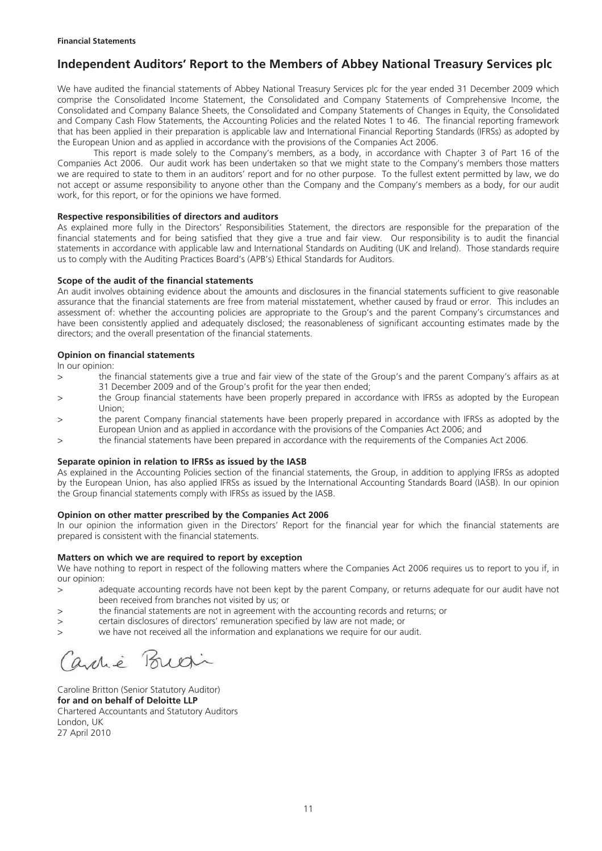## **Independent Auditors' Report to the Members of Abbey National Treasury Services plc**

We have audited the financial statements of Abbey National Treasury Services plc for the year ended 31 December 2009 which comprise the Consolidated Income Statement, the Consolidated and Company Statements of Comprehensive Income, the Consolidated and Company Balance Sheets, the Consolidated and Company Statements of Changes in Equity, the Consolidated and Company Cash Flow Statements, the Accounting Policies and the related Notes 1 to 46. The financial reporting framework that has been applied in their preparation is applicable law and International Financial Reporting Standards (IFRSs) as adopted by the European Union and as applied in accordance with the provisions of the Companies Act 2006.

This report is made solely to the Company's members, as a body, in accordance with Chapter 3 of Part 16 of the Companies Act 2006. Our audit work has been undertaken so that we might state to the Company's members those matters we are required to state to them in an auditors' report and for no other purpose. To the fullest extent permitted by law, we do not accept or assume responsibility to anyone other than the Company and the Company's members as a body, for our audit work, for this report, or for the opinions we have formed.

#### **Respective responsibilities of directors and auditors**

As explained more fully in the Directors' Responsibilities Statement, the directors are responsible for the preparation of the financial statements and for being satisfied that they give a true and fair view. Our responsibility is to audit the financial statements in accordance with applicable law and International Standards on Auditing (UK and Ireland). Those standards require us to comply with the Auditing Practices Board's (APB's) Ethical Standards for Auditors.

#### **Scope of the audit of the financial statements**

An audit involves obtaining evidence about the amounts and disclosures in the financial statements sufficient to give reasonable assurance that the financial statements are free from material misstatement, whether caused by fraud or error. This includes an assessment of: whether the accounting policies are appropriate to the Group's and the parent Company's circumstances and have been consistently applied and adequately disclosed; the reasonableness of significant accounting estimates made by the directors; and the overall presentation of the financial statements.

#### **Opinion on financial statements**

In our opinion:

- > the financial statements give a true and fair view of the state of the Group's and the parent Company's affairs as at 31 December 2009 and of the Group's profit for the year then ended;
- > the Group financial statements have been properly prepared in accordance with IFRSs as adopted by the European Union;
- > the parent Company financial statements have been properly prepared in accordance with IFRSs as adopted by the European Union and as applied in accordance with the provisions of the Companies Act 2006; and
- > the financial statements have been prepared in accordance with the requirements of the Companies Act 2006.

#### **Separate opinion in relation to IFRSs as issued by the IASB**

As explained in the Accounting Policies section of the financial statements, the Group, in addition to applying IFRSs as adopted by the European Union, has also applied IFRSs as issued by the International Accounting Standards Board (IASB). In our opinion the Group financial statements comply with IFRSs as issued by the IASB.

#### **Opinion on other matter prescribed by the Companies Act 2006**

In our opinion the information given in the Directors' Report for the financial year for which the financial statements are prepared is consistent with the financial statements.

#### **Matters on which we are required to report by exception**

We have nothing to report in respect of the following matters where the Companies Act 2006 requires us to report to you if, in our opinion:

- > adequate accounting records have not been kept by the parent Company, or returns adequate for our audit have not been received from branches not visited by us; or
- > the financial statements are not in agreement with the accounting records and returns; or
- > certain disclosures of directors' remuneration specified by law are not made; or
- > we have not received all the information and explanations we require for our audit.

anné

Caroline Britton (Senior Statutory Auditor) **for and on behalf of Deloitte LLP**  Chartered Accountants and Statutory Auditors London, UK 27 April 2010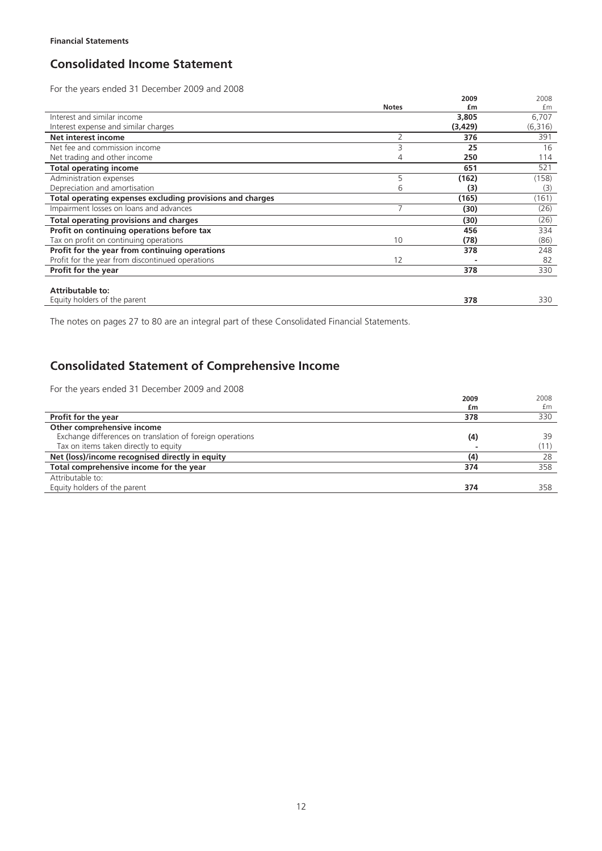## **Consolidated Income Statement**

For the years ended 31 December 2009 and 2008

| TOT the years ended ST December 2005 and 2000             |                |         |         |
|-----------------------------------------------------------|----------------|---------|---------|
|                                                           |                | 2009    | 2008    |
|                                                           | <b>Notes</b>   | £m      | £m      |
| Interest and similar income                               |                | 3,805   | 6,707   |
| Interest expense and similar charges                      |                | (3,429) | (6,316) |
| Net interest income                                       | 2              | 376     | 391     |
| Net fee and commission income                             |                | 25      | 16      |
| Net trading and other income                              | 4              | 250     | 114     |
| <b>Total operating income</b>                             |                | 651     | 521     |
| Administration expenses                                   | 5              | (162)   | (158)   |
| Depreciation and amortisation                             | 6              | (3)     | (3)     |
| Total operating expenses excluding provisions and charges |                | (165)   | (161)   |
| Impairment losses on loans and advances                   | $\overline{ }$ | (30)    | (26)    |
| <b>Total operating provisions and charges</b>             |                | (30)    | (26)    |
| Profit on continuing operations before tax                |                | 456     | 334     |
| Tax on profit on continuing operations                    | 10             | (78)    | (86)    |
| Profit for the year from continuing operations            |                | 378     | 248     |
| Profit for the year from discontinued operations          | 12             |         | 82      |
| Profit for the year                                       |                | 378     | 330     |
|                                                           |                |         |         |
| <b>Attributable to:</b>                                   |                |         |         |
| Equity holders of the parent                              |                | 378     | 330     |

The notes on pages 27 to 80 are an integral part of these Consolidated Financial Statements.

## **Consolidated Statement of Comprehensive Income**

For the years ended 31 December 2009 and 2008

| TOT the years chaca ST December 2005 and 2000             | 2009<br>£m         | 2008<br>£m |
|-----------------------------------------------------------|--------------------|------------|
| Profit for the year                                       | 378                | 330        |
| Other comprehensive income                                |                    |            |
| Exchange differences on translation of foreign operations | $\left( 4 \right)$ | 39         |
| Tax on items taken directly to equity                     |                    | (11)       |
| Net (loss)/income recognised directly in equity           | (4)                | 28         |
| Total comprehensive income for the year                   | 374                | 358        |
| Attributable to:                                          |                    |            |
| Equity holders of the parent                              | 374                | 358        |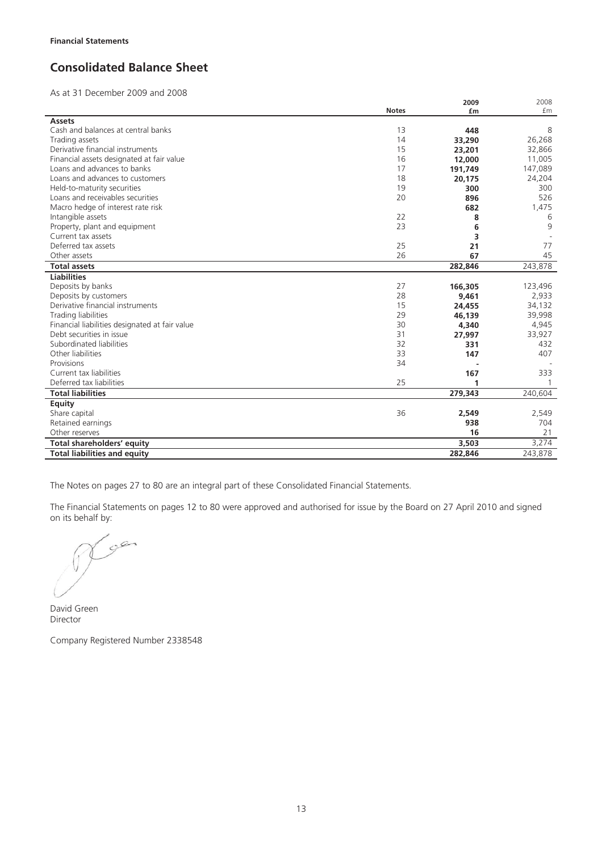## **Consolidated Balance Sheet**

As at 31 December 2009 and 2008

|                                                |              | 2009    | 2008    |
|------------------------------------------------|--------------|---------|---------|
|                                                | <b>Notes</b> | £m      | £m      |
| <b>Assets</b>                                  |              |         |         |
| Cash and balances at central banks             | 13           | 448     | 8       |
| Trading assets                                 | 14           | 33,290  | 26,268  |
| Derivative financial instruments               | 15           | 23,201  | 32,866  |
| Financial assets designated at fair value      | 16           | 12,000  | 11,005  |
| Loans and advances to banks                    | 17           | 191,749 | 147,089 |
| Loans and advances to customers                | 18           | 20,175  | 24,204  |
| Held-to-maturity securities                    | 19           | 300     | 300     |
| Loans and receivables securities               | 20           | 896     | 526     |
| Macro hedge of interest rate risk              |              | 682     | 1,475   |
| Intangible assets                              | 22           | 8       | 6       |
| Property, plant and equipment                  | 23           | 6       | 9       |
| Current tax assets                             |              | 3       |         |
| Deferred tax assets                            | 25           | 21      | 77      |
| Other assets                                   | 26           | 67      | 45      |
| <b>Total assets</b>                            |              | 282,846 | 243,878 |
| <b>Liabilities</b>                             |              |         |         |
| Deposits by banks                              | 27           | 166,305 | 123,496 |
| Deposits by customers                          | 28           | 9,461   | 2,933   |
| Derivative financial instruments               | 15           | 24,455  | 34,132  |
| Trading liabilities                            | 29           | 46,139  | 39,998  |
| Financial liabilities designated at fair value | 30           | 4,340   | 4,945   |
| Debt securities in issue                       | 31           | 27,997  | 33,927  |
| Subordinated liabilities                       | 32           | 331     | 432     |
| Other liabilities                              | 33           | 147     | 407     |
| Provisions                                     | 34           |         |         |
| Current tax liabilities                        |              | 167     | 333     |
| Deferred tax liabilities                       | 25           | 1       |         |
| <b>Total liabilities</b>                       |              | 279,343 | 240,604 |
| <b>Equity</b>                                  |              |         |         |
| Share capital                                  | 36           | 2,549   | 2,549   |
| Retained earnings                              |              | 938     | 704     |
| Other reserves                                 |              | 16      | 21      |
| Total shareholders' equity                     |              | 3,503   | 3,274   |
| <b>Total liabilities and equity</b>            |              | 282,846 | 243,878 |

The Notes on pages 27 to 80 are an integral part of these Consolidated Financial Statements.

The Financial Statements on pages 12 to 80 were approved and authorised for issue by the Board on 27 April 2010 and signed on its behalf by:

 $19e$ 

David Green Director

Company Registered Number 2338548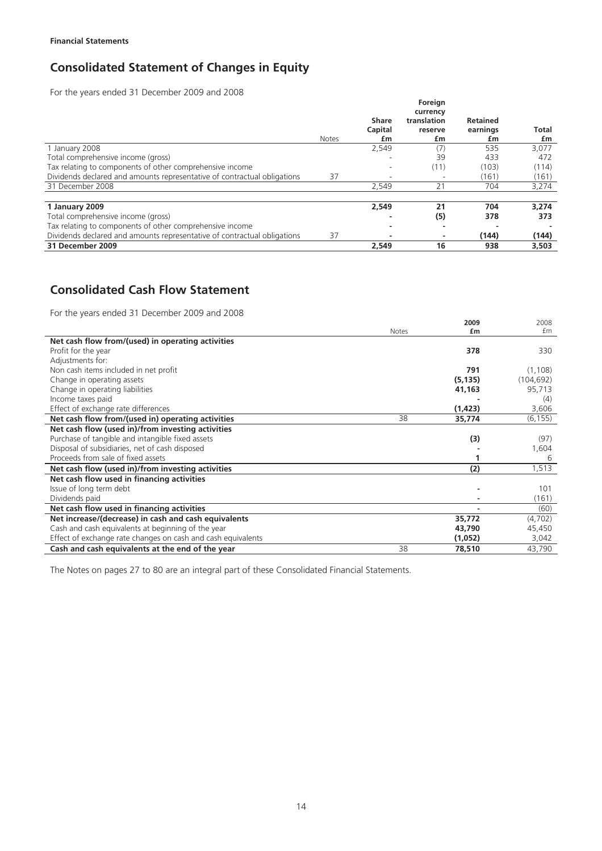## **Consolidated Statement of Changes in Equity**

For the years ended 31 December 2009 and 2008

|                                                                          |              |                          | Foreign                                  |                                   |                    |
|--------------------------------------------------------------------------|--------------|--------------------------|------------------------------------------|-----------------------------------|--------------------|
|                                                                          | <b>Notes</b> | Share<br>Capital<br>£m   | currency<br>translation<br>reserve<br>£m | <b>Retained</b><br>earnings<br>£m | <b>Total</b><br>£m |
| 1 January 2008                                                           |              | 2,549                    | (7)                                      | 535                               | 3,077              |
| Total comprehensive income (gross)                                       |              | ۰                        | 39                                       | 433                               | 472                |
| Tax relating to components of other comprehensive income                 |              |                          | (11)                                     | (103)                             | (114)              |
| Dividends declared and amounts representative of contractual obligations | 37           | $\overline{\phantom{a}}$ | $\overline{\phantom{a}}$                 | (161)                             | (161)              |
| 31 December 2008                                                         |              | 2,549                    | 21                                       | 704                               | 3,274              |
| 1 January 2009                                                           |              | 2,549                    | 21                                       | 704                               | 3.274              |
| Total comprehensive income (gross)                                       |              | ٠                        | (5)                                      | 378                               | 373                |
| Tax relating to components of other comprehensive income                 |              |                          |                                          |                                   |                    |
| Dividends declared and amounts representative of contractual obligations | 37           | $\overline{\phantom{a}}$ | ٠                                        | (144)                             | (144)              |
| 31 December 2009                                                         |              | 2.549                    | 16                                       | 938                               | 3,503              |

## **Consolidated Cash Flow Statement**

For the years ended 31 December 2009 and 2008

|                                                              | <b>Notes</b> | 2009<br>£m | 2008<br>fm |
|--------------------------------------------------------------|--------------|------------|------------|
| Net cash flow from/(used) in operating activities            |              |            |            |
| Profit for the year                                          |              | 378        | 330        |
| Adjustments for:                                             |              |            |            |
| Non cash items included in net profit                        |              | 791        | (1,108)    |
| Change in operating assets                                   |              | (5, 135)   | (104, 692) |
| Change in operating liabilities                              |              | 41,163     | 95,713     |
| Income taxes paid                                            |              |            | (4)        |
| Effect of exchange rate differences                          |              | (1, 423)   | 3,606      |
| Net cash flow from/(used in) operating activities            | 38           | 35,774     | (6, 155)   |
| Net cash flow (used in)/from investing activities            |              |            |            |
| Purchase of tangible and intangible fixed assets             |              | (3)        | (97)       |
| Disposal of subsidiaries, net of cash disposed               |              |            | 1,604      |
| Proceeds from sale of fixed assets                           |              |            | 6          |
| Net cash flow (used in)/from investing activities            |              | (2)        | 1,513      |
| Net cash flow used in financing activities                   |              |            |            |
| Issue of long term debt                                      |              |            | 101        |
| Dividends paid                                               |              |            | (161)      |
| Net cash flow used in financing activities                   |              |            | (60)       |
| Net increase/(decrease) in cash and cash equivalents         |              | 35,772     | (4,702)    |
| Cash and cash equivalents at beginning of the year           |              | 43,790     | 45,450     |
| Effect of exchange rate changes on cash and cash equivalents |              | (1,052)    | 3,042      |
| Cash and cash equivalents at the end of the year             | 38           | 78,510     | 43,790     |

2008

The Notes on pages 27 to 80 are an integral part of these Consolidated Financial Statements.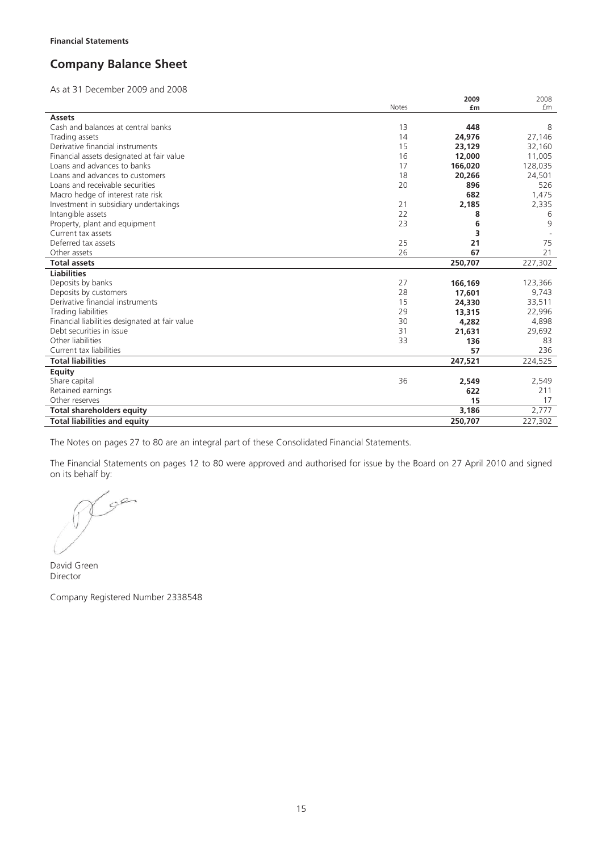## **Company Balance Sheet**

As at 31 December 2009 and 2008

|                                                |              | 2009    | 2008    |
|------------------------------------------------|--------------|---------|---------|
|                                                | <b>Notes</b> | £m      | £m      |
| <b>Assets</b>                                  |              |         |         |
| Cash and balances at central banks             | 13           | 448     | 8       |
| Trading assets                                 | 14           | 24,976  | 27,146  |
| Derivative financial instruments               | 15           | 23,129  | 32,160  |
| Financial assets designated at fair value      | 16           | 12,000  | 11,005  |
| Loans and advances to banks                    | 17           | 166,020 | 128,035 |
| Loans and advances to customers                | 18           | 20,266  | 24,501  |
| Loans and receivable securities                | 20           | 896     | 526     |
| Macro hedge of interest rate risk              |              | 682     | 1,475   |
| Investment in subsidiary undertakings          | 21           | 2,185   | 2,335   |
| Intangible assets                              | 22           | 8       | 6       |
| Property, plant and equipment                  | 23           | 6       | 9       |
| Current tax assets                             |              | 3       |         |
| Deferred tax assets                            | 25           | 21      | 75      |
| Other assets                                   | 26           | 67      | 21      |
| <b>Total assets</b>                            |              | 250,707 | 227,302 |
| <b>Liabilities</b>                             |              |         |         |
| Deposits by banks                              | 27           | 166,169 | 123,366 |
| Deposits by customers                          | 28           | 17,601  | 9,743   |
| Derivative financial instruments               | 15           | 24,330  | 33,511  |
| Trading liabilities                            | 29           | 13,315  | 22,996  |
| Financial liabilities designated at fair value | 30           | 4,282   | 4,898   |
| Debt securities in issue                       | 31           | 21,631  | 29,692  |
| Other liabilities                              | 33           | 136     | 83      |
| Current tax liabilities                        |              | 57      | 236     |
| <b>Total liabilities</b>                       |              | 247,521 | 224,525 |
| <b>Equity</b>                                  |              |         |         |
| Share capital                                  | 36           | 2,549   | 2,549   |
| Retained earnings                              |              | 622     | 211     |
| Other reserves                                 |              | 15      | 17      |
| <b>Total shareholders equity</b>               |              | 3,186   | 2,777   |
| <b>Total liabilities and equity</b>            |              | 250,707 | 227,302 |

The Notes on pages 27 to 80 are an integral part of these Consolidated Financial Statements.

The Financial Statements on pages 12 to 80 were approved and authorised for issue by the Board on 27 April 2010 and signed on its behalf by:

gen

David Green Director

Company Registered Number 2338548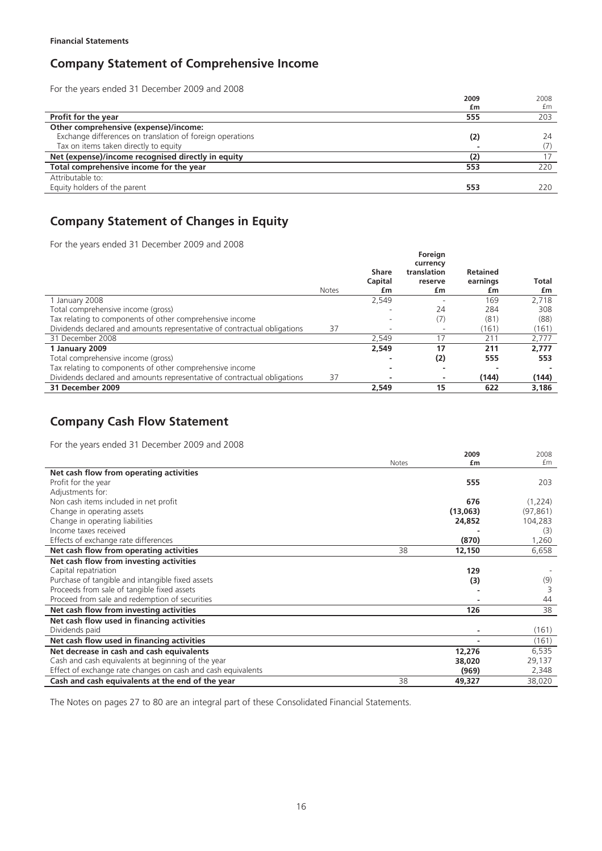## **Company Statement of Comprehensive Income**

For the years ended 31 December 2009 and 2008

|                                                           | 2009 | 2008 |
|-----------------------------------------------------------|------|------|
|                                                           | £m   | £m   |
| <b>Profit for the year</b>                                | 555  | 203  |
| Other comprehensive (expense)/income:                     |      |      |
| Exchange differences on translation of foreign operations | (2)  | 24   |
| Tax on items taken directly to equity                     |      |      |
| Net (expense)/income recognised directly in equity        |      | 17   |
| Total comprehensive income for the year                   | 553  | 220  |
| Attributable to:                                          |      |      |
| Equity holders of the parent                              | 553  | 220  |
|                                                           |      |      |

## **Company Statement of Changes in Equity**

For the years ended 31 December 2009 and 2008

|                                                                          |              |                          | Foreign                  |                 |       |
|--------------------------------------------------------------------------|--------------|--------------------------|--------------------------|-----------------|-------|
|                                                                          |              |                          | currency                 |                 |       |
|                                                                          |              | <b>Share</b>             | translation              | <b>Retained</b> |       |
|                                                                          |              | Capital                  | reserve                  | earnings        | Total |
|                                                                          | <b>Notes</b> | £m                       | £m                       | £m              | £m    |
| 1 January 2008                                                           |              | 2,549                    |                          | 169             | 2,718 |
| Total comprehensive income (gross)                                       |              | -                        | 24                       | 284             | 308   |
| Tax relating to components of other comprehensive income                 |              |                          | (7)                      | (81)            | (88)  |
| Dividends declared and amounts representative of contractual obligations | 37           | $\overline{\phantom{a}}$ | $\overline{\phantom{a}}$ | (161)           | (161) |
| 31 December 2008                                                         |              | 2,549                    |                          | 211             | 2,777 |
| 1 January 2009                                                           |              | 2,549                    | 17                       | 211             | 2.777 |
| Total comprehensive income (gross)                                       |              |                          | (2)                      | 555             | 553   |
| Tax relating to components of other comprehensive income                 |              |                          |                          |                 |       |
| Dividends declared and amounts representative of contractual obligations | 37           | -                        |                          | (144)           | (144) |
| 31 December 2009                                                         |              | 2.549                    | 15                       | 622             | 3,186 |

## **Company Cash Flow Statement**

For the years ended 31 December 2009 and 2008

| TOT the years ended ST December 2005 and 2000                |       |            |            |
|--------------------------------------------------------------|-------|------------|------------|
|                                                              | Notes | 2009<br>£m | 2008<br>£m |
| Net cash flow from operating activities                      |       |            |            |
| Profit for the year                                          |       | 555        | 203        |
| Adjustments for:                                             |       |            |            |
| Non cash items included in net profit                        |       | 676        | (1,224)    |
| Change in operating assets                                   |       | (13,063)   | (97, 861)  |
| Change in operating liabilities                              |       | 24,852     | 104,283    |
| Income taxes received                                        |       |            | (3)        |
| Effects of exchange rate differences                         |       | (870)      | 1,260      |
| Net cash flow from operating activities                      | 38    | 12,150     | 6,658      |
| Net cash flow from investing activities                      |       |            |            |
| Capital repatriation                                         |       | 129        |            |
| Purchase of tangible and intangible fixed assets             |       | (3)        | (9)        |
| Proceeds from sale of tangible fixed assets                  |       |            |            |
| Proceed from sale and redemption of securities               |       |            | 44         |
| Net cash flow from investing activities                      |       | 126        | 38         |
| Net cash flow used in financing activities                   |       |            |            |
| Dividends paid                                               |       |            | (161)      |
| Net cash flow used in financing activities                   |       |            | (161)      |
| Net decrease in cash and cash equivalents                    |       | 12,276     | 6,535      |
| Cash and cash equivalents at beginning of the year           |       | 38,020     | 29,137     |
| Effect of exchange rate changes on cash and cash equivalents |       | (969)      | 2,348      |
| Cash and cash equivalents at the end of the year             | 38    | 49,327     | 38,020     |

The Notes on pages 27 to 80 are an integral part of these Consolidated Financial Statements.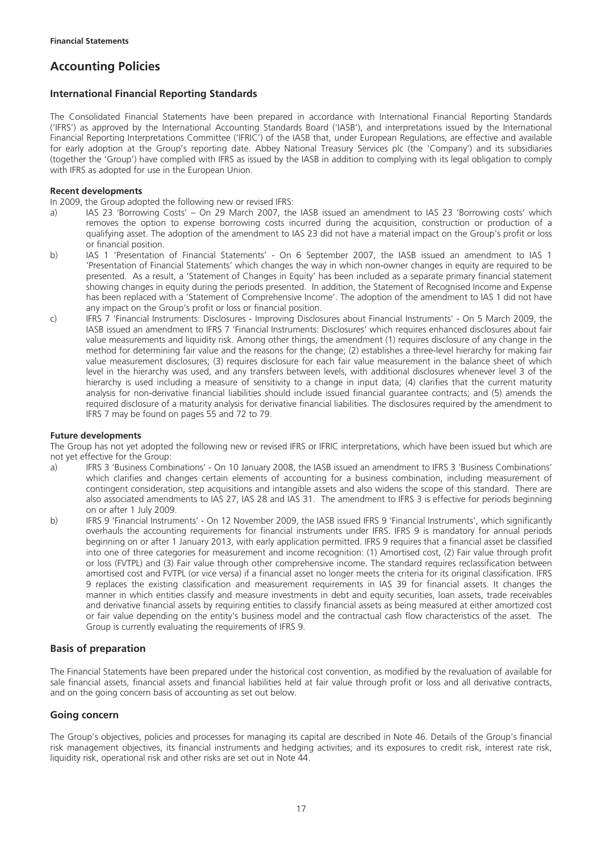## **Accounting Policies**

## **International Financial Reporting Standards**

The Consolidated Financial Statements have been prepared in accordance with International Financial Reporting Standards ('IFRS') as approved by the International Accounting Standards Board ('IASB'), and interpretations issued by the International Financial Reporting Interpretations Committee ('IFRIC') of the IASB that, under European Regulations, are effective and available for early adoption at the Group's reporting date. Abbey National Treasury Services plc (the 'Company') and its subsidiaries (together the 'Group') have complied with IFRS as issued by the IASB in addition to complying with its legal obligation to comply with IFRS as adopted for use in the European Union.

### **Recent developments**

In 2009, the Group adopted the following new or revised IFRS:

- a) IAS 23 'Borrowing Costs' On 29 March 2007, the IASB issued an amendment to IAS 23 'Borrowing costs' which removes the option to expense borrowing costs incurred during the acquisition, construction or production of a qualifying asset. The adoption of the amendment to IAS 23 did not have a material impact on the Group's profit or loss or financial position.
- b) IAS 1 'Presentation of Financial Statements' On 6 September 2007, the IASB issued an amendment to IAS 1 'Presentation of Financial Statements' which changes the way in which non-owner changes in equity are required to be presented. As a result, a 'Statement of Changes in Equity' has been included as a separate primary financial statement showing changes in equity during the periods presented. In addition, the Statement of Recognised Income and Expense has been replaced with a 'Statement of Comprehensive Income'. The adoption of the amendment to IAS 1 did not have any impact on the Group's profit or loss or financial position.
- c) IFRS 7 'Financial Instruments: Disclosures Improving Disclosures about Financial Instruments' On 5 March 2009, the IASB issued an amendment to IFRS 7 'Financial Instruments: Disclosures' which requires enhanced disclosures about fair value measurements and liquidity risk. Among other things, the amendment (1) requires disclosure of any change in the method for determining fair value and the reasons for the change; (2) establishes a three-level hierarchy for making fair value measurement disclosures; (3) requires disclosure for each fair value measurement in the balance sheet of which level in the hierarchy was used, and any transfers between levels, with additional disclosures whenever level 3 of the hierarchy is used including a measure of sensitivity to a change in input data; (4) clarifies that the current maturity analysis for non-derivative financial liabilities should include issued financial guarantee contracts; and (5) amends the required disclosure of a maturity analysis for derivative financial liabilities. The disclosures required by the amendment to IFRS 7 may be found on pages 55 and 72 to 79.

### **Future developments**

The Group has not yet adopted the following new or revised IFRS or IFRIC interpretations, which have been issued but which are not yet effective for the Group:

- a) IFRS 3 'Business Combinations' On 10 January 2008, the IASB issued an amendment to IFRS 3 'Business Combinations' which clarifies and changes certain elements of accounting for a business combination, including measurement of contingent consideration, step acquisitions and intangible assets and also widens the scope of this standard. There are also associated amendments to IAS 27, IAS 28 and IAS 31. The amendment to IFRS 3 is effective for periods beginning on or after 1 July 2009.
- b) IFRS 9 'Financial Instruments' On 12 November 2009, the IASB issued IFRS 9 'Financial Instruments', which significantly overhauls the accounting requirements for financial instruments under IFRS. IFRS 9 is mandatory for annual periods beginning on or after 1 January 2013, with early application permitted. IFRS 9 requires that a financial asset be classified into one of three categories for measurement and income recognition: (1) Amortised cost, (2) Fair value through profit or loss (FVTPL) and (3) Fair value through other comprehensive income. The standard requires reclassification between amortised cost and FVTPL (or vice versa) if a financial asset no longer meets the criteria for its original classification. IFRS 9 replaces the existing classification and measurement requirements in IAS 39 for financial assets. It changes the manner in which entities classify and measure investments in debt and equity securities, loan assets, trade receivables and derivative financial assets by requiring entities to classify financial assets as being measured at either amortized cost or fair value depending on the entity's business model and the contractual cash flow characteristics of the asset. The Group is currently evaluating the requirements of IFRS 9.

## **Basis of preparation**

The Financial Statements have been prepared under the historical cost convention, as modified by the revaluation of available for sale financial assets, financial assets and financial liabilities held at fair value through profit or loss and all derivative contracts, and on the going concern basis of accounting as set out below.

### **Going concern**

The Group's objectives, policies and processes for managing its capital are described in Note 46. Details of the Group's financial risk management objectives, its financial instruments and hedging activities; and its exposures to credit risk, interest rate risk, liquidity risk, operational risk and other risks are set out in Note 44.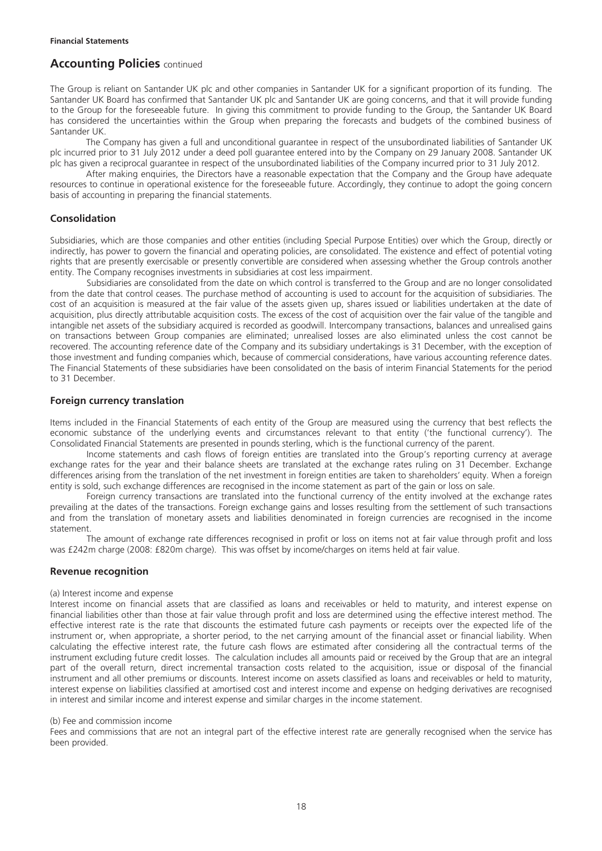The Group is reliant on Santander UK plc and other companies in Santander UK for a significant proportion of its funding. The Santander UK Board has confirmed that Santander UK plc and Santander UK are going concerns, and that it will provide funding to the Group for the foreseeable future. In giving this commitment to provide funding to the Group, the Santander UK Board has considered the uncertainties within the Group when preparing the forecasts and budgets of the combined business of Santander UK.

The Company has given a full and unconditional guarantee in respect of the unsubordinated liabilities of Santander UK plc incurred prior to 31 July 2012 under a deed poll guarantee entered into by the Company on 29 January 2008. Santander UK plc has given a reciprocal guarantee in respect of the unsubordinated liabilities of the Company incurred prior to 31 July 2012.

After making enquiries, the Directors have a reasonable expectation that the Company and the Group have adequate resources to continue in operational existence for the foreseeable future. Accordingly, they continue to adopt the going concern basis of accounting in preparing the financial statements.

## **Consolidation**

Subsidiaries, which are those companies and other entities (including Special Purpose Entities) over which the Group, directly or indirectly, has power to govern the financial and operating policies, are consolidated. The existence and effect of potential voting rights that are presently exercisable or presently convertible are considered when assessing whether the Group controls another entity. The Company recognises investments in subsidiaries at cost less impairment.

Subsidiaries are consolidated from the date on which control is transferred to the Group and are no longer consolidated from the date that control ceases. The purchase method of accounting is used to account for the acquisition of subsidiaries. The cost of an acquisition is measured at the fair value of the assets given up, shares issued or liabilities undertaken at the date of acquisition, plus directly attributable acquisition costs. The excess of the cost of acquisition over the fair value of the tangible and intangible net assets of the subsidiary acquired is recorded as goodwill. Intercompany transactions, balances and unrealised gains on transactions between Group companies are eliminated; unrealised losses are also eliminated unless the cost cannot be recovered. The accounting reference date of the Company and its subsidiary undertakings is 31 December, with the exception of those investment and funding companies which, because of commercial considerations, have various accounting reference dates. The Financial Statements of these subsidiaries have been consolidated on the basis of interim Financial Statements for the period to 31 December.

## **Foreign currency translation**

Items included in the Financial Statements of each entity of the Group are measured using the currency that best reflects the economic substance of the underlying events and circumstances relevant to that entity ('the functional currency'). The Consolidated Financial Statements are presented in pounds sterling, which is the functional currency of the parent.

Income statements and cash flows of foreign entities are translated into the Group's reporting currency at average exchange rates for the year and their balance sheets are translated at the exchange rates ruling on 31 December. Exchange differences arising from the translation of the net investment in foreign entities are taken to shareholders' equity. When a foreign entity is sold, such exchange differences are recognised in the income statement as part of the gain or loss on sale.

Foreign currency transactions are translated into the functional currency of the entity involved at the exchange rates prevailing at the dates of the transactions. Foreign exchange gains and losses resulting from the settlement of such transactions and from the translation of monetary assets and liabilities denominated in foreign currencies are recognised in the income statement.

The amount of exchange rate differences recognised in profit or loss on items not at fair value through profit and loss was £242m charge (2008: £820m charge). This was offset by income/charges on items held at fair value.

### **Revenue recognition**

#### (a) Interest income and expense

Interest income on financial assets that are classified as loans and receivables or held to maturity, and interest expense on financial liabilities other than those at fair value through profit and loss are determined using the effective interest method. The effective interest rate is the rate that discounts the estimated future cash payments or receipts over the expected life of the instrument or, when appropriate, a shorter period, to the net carrying amount of the financial asset or financial liability. When calculating the effective interest rate, the future cash flows are estimated after considering all the contractual terms of the instrument excluding future credit losses. The calculation includes all amounts paid or received by the Group that are an integral part of the overall return, direct incremental transaction costs related to the acquisition, issue or disposal of the financial instrument and all other premiums or discounts. Interest income on assets classified as loans and receivables or held to maturity, interest expense on liabilities classified at amortised cost and interest income and expense on hedging derivatives are recognised in interest and similar income and interest expense and similar charges in the income statement.

### (b) Fee and commission income

Fees and commissions that are not an integral part of the effective interest rate are generally recognised when the service has been provided.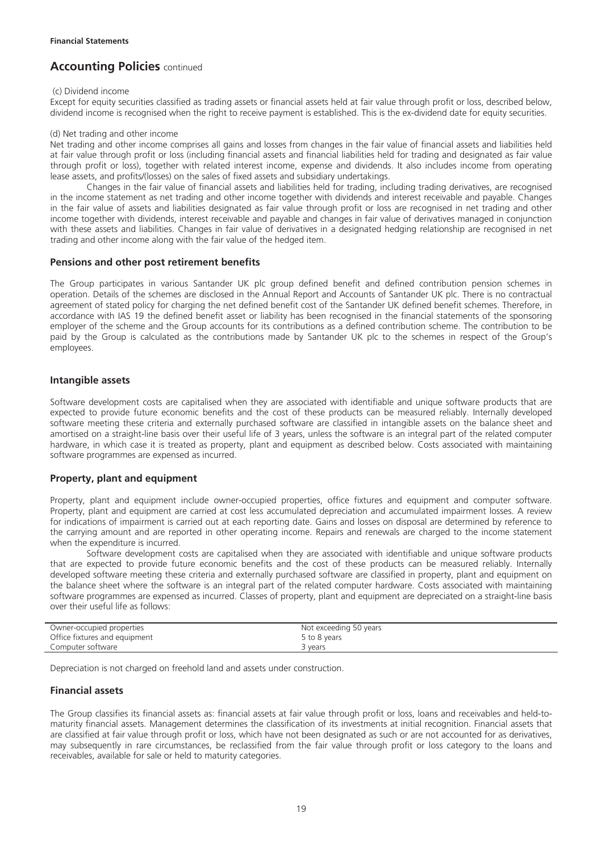### (c) Dividend income

Except for equity securities classified as trading assets or financial assets held at fair value through profit or loss, described below, dividend income is recognised when the right to receive payment is established. This is the ex-dividend date for equity securities.

#### (d) Net trading and other income

Net trading and other income comprises all gains and losses from changes in the fair value of financial assets and liabilities held at fair value through profit or loss (including financial assets and financial liabilities held for trading and designated as fair value through profit or loss), together with related interest income, expense and dividends. It also includes income from operating lease assets, and profits/(losses) on the sales of fixed assets and subsidiary undertakings.

Changes in the fair value of financial assets and liabilities held for trading, including trading derivatives, are recognised in the income statement as net trading and other income together with dividends and interest receivable and payable. Changes in the fair value of assets and liabilities designated as fair value through profit or loss are recognised in net trading and other income together with dividends, interest receivable and payable and changes in fair value of derivatives managed in conjunction with these assets and liabilities. Changes in fair value of derivatives in a designated hedging relationship are recognised in net trading and other income along with the fair value of the hedged item.

## **Pensions and other post retirement benefits**

The Group participates in various Santander UK plc group defined benefit and defined contribution pension schemes in operation. Details of the schemes are disclosed in the Annual Report and Accounts of Santander UK plc. There is no contractual agreement of stated policy for charging the net defined benefit cost of the Santander UK defined benefit schemes. Therefore, in accordance with IAS 19 the defined benefit asset or liability has been recognised in the financial statements of the sponsoring employer of the scheme and the Group accounts for its contributions as a defined contribution scheme. The contribution to be paid by the Group is calculated as the contributions made by Santander UK plc to the schemes in respect of the Group's employees.

## **Intangible assets**

Software development costs are capitalised when they are associated with identifiable and unique software products that are expected to provide future economic benefits and the cost of these products can be measured reliably. Internally developed software meeting these criteria and externally purchased software are classified in intangible assets on the balance sheet and amortised on a straight-line basis over their useful life of 3 years, unless the software is an integral part of the related computer hardware, in which case it is treated as property, plant and equipment as described below. Costs associated with maintaining software programmes are expensed as incurred.

## **Property, plant and equipment**

Property, plant and equipment include owner-occupied properties, office fixtures and equipment and computer software. Property, plant and equipment are carried at cost less accumulated depreciation and accumulated impairment losses. A review for indications of impairment is carried out at each reporting date. Gains and losses on disposal are determined by reference to the carrying amount and are reported in other operating income. Repairs and renewals are charged to the income statement when the expenditure is incurred.

Software development costs are capitalised when they are associated with identifiable and unique software products that are expected to provide future economic benefits and the cost of these products can be measured reliably. Internally developed software meeting these criteria and externally purchased software are classified in property, plant and equipment on the balance sheet where the software is an integral part of the related computer hardware. Costs associated with maintaining software programmes are expensed as incurred. Classes of property, plant and equipment are depreciated on a straight-line basis over their useful life as follows:

| Owner-occupied properties     | Not exceeding 50 years |
|-------------------------------|------------------------|
| Office fixtures and equipment | 5 to 8 years           |
| Computer software             | 3 years                |

Depreciation is not charged on freehold land and assets under construction.

## **Financial assets**

The Group classifies its financial assets as: financial assets at fair value through profit or loss, loans and receivables and held-tomaturity financial assets. Management determines the classification of its investments at initial recognition. Financial assets that are classified at fair value through profit or loss, which have not been designated as such or are not accounted for as derivatives, may subsequently in rare circumstances, be reclassified from the fair value through profit or loss category to the loans and receivables, available for sale or held to maturity categories.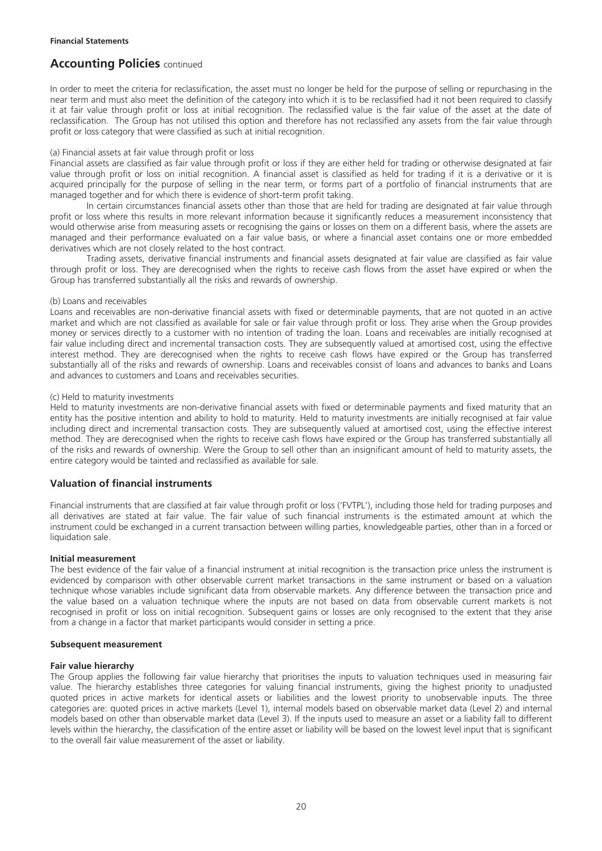In order to meet the criteria for reclassification, the asset must no longer be held for the purpose of selling or repurchasing in the near term and must also meet the definition of the category into which it is to be reclassified had it not been required to classify it at fair value through profit or loss at initial recognition. The reclassified value is the fair value of the asset at the date of reclassification. The Group has not utilised this option and therefore has not reclassified any assets from the fair value through profit or loss category that were classified as such at initial recognition.

#### (a) Financial assets at fair value through profit or loss

Financial assets are classified as fair value through profit or loss if they are either held for trading or otherwise designated at fair value through profit or loss on initial recognition. A financial asset is classified as held for trading if it is a derivative or it is acquired principally for the purpose of selling in the near term, or forms part of a portfolio of financial instruments that are managed together and for which there is evidence of short-term profit taking.

In certain circumstances financial assets other than those that are held for trading are designated at fair value through profit or loss where this results in more relevant information because it significantly reduces a measurement inconsistency that would otherwise arise from measuring assets or recognising the gains or losses on them on a different basis, where the assets are managed and their performance evaluated on a fair value basis, or where a financial asset contains one or more embedded derivatives which are not closely related to the host contract.

Trading assets, derivative financial instruments and financial assets designated at fair value are classified as fair value through profit or loss. They are derecognised when the rights to receive cash flows from the asset have expired or when the Group has transferred substantially all the risks and rewards of ownership.

#### (b) Loans and receivables

Loans and receivables are non-derivative financial assets with fixed or determinable payments, that are not quoted in an active market and which are not classified as available for sale or fair value through profit or loss. They arise when the Group provides money or services directly to a customer with no intention of trading the loan. Loans and receivables are initially recognised at fair value including direct and incremental transaction costs. They are subsequently valued at amortised cost, using the effective interest method. They are derecognised when the rights to receive cash flows have expired or the Group has transferred substantially all of the risks and rewards of ownership. Loans and receivables consist of loans and advances to banks and Loans and advances to customers and Loans and receivables securities.

#### (c) Held to maturity investments

Held to maturity investments are non-derivative financial assets with fixed or determinable payments and fixed maturity that an entity has the positive intention and ability to hold to maturity. Held to maturity investments are initially recognised at fair value including direct and incremental transaction costs. They are subsequently valued at amortised cost, using the effective interest method. They are derecognised when the rights to receive cash flows have expired or the Group has transferred substantially all of the risks and rewards of ownership. Were the Group to sell other than an insignificant amount of held to maturity assets, the entire category would be tainted and reclassified as available for sale.

### **Valuation of financial instruments**

Financial instruments that are classified at fair value through profit or loss ('FVTPL'), including those held for trading purposes and all derivatives are stated at fair value. The fair value of such financial instruments is the estimated amount at which the instrument could be exchanged in a current transaction between willing parties, knowledgeable parties, other than in a forced or liquidation sale.

#### **Initial measurement**

The best evidence of the fair value of a financial instrument at initial recognition is the transaction price unless the instrument is evidenced by comparison with other observable current market transactions in the same instrument or based on a valuation technique whose variables include significant data from observable markets. Any difference between the transaction price and the value based on a valuation technique where the inputs are not based on data from observable current markets is not recognised in profit or loss on initial recognition. Subsequent gains or losses are only recognised to the extent that they arise from a change in a factor that market participants would consider in setting a price.

#### **Subsequent measurement**

### **Fair value hierarchy**

The Group applies the following fair value hierarchy that prioritises the inputs to valuation techniques used in measuring fair value. The hierarchy establishes three categories for valuing financial instruments, giving the highest priority to unadjusted quoted prices in active markets for identical assets or liabilities and the lowest priority to unobservable inputs. The three categories are: quoted prices in active markets (Level 1), internal models based on observable market data (Level 2) and internal models based on other than observable market data (Level 3). If the inputs used to measure an asset or a liability fall to different levels within the hierarchy, the classification of the entire asset or liability will be based on the lowest level input that is significant to the overall fair value measurement of the asset or liability.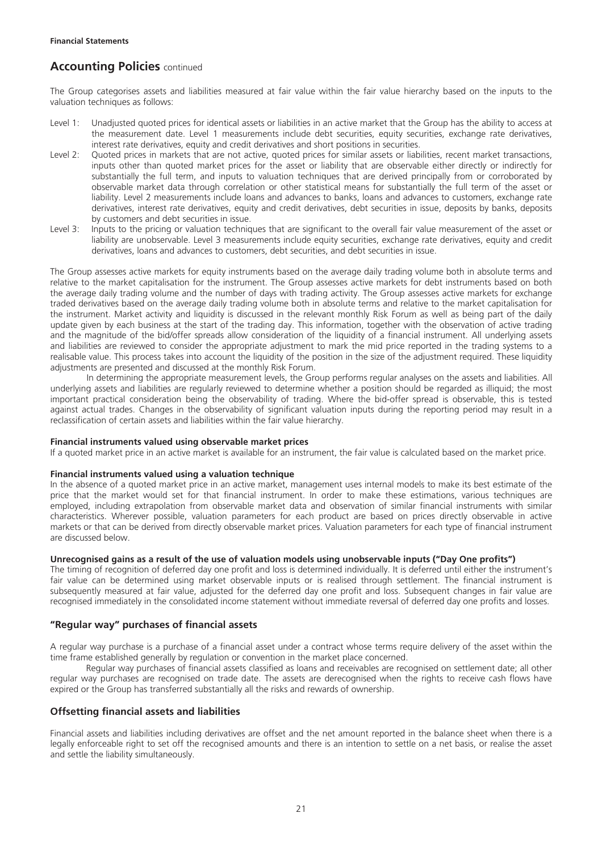The Group categorises assets and liabilities measured at fair value within the fair value hierarchy based on the inputs to the valuation techniques as follows:

- Level 1: Unadjusted quoted prices for identical assets or liabilities in an active market that the Group has the ability to access at the measurement date. Level 1 measurements include debt securities, equity securities, exchange rate derivatives, interest rate derivatives, equity and credit derivatives and short positions in securities.
- Level 2: Quoted prices in markets that are not active, quoted prices for similar assets or liabilities, recent market transactions, inputs other than quoted market prices for the asset or liability that are observable either directly or indirectly for substantially the full term, and inputs to valuation techniques that are derived principally from or corroborated by observable market data through correlation or other statistical means for substantially the full term of the asset or liability. Level 2 measurements include loans and advances to banks, loans and advances to customers, exchange rate derivatives, interest rate derivatives, equity and credit derivatives, debt securities in issue, deposits by banks, deposits by customers and debt securities in issue.
- Level 3: Inputs to the pricing or valuation techniques that are significant to the overall fair value measurement of the asset or liability are unobservable. Level 3 measurements include equity securities, exchange rate derivatives, equity and credit derivatives, loans and advances to customers, debt securities, and debt securities in issue.

The Group assesses active markets for equity instruments based on the average daily trading volume both in absolute terms and relative to the market capitalisation for the instrument. The Group assesses active markets for debt instruments based on both the average daily trading volume and the number of days with trading activity. The Group assesses active markets for exchange traded derivatives based on the average daily trading volume both in absolute terms and relative to the market capitalisation for the instrument. Market activity and liquidity is discussed in the relevant monthly Risk Forum as well as being part of the daily update given by each business at the start of the trading day. This information, together with the observation of active trading and the magnitude of the bid/offer spreads allow consideration of the liquidity of a financial instrument. All underlying assets and liabilities are reviewed to consider the appropriate adjustment to mark the mid price reported in the trading systems to a realisable value. This process takes into account the liquidity of the position in the size of the adjustment required. These liquidity adjustments are presented and discussed at the monthly Risk Forum.

In determining the appropriate measurement levels, the Group performs regular analyses on the assets and liabilities. All underlying assets and liabilities are regularly reviewed to determine whether a position should be regarded as illiquid; the most important practical consideration being the observability of trading. Where the bid-offer spread is observable, this is tested against actual trades. Changes in the observability of significant valuation inputs during the reporting period may result in a reclassification of certain assets and liabilities within the fair value hierarchy.

#### **Financial instruments valued using observable market prices**

If a quoted market price in an active market is available for an instrument, the fair value is calculated based on the market price.

#### **Financial instruments valued using a valuation technique**

In the absence of a quoted market price in an active market, management uses internal models to make its best estimate of the price that the market would set for that financial instrument. In order to make these estimations, various techniques are employed, including extrapolation from observable market data and observation of similar financial instruments with similar characteristics. Wherever possible, valuation parameters for each product are based on prices directly observable in active markets or that can be derived from directly observable market prices. Valuation parameters for each type of financial instrument are discussed below.

### **Unrecognised gains as a result of the use of valuation models using unobservable inputs ("Day One profits")**

The timing of recognition of deferred day one profit and loss is determined individually. It is deferred until either the instrument's fair value can be determined using market observable inputs or is realised through settlement. The financial instrument is subsequently measured at fair value, adjusted for the deferred day one profit and loss. Subsequent changes in fair value are recognised immediately in the consolidated income statement without immediate reversal of deferred day one profits and losses.

### **"Regular way" purchases of financial assets**

A regular way purchase is a purchase of a financial asset under a contract whose terms require delivery of the asset within the time frame established generally by regulation or convention in the market place concerned.

Regular way purchases of financial assets classified as loans and receivables are recognised on settlement date; all other regular way purchases are recognised on trade date. The assets are derecognised when the rights to receive cash flows have expired or the Group has transferred substantially all the risks and rewards of ownership.

### **Offsetting financial assets and liabilities**

Financial assets and liabilities including derivatives are offset and the net amount reported in the balance sheet when there is a legally enforceable right to set off the recognised amounts and there is an intention to settle on a net basis, or realise the asset and settle the liability simultaneously.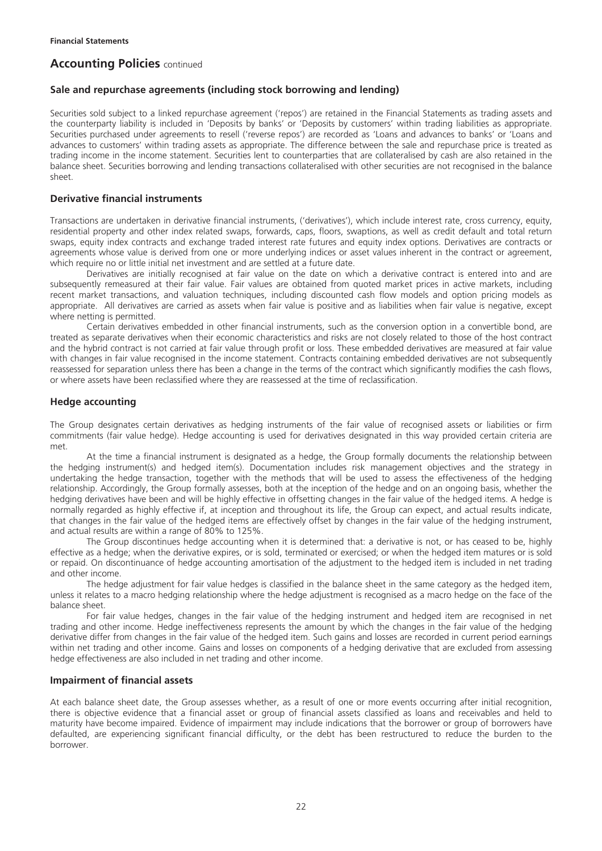## **Sale and repurchase agreements (including stock borrowing and lending)**

Securities sold subject to a linked repurchase agreement ('repos') are retained in the Financial Statements as trading assets and the counterparty liability is included in 'Deposits by banks' or 'Deposits by customers' within trading liabilities as appropriate. Securities purchased under agreements to resell ('reverse repos') are recorded as 'Loans and advances to banks' or 'Loans and advances to customers' within trading assets as appropriate. The difference between the sale and repurchase price is treated as trading income in the income statement. Securities lent to counterparties that are collateralised by cash are also retained in the balance sheet. Securities borrowing and lending transactions collateralised with other securities are not recognised in the balance sheet.

## **Derivative financial instruments**

Transactions are undertaken in derivative financial instruments, ('derivatives'), which include interest rate, cross currency, equity, residential property and other index related swaps, forwards, caps, floors, swaptions, as well as credit default and total return swaps, equity index contracts and exchange traded interest rate futures and equity index options. Derivatives are contracts or agreements whose value is derived from one or more underlying indices or asset values inherent in the contract or agreement, which require no or little initial net investment and are settled at a future date.

Derivatives are initially recognised at fair value on the date on which a derivative contract is entered into and are subsequently remeasured at their fair value. Fair values are obtained from quoted market prices in active markets, including recent market transactions, and valuation techniques, including discounted cash flow models and option pricing models as appropriate. All derivatives are carried as assets when fair value is positive and as liabilities when fair value is negative, except where netting is permitted.

Certain derivatives embedded in other financial instruments, such as the conversion option in a convertible bond, are treated as separate derivatives when their economic characteristics and risks are not closely related to those of the host contract and the hybrid contract is not carried at fair value through profit or loss. These embedded derivatives are measured at fair value with changes in fair value recognised in the income statement. Contracts containing embedded derivatives are not subsequently reassessed for separation unless there has been a change in the terms of the contract which significantly modifies the cash flows, or where assets have been reclassified where they are reassessed at the time of reclassification.

## **Hedge accounting**

The Group designates certain derivatives as hedging instruments of the fair value of recognised assets or liabilities or firm commitments (fair value hedge). Hedge accounting is used for derivatives designated in this way provided certain criteria are met.

At the time a financial instrument is designated as a hedge, the Group formally documents the relationship between the hedging instrument(s) and hedged item(s). Documentation includes risk management objectives and the strategy in undertaking the hedge transaction, together with the methods that will be used to assess the effectiveness of the hedging relationship. Accordingly, the Group formally assesses, both at the inception of the hedge and on an ongoing basis, whether the hedging derivatives have been and will be highly effective in offsetting changes in the fair value of the hedged items. A hedge is normally regarded as highly effective if, at inception and throughout its life, the Group can expect, and actual results indicate, that changes in the fair value of the hedged items are effectively offset by changes in the fair value of the hedging instrument, and actual results are within a range of 80% to 125%.

The Group discontinues hedge accounting when it is determined that: a derivative is not, or has ceased to be, highly effective as a hedge; when the derivative expires, or is sold, terminated or exercised; or when the hedged item matures or is sold or repaid. On discontinuance of hedge accounting amortisation of the adjustment to the hedged item is included in net trading and other income.

The hedge adjustment for fair value hedges is classified in the balance sheet in the same category as the hedged item, unless it relates to a macro hedging relationship where the hedge adjustment is recognised as a macro hedge on the face of the balance sheet.

For fair value hedges, changes in the fair value of the hedging instrument and hedged item are recognised in net trading and other income. Hedge ineffectiveness represents the amount by which the changes in the fair value of the hedging derivative differ from changes in the fair value of the hedged item. Such gains and losses are recorded in current period earnings within net trading and other income. Gains and losses on components of a hedging derivative that are excluded from assessing hedge effectiveness are also included in net trading and other income.

### **Impairment of financial assets**

At each balance sheet date, the Group assesses whether, as a result of one or more events occurring after initial recognition, there is objective evidence that a financial asset or group of financial assets classified as loans and receivables and held to maturity have become impaired. Evidence of impairment may include indications that the borrower or group of borrowers have defaulted, are experiencing significant financial difficulty, or the debt has been restructured to reduce the burden to the borrower.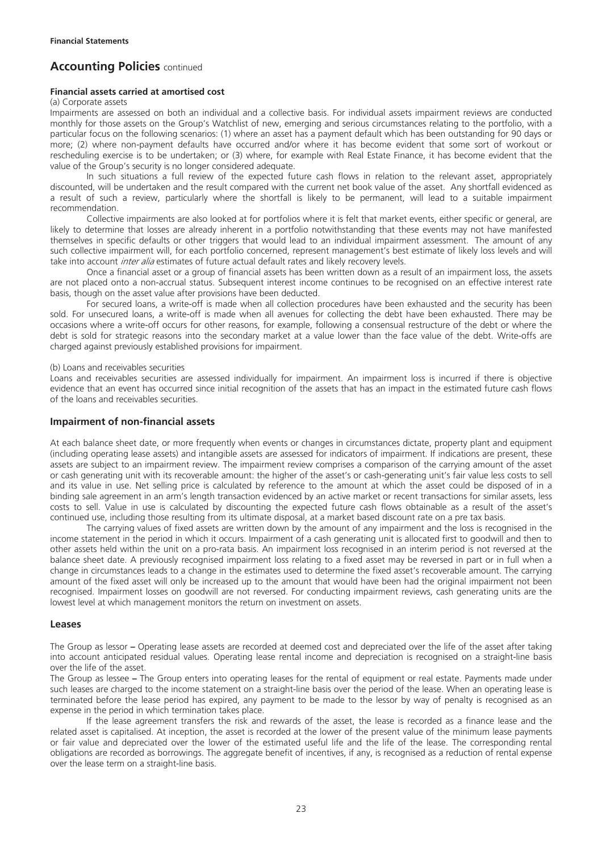#### **Financial assets carried at amortised cost**

(a) Corporate assets

Impairments are assessed on both an individual and a collective basis. For individual assets impairment reviews are conducted monthly for those assets on the Group's Watchlist of new, emerging and serious circumstances relating to the portfolio, with a particular focus on the following scenarios: (1) where an asset has a payment default which has been outstanding for 90 days or more; (2) where non-payment defaults have occurred and/or where it has become evident that some sort of workout or rescheduling exercise is to be undertaken; or (3) where, for example with Real Estate Finance, it has become evident that the value of the Group's security is no longer considered adequate.

In such situations a full review of the expected future cash flows in relation to the relevant asset, appropriately discounted, will be undertaken and the result compared with the current net book value of the asset. Any shortfall evidenced as a result of such a review, particularly where the shortfall is likely to be permanent, will lead to a suitable impairment recommendation.

Collective impairments are also looked at for portfolios where it is felt that market events, either specific or general, are likely to determine that losses are already inherent in a portfolio notwithstanding that these events may not have manifested themselves in specific defaults or other triggers that would lead to an individual impairment assessment. The amount of any such collective impairment will, for each portfolio concerned, represent management's best estimate of likely loss levels and will take into account *inter alia* estimates of future actual default rates and likely recovery levels.

Once a financial asset or a group of financial assets has been written down as a result of an impairment loss, the assets are not placed onto a non-accrual status. Subsequent interest income continues to be recognised on an effective interest rate basis, though on the asset value after provisions have been deducted.

For secured loans, a write-off is made when all collection procedures have been exhausted and the security has been sold. For unsecured loans, a write-off is made when all avenues for collecting the debt have been exhausted. There may be occasions where a write-off occurs for other reasons, for example, following a consensual restructure of the debt or where the debt is sold for strategic reasons into the secondary market at a value lower than the face value of the debt. Write-offs are charged against previously established provisions for impairment.

(b) Loans and receivables securities

Loans and receivables securities are assessed individually for impairment. An impairment loss is incurred if there is objective evidence that an event has occurred since initial recognition of the assets that has an impact in the estimated future cash flows of the loans and receivables securities.

#### **Impairment of non-financial assets**

At each balance sheet date, or more frequently when events or changes in circumstances dictate, property plant and equipment (including operating lease assets) and intangible assets are assessed for indicators of impairment. If indications are present, these assets are subject to an impairment review. The impairment review comprises a comparison of the carrying amount of the asset or cash generating unit with its recoverable amount: the higher of the asset's or cash-generating unit's fair value less costs to sell and its value in use. Net selling price is calculated by reference to the amount at which the asset could be disposed of in a binding sale agreement in an arm's length transaction evidenced by an active market or recent transactions for similar assets, less costs to sell. Value in use is calculated by discounting the expected future cash flows obtainable as a result of the asset's continued use, including those resulting from its ultimate disposal, at a market based discount rate on a pre tax basis.

The carrying values of fixed assets are written down by the amount of any impairment and the loss is recognised in the income statement in the period in which it occurs. Impairment of a cash generating unit is allocated first to goodwill and then to other assets held within the unit on a pro-rata basis. An impairment loss recognised in an interim period is not reversed at the balance sheet date. A previously recognised impairment loss relating to a fixed asset may be reversed in part or in full when a change in circumstances leads to a change in the estimates used to determine the fixed asset's recoverable amount. The carrying amount of the fixed asset will only be increased up to the amount that would have been had the original impairment not been recognised. Impairment losses on goodwill are not reversed. For conducting impairment reviews, cash generating units are the lowest level at which management monitors the return on investment on assets.

### **Leases**

The Group as lessor **–** Operating lease assets are recorded at deemed cost and depreciated over the life of the asset after taking into account anticipated residual values. Operating lease rental income and depreciation is recognised on a straight-line basis over the life of the asset.

The Group as lessee **–** The Group enters into operating leases for the rental of equipment or real estate. Payments made under such leases are charged to the income statement on a straight-line basis over the period of the lease. When an operating lease is terminated before the lease period has expired, any payment to be made to the lessor by way of penalty is recognised as an expense in the period in which termination takes place.

If the lease agreement transfers the risk and rewards of the asset, the lease is recorded as a finance lease and the related asset is capitalised. At inception, the asset is recorded at the lower of the present value of the minimum lease payments or fair value and depreciated over the lower of the estimated useful life and the life of the lease. The corresponding rental obligations are recorded as borrowings. The aggregate benefit of incentives, if any, is recognised as a reduction of rental expense over the lease term on a straight-line basis.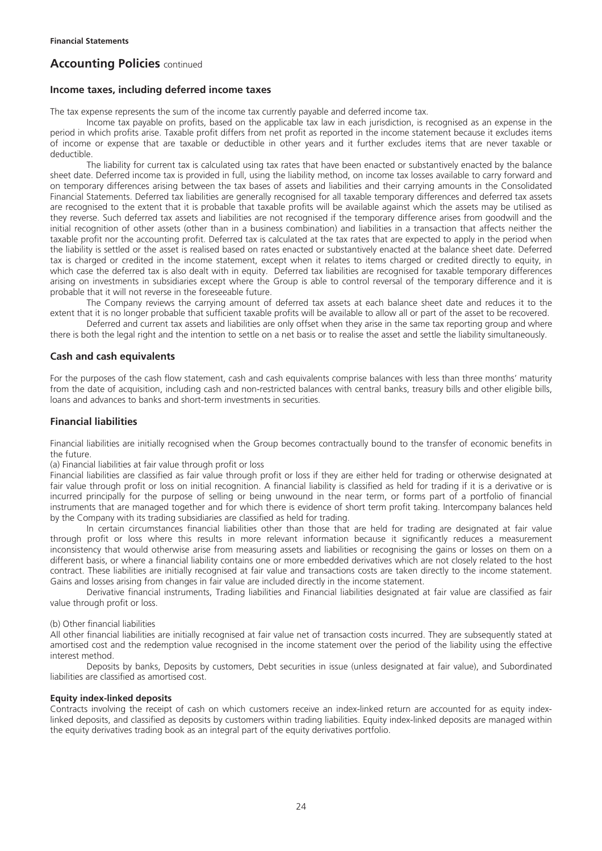### **Income taxes, including deferred income taxes**

The tax expense represents the sum of the income tax currently payable and deferred income tax.

Income tax payable on profits, based on the applicable tax law in each jurisdiction, is recognised as an expense in the period in which profits arise. Taxable profit differs from net profit as reported in the income statement because it excludes items of income or expense that are taxable or deductible in other years and it further excludes items that are never taxable or deductible.

The liability for current tax is calculated using tax rates that have been enacted or substantively enacted by the balance sheet date. Deferred income tax is provided in full, using the liability method, on income tax losses available to carry forward and on temporary differences arising between the tax bases of assets and liabilities and their carrying amounts in the Consolidated Financial Statements. Deferred tax liabilities are generally recognised for all taxable temporary differences and deferred tax assets are recognised to the extent that it is probable that taxable profits will be available against which the assets may be utilised as they reverse. Such deferred tax assets and liabilities are not recognised if the temporary difference arises from goodwill and the initial recognition of other assets (other than in a business combination) and liabilities in a transaction that affects neither the taxable profit nor the accounting profit. Deferred tax is calculated at the tax rates that are expected to apply in the period when the liability is settled or the asset is realised based on rates enacted or substantively enacted at the balance sheet date. Deferred tax is charged or credited in the income statement, except when it relates to items charged or credited directly to equity, in which case the deferred tax is also dealt with in equity. Deferred tax liabilities are recognised for taxable temporary differences arising on investments in subsidiaries except where the Group is able to control reversal of the temporary difference and it is probable that it will not reverse in the foreseeable future.

The Company reviews the carrying amount of deferred tax assets at each balance sheet date and reduces it to the extent that it is no longer probable that sufficient taxable profits will be available to allow all or part of the asset to be recovered.

Deferred and current tax assets and liabilities are only offset when they arise in the same tax reporting group and where there is both the legal right and the intention to settle on a net basis or to realise the asset and settle the liability simultaneously.

## **Cash and cash equivalents**

For the purposes of the cash flow statement, cash and cash equivalents comprise balances with less than three months' maturity from the date of acquisition, including cash and non-restricted balances with central banks, treasury bills and other eligible bills, loans and advances to banks and short-term investments in securities.

### **Financial liabilities**

Financial liabilities are initially recognised when the Group becomes contractually bound to the transfer of economic benefits in the future.

(a) Financial liabilities at fair value through profit or loss

Financial liabilities are classified as fair value through profit or loss if they are either held for trading or otherwise designated at fair value through profit or loss on initial recognition. A financial liability is classified as held for trading if it is a derivative or is incurred principally for the purpose of selling or being unwound in the near term, or forms part of a portfolio of financial instruments that are managed together and for which there is evidence of short term profit taking. Intercompany balances held by the Company with its trading subsidiaries are classified as held for trading.

In certain circumstances financial liabilities other than those that are held for trading are designated at fair value through profit or loss where this results in more relevant information because it significantly reduces a measurement inconsistency that would otherwise arise from measuring assets and liabilities or recognising the gains or losses on them on a different basis, or where a financial liability contains one or more embedded derivatives which are not closely related to the host contract. These liabilities are initially recognised at fair value and transactions costs are taken directly to the income statement. Gains and losses arising from changes in fair value are included directly in the income statement.

Derivative financial instruments, Trading liabilities and Financial liabilities designated at fair value are classified as fair value through profit or loss.

#### (b) Other financial liabilities

All other financial liabilities are initially recognised at fair value net of transaction costs incurred. They are subsequently stated at amortised cost and the redemption value recognised in the income statement over the period of the liability using the effective interest method.

Deposits by banks, Deposits by customers, Debt securities in issue (unless designated at fair value), and Subordinated liabilities are classified as amortised cost.

#### **Equity index-linked deposits**

Contracts involving the receipt of cash on which customers receive an index-linked return are accounted for as equity indexlinked deposits, and classified as deposits by customers within trading liabilities. Equity index-linked deposits are managed within the equity derivatives trading book as an integral part of the equity derivatives portfolio.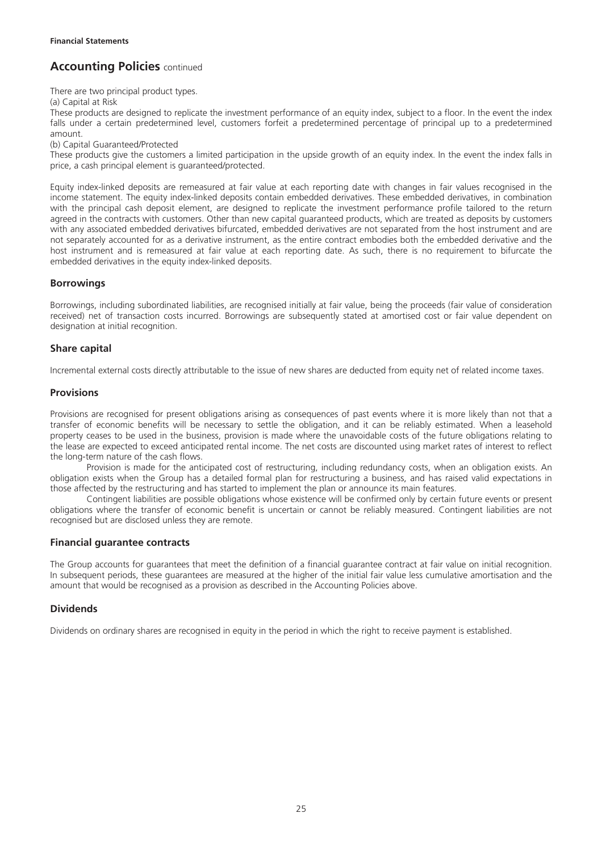There are two principal product types.

(a) Capital at Risk

These products are designed to replicate the investment performance of an equity index, subject to a floor. In the event the index falls under a certain predetermined level, customers forfeit a predetermined percentage of principal up to a predetermined amount.

(b) Capital Guaranteed/Protected

These products give the customers a limited participation in the upside growth of an equity index. In the event the index falls in price, a cash principal element is guaranteed/protected.

Equity index-linked deposits are remeasured at fair value at each reporting date with changes in fair values recognised in the income statement. The equity index-linked deposits contain embedded derivatives. These embedded derivatives, in combination with the principal cash deposit element, are designed to replicate the investment performance profile tailored to the return agreed in the contracts with customers. Other than new capital guaranteed products, which are treated as deposits by customers with any associated embedded derivatives bifurcated, embedded derivatives are not separated from the host instrument and are not separately accounted for as a derivative instrument, as the entire contract embodies both the embedded derivative and the host instrument and is remeasured at fair value at each reporting date. As such, there is no requirement to bifurcate the embedded derivatives in the equity index-linked deposits.

## **Borrowings**

Borrowings, including subordinated liabilities, are recognised initially at fair value, being the proceeds (fair value of consideration received) net of transaction costs incurred. Borrowings are subsequently stated at amortised cost or fair value dependent on designation at initial recognition.

## **Share capital**

Incremental external costs directly attributable to the issue of new shares are deducted from equity net of related income taxes.

## **Provisions**

Provisions are recognised for present obligations arising as consequences of past events where it is more likely than not that a transfer of economic benefits will be necessary to settle the obligation, and it can be reliably estimated. When a leasehold property ceases to be used in the business, provision is made where the unavoidable costs of the future obligations relating to the lease are expected to exceed anticipated rental income. The net costs are discounted using market rates of interest to reflect the long-term nature of the cash flows.

Provision is made for the anticipated cost of restructuring, including redundancy costs, when an obligation exists. An obligation exists when the Group has a detailed formal plan for restructuring a business, and has raised valid expectations in those affected by the restructuring and has started to implement the plan or announce its main features.

Contingent liabilities are possible obligations whose existence will be confirmed only by certain future events or present obligations where the transfer of economic benefit is uncertain or cannot be reliably measured. Contingent liabilities are not recognised but are disclosed unless they are remote.

## **Financial guarantee contracts**

The Group accounts for guarantees that meet the definition of a financial guarantee contract at fair value on initial recognition. In subsequent periods, these guarantees are measured at the higher of the initial fair value less cumulative amortisation and the amount that would be recognised as a provision as described in the Accounting Policies above.

## **Dividends**

Dividends on ordinary shares are recognised in equity in the period in which the right to receive payment is established.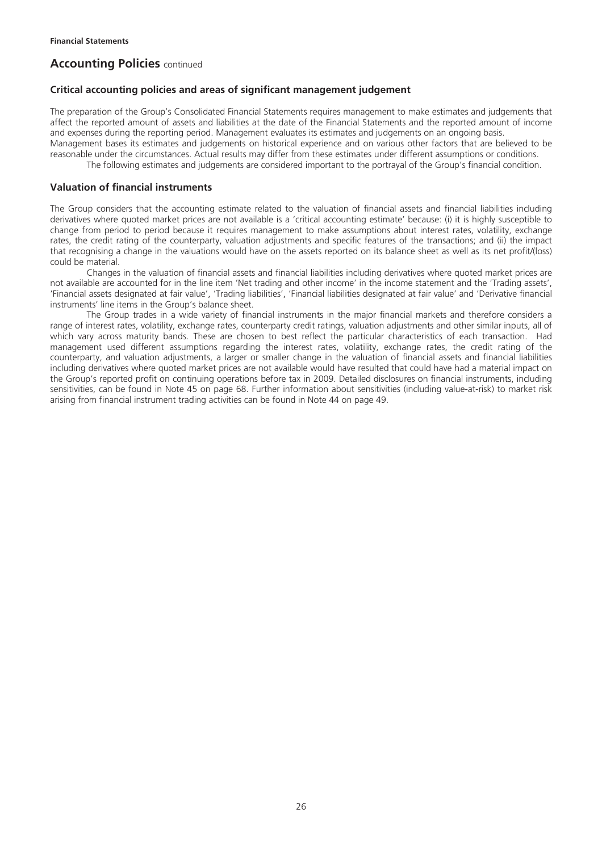### **Critical accounting policies and areas of significant management judgement**

The preparation of the Group's Consolidated Financial Statements requires management to make estimates and judgements that affect the reported amount of assets and liabilities at the date of the Financial Statements and the reported amount of income and expenses during the reporting period. Management evaluates its estimates and judgements on an ongoing basis. Management bases its estimates and judgements on historical experience and on various other factors that are believed to be reasonable under the circumstances. Actual results may differ from these estimates under different assumptions or conditions.

The following estimates and judgements are considered important to the portrayal of the Group's financial condition.

### **Valuation of financial instruments**

The Group considers that the accounting estimate related to the valuation of financial assets and financial liabilities including derivatives where quoted market prices are not available is a 'critical accounting estimate' because: (i) it is highly susceptible to change from period to period because it requires management to make assumptions about interest rates, volatility, exchange rates, the credit rating of the counterparty, valuation adjustments and specific features of the transactions; and (ii) the impact that recognising a change in the valuations would have on the assets reported on its balance sheet as well as its net profit/(loss) could be material.

Changes in the valuation of financial assets and financial liabilities including derivatives where quoted market prices are not available are accounted for in the line item 'Net trading and other income' in the income statement and the 'Trading assets', 'Financial assets designated at fair value', 'Trading liabilities', 'Financial liabilities designated at fair value' and 'Derivative financial instruments' line items in the Group's balance sheet.

The Group trades in a wide variety of financial instruments in the major financial markets and therefore considers a range of interest rates, volatility, exchange rates, counterparty credit ratings, valuation adjustments and other similar inputs, all of which vary across maturity bands. These are chosen to best reflect the particular characteristics of each transaction. Had management used different assumptions regarding the interest rates, volatility, exchange rates, the credit rating of the counterparty, and valuation adjustments, a larger or smaller change in the valuation of financial assets and financial liabilities including derivatives where quoted market prices are not available would have resulted that could have had a material impact on the Group's reported profit on continuing operations before tax in 2009. Detailed disclosures on financial instruments, including sensitivities, can be found in Note 45 on page 68. Further information about sensitivities (including value-at-risk) to market risk arising from financial instrument trading activities can be found in Note 44 on page 49.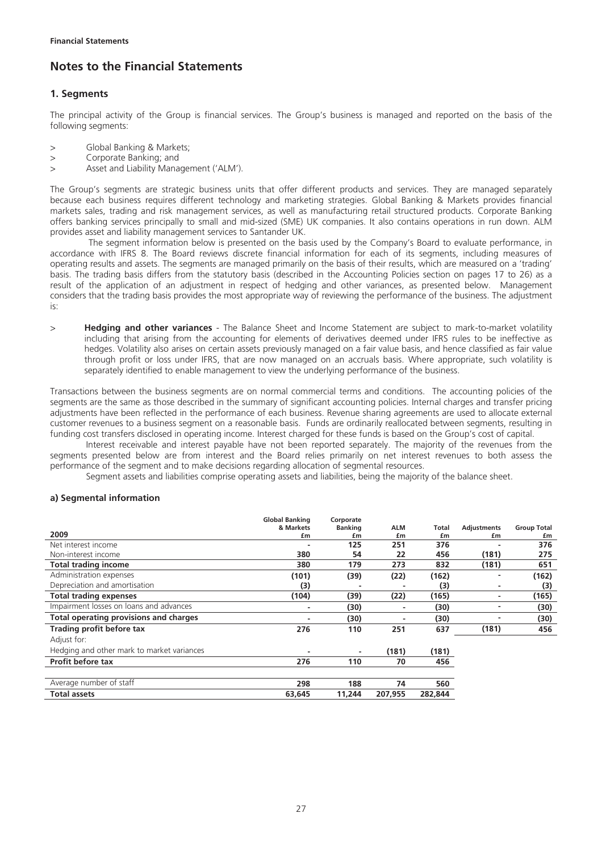## **Notes to the Financial Statements**

## **1. Segments**

The principal activity of the Group is financial services. The Group's business is managed and reported on the basis of the following segments:

- > Global Banking & Markets;
- > Corporate Banking; and
- > Asset and Liability Management ('ALM').

The Group's segments are strategic business units that offer different products and services. They are managed separately because each business requires different technology and marketing strategies. Global Banking & Markets provides financial markets sales, trading and risk management services, as well as manufacturing retail structured products. Corporate Banking offers banking services principally to small and mid-sized (SME) UK companies. It also contains operations in run down. ALM provides asset and liability management services to Santander UK.

 The segment information below is presented on the basis used by the Company's Board to evaluate performance, in accordance with IFRS 8. The Board reviews discrete financial information for each of its segments, including measures of operating results and assets. The segments are managed primarily on the basis of their results, which are measured on a 'trading' basis. The trading basis differs from the statutory basis (described in the Accounting Policies section on pages 17 to 26) as a result of the application of an adjustment in respect of hedging and other variances, as presented below. Management considers that the trading basis provides the most appropriate way of reviewing the performance of the business. The adjustment is:

> **Hedging and other variances** - The Balance Sheet and Income Statement are subject to mark-to-market volatility including that arising from the accounting for elements of derivatives deemed under IFRS rules to be ineffective as hedges. Volatility also arises on certain assets previously managed on a fair value basis, and hence classified as fair value through profit or loss under IFRS, that are now managed on an accruals basis. Where appropriate, such volatility is separately identified to enable management to view the underlying performance of the business.

Transactions between the business segments are on normal commercial terms and conditions. The accounting policies of the segments are the same as those described in the summary of significant accounting policies. Internal charges and transfer pricing adjustments have been reflected in the performance of each business. Revenue sharing agreements are used to allocate external customer revenues to a business segment on a reasonable basis. Funds are ordinarily reallocated between segments, resulting in funding cost transfers disclosed in operating income. Interest charged for these funds is based on the Group's cost of capital.

Interest receivable and interest payable have not been reported separately. The majority of the revenues from the segments presented below are from interest and the Board relies primarily on net interest revenues to both assess the performance of the segment and to make decisions regarding allocation of segmental resources.

Segment assets and liabilities comprise operating assets and liabilities, being the majority of the balance sheet.

#### **a) Segmental information**

|                                            | <b>Global Banking</b>    | Corporate      |         |         |                    |                    |
|--------------------------------------------|--------------------------|----------------|---------|---------|--------------------|--------------------|
|                                            | & Markets                | <b>Banking</b> | ALM     | Total   | <b>Adjustments</b> | <b>Group Total</b> |
| 2009                                       | £m                       | £m             | £m      | £m      | £m                 | £m                 |
| Net interest income                        |                          | 125            | 251     | 376     |                    | 376                |
| Non-interest income                        | 380                      | 54             | 22      | 456     | (181)              | 275                |
| <b>Total trading income</b>                | 380                      | 179            | 273     | 832     | (181)              | 651                |
| Administration expenses                    | (101)                    | (39)           | (22)    | (162)   |                    | (162)              |
| Depreciation and amortisation              | (3)                      |                |         | (3)     | ٠                  | (3)                |
| <b>Total trading expenses</b>              | (104)                    | (39)           | (22)    | (165)   | ۰                  | (165)              |
| Impairment losses on loans and advances    | $\overline{\phantom{0}}$ | (30)           | ٠       | (30)    | ٠                  | (30)               |
| Total operating provisions and charges     |                          | (30)           |         | (30)    |                    | (30)               |
| Trading profit before tax                  | 276                      | 110            | 251     | 637     | (181)              | 456                |
| Adjust for:                                |                          |                |         |         |                    |                    |
| Hedging and other mark to market variances |                          |                | (181)   | (181)   |                    |                    |
| Profit before tax                          | 276                      | 110            | 70      | 456     |                    |                    |
|                                            |                          |                |         |         |                    |                    |
| Average number of staff                    | 298                      | 188            | 74      | 560     |                    |                    |
| <b>Total assets</b>                        | 63,645                   | 11,244         | 207.955 | 282,844 |                    |                    |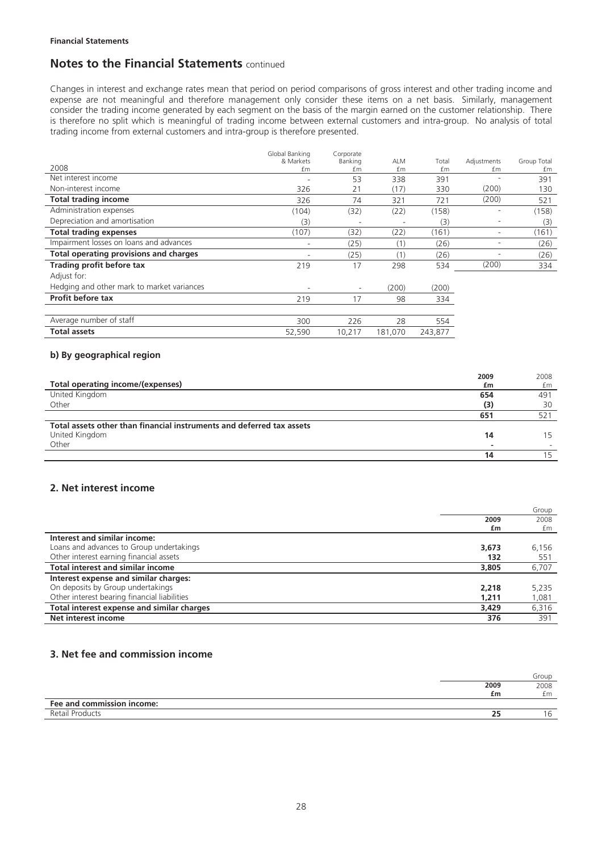Changes in interest and exchange rates mean that period on period comparisons of gross interest and other trading income and expense are not meaningful and therefore management only consider these items on a net basis. Similarly, management consider the trading income generated by each segment on the basis of the margin earned on the customer relationship. There is therefore no split which is meaningful of trading income between external customers and intra-group. No analysis of total trading income from external customers and intra-group is therefore presented.

|                                               | Global Banking | Corporate                |                          |         |                          |             |
|-----------------------------------------------|----------------|--------------------------|--------------------------|---------|--------------------------|-------------|
| 2008                                          | & Markets      | Banking                  | <b>ALM</b>               | Total   | Adjustments              | Group Total |
|                                               | £m             | £m                       | £m                       | £m      | £m                       | £m          |
| Net interest income                           |                | 53                       | 338                      | 391     |                          | 391         |
| Non-interest income                           | 326            | 21                       | (17)                     | 330     | (200)                    | 130         |
| <b>Total trading income</b>                   | 326            | 74                       | 321                      | 721     | (200)                    | 521         |
| Administration expenses                       | (104)          | (32)                     | (22)                     | (158)   | $\overline{\phantom{a}}$ | (158)       |
| Depreciation and amortisation                 | (3)            |                          | $\overline{\phantom{a}}$ | (3)     | $\overline{\phantom{a}}$ | (3)         |
| <b>Total trading expenses</b>                 | (107)          | (32)                     | (22)                     | (161)   | ۰                        | (161)       |
| Impairment losses on loans and advances       | -              | (25)                     | (1)                      | (26)    | ۰                        | (26)        |
| <b>Total operating provisions and charges</b> | ۰              | (25)                     | (1)                      | (26)    | ۰                        | (26)        |
| Trading profit before tax                     | 219            | 17                       | 298                      | 534     | (200)                    | 334         |
| Adjust for:                                   |                |                          |                          |         |                          |             |
| Hedging and other mark to market variances    | ۰              | $\overline{\phantom{a}}$ | (200)                    | (200)   |                          |             |
| <b>Profit before tax</b>                      | 219            | 17                       | 98                       | 334     |                          |             |
|                                               |                |                          |                          |         |                          |             |
| Average number of staff                       | 300            | 226                      | 28                       | 554     |                          |             |
| <b>Total assets</b>                           | 52,590         | 10,217                   | 181,070                  | 243,877 |                          |             |

## **b) By geographical region**

|                                                                       | 2009 | 2008         |
|-----------------------------------------------------------------------|------|--------------|
| Total operating income/(expenses)                                     | £m   | £m           |
| United Kingdom                                                        | 654  | 491          |
| Other                                                                 | (3)  | 30           |
|                                                                       | 651  | $52^{\circ}$ |
| Total assets other than financial instruments and deferred tax assets |      |              |
| United Kingdom                                                        | 14   |              |
| Other                                                                 |      |              |
|                                                                       | 14   |              |

### **2. Net interest income**

|                                              |       | Group |
|----------------------------------------------|-------|-------|
|                                              | 2009  | 2008  |
|                                              | £m    | £m    |
| Interest and similar income:                 |       |       |
| Loans and advances to Group undertakings     | 3.673 | 6,156 |
| Other interest earning financial assets      | 132   | 551   |
| <b>Total interest and similar income</b>     | 3,805 | 6,707 |
| Interest expense and similar charges:        |       |       |
| On deposits by Group undertakings            | 2.218 | 5,235 |
| Other interest bearing financial liabilities | 1.211 | 1,081 |
| Total interest expense and similar charges   | 3,429 | 6,316 |
| Net interest income                          | 376   | 391   |

## **3. Net fee and commission income**

|                            |      | Group |
|----------------------------|------|-------|
|                            | 2009 | 2008  |
|                            | £m   | £m    |
| Fee and commission income: |      |       |
| Retail Products            |      | 6     |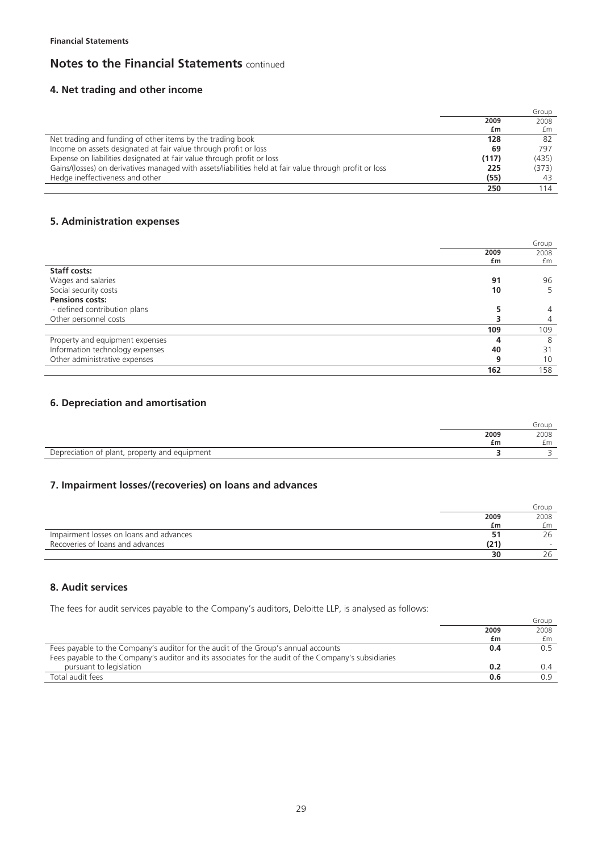## **4. Net trading and other income**

|                                                                                                         |       | Group |
|---------------------------------------------------------------------------------------------------------|-------|-------|
|                                                                                                         | 2009  | 2008  |
|                                                                                                         | £m    | £m    |
| Net trading and funding of other items by the trading book                                              | 128   | 82    |
| Income on assets designated at fair value through profit or loss                                        | 69    | 797   |
| Expense on liabilities designated at fair value through profit or loss                                  | (117) | (435) |
| Gains/(losses) on derivatives managed with assets/liabilities held at fair value through profit or loss | 225   | (373) |
| Hedge ineffectiveness and other                                                                         | (55)  |       |
|                                                                                                         | 250   | 114   |

## **5. Administration expenses**

|                                 |      | Group          |
|---------------------------------|------|----------------|
|                                 | 2009 | 2008           |
|                                 | £m   | £m             |
| <b>Staff costs:</b>             |      |                |
| Wages and salaries              | 91   | 96             |
| Social security costs           | 10   | 5              |
| <b>Pensions costs:</b>          |      |                |
| - defined contribution plans    |      | $\overline{4}$ |
| Other personnel costs           |      | 4              |
|                                 | 109  | 109            |
| Property and equipment expenses | 4    | 8              |
| Information technology expenses | 40   | 31             |
| Other administrative expenses   | 9    | 10             |
|                                 | 162  | 158            |

## **6. Depreciation and amortisation**

|                                                          |      | Group |
|----------------------------------------------------------|------|-------|
|                                                          | 2009 | 2008  |
|                                                          | £m   | £m    |
| equipment<br>plant, property and<br>Janrac<br>ciation of |      |       |

## **7. Impairment losses/(recoveries) on loans and advances**

|                                         |      | Group |
|-----------------------------------------|------|-------|
|                                         | 2009 | 2008  |
|                                         | £m   | £m    |
| Impairment losses on loans and advances |      | 26    |
| Recoveries of loans and advances        | (21) |       |
|                                         | 30   | 26    |

## **8. Audit services**

The fees for audit services payable to the Company's auditors, Deloitte LLP, is analysed as follows:

|                                                                                                      |      | Group |
|------------------------------------------------------------------------------------------------------|------|-------|
|                                                                                                      | 2009 | 2008  |
|                                                                                                      | £m   | £m    |
| Fees payable to the Company's auditor for the audit of the Group's annual accounts                   | 0.4  |       |
| Fees payable to the Company's auditor and its associates for the audit of the Company's subsidiaries |      |       |
| pursuant to legislation                                                                              | 0.2  | 0.4   |
| Total audit fees                                                                                     | 0.6  | 0.9   |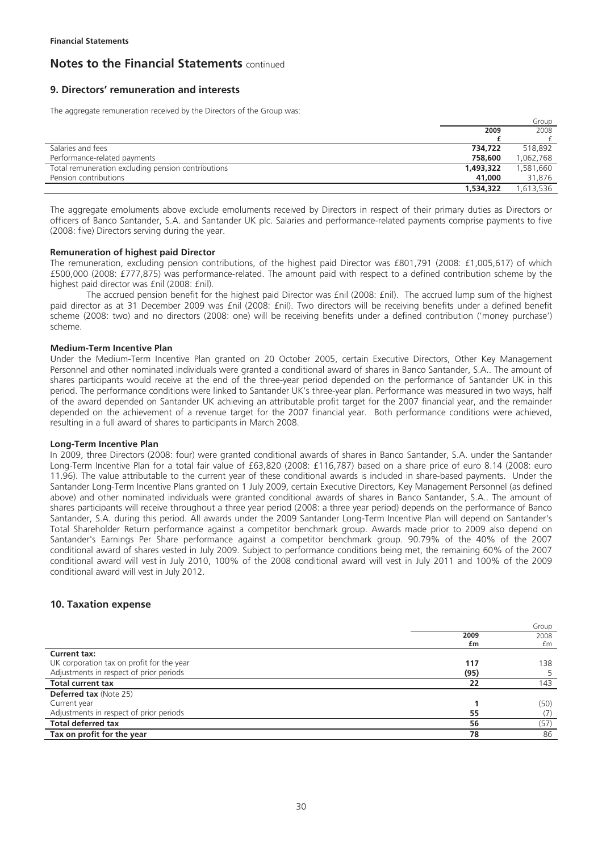## **9. Directors' remuneration and interests**

The aggregate remuneration received by the Directors of the Group was:

|                                                    |           | Group     |
|----------------------------------------------------|-----------|-----------|
|                                                    | 2009      | 2008      |
|                                                    |           |           |
| Salaries and fees                                  | 734.722   | 518.892   |
| Performance-related payments                       | 758,600   | 1,062,768 |
| Total remuneration excluding pension contributions | 1,493,322 | 1,581,660 |
| Pension contributions                              | 41,000    | 31,876    |
|                                                    | 1,534,322 | ,613,536  |

The aggregate emoluments above exclude emoluments received by Directors in respect of their primary duties as Directors or officers of Banco Santander, S.A. and Santander UK plc. Salaries and performance-related payments comprise payments to five (2008: five) Directors serving during the year.

#### **Remuneration of highest paid Director**

The remuneration, excluding pension contributions, of the highest paid Director was £801,791 (2008: £1,005,617) of which £500,000 (2008: £777,875) was performance-related. The amount paid with respect to a defined contribution scheme by the highest paid director was fnil (2008: fnil).

The accrued pension benefit for the highest paid Director was £nil (2008: £nil). The accrued lump sum of the highest paid director as at 31 December 2009 was £nil (2008: £nil). Two directors will be receiving benefits under a defined benefit scheme (2008: two) and no directors (2008: one) will be receiving benefits under a defined contribution ('money purchase') scheme.

#### **Medium-Term Incentive Plan**

Under the Medium-Term Incentive Plan granted on 20 October 2005, certain Executive Directors, Other Key Management Personnel and other nominated individuals were granted a conditional award of shares in Banco Santander, S.A.. The amount of shares participants would receive at the end of the three-year period depended on the performance of Santander UK in this period. The performance conditions were linked to Santander UK's three-year plan. Performance was measured in two ways, half of the award depended on Santander UK achieving an attributable profit target for the 2007 financial year, and the remainder depended on the achievement of a revenue target for the 2007 financial year. Both performance conditions were achieved, resulting in a full award of shares to participants in March 2008.

#### **Long-Term Incentive Plan**

In 2009, three Directors (2008: four) were granted conditional awards of shares in Banco Santander, S.A. under the Santander Long-Term Incentive Plan for a total fair value of £63,820 (2008: £116,787) based on a share price of euro 8.14 (2008: euro 11.96). The value attributable to the current year of these conditional awards is included in share-based payments. Under the Santander Long-Term Incentive Plans granted on 1 July 2009, certain Executive Directors, Key Management Personnel (as defined above) and other nominated individuals were granted conditional awards of shares in Banco Santander, S.A.. The amount of shares participants will receive throughout a three year period (2008: a three year period) depends on the performance of Banco Santander, S.A. during this period. All awards under the 2009 Santander Long-Term Incentive Plan will depend on Santander's Total Shareholder Return performance against a competitor benchmark group. Awards made prior to 2009 also depend on Santander's Earnings Per Share performance against a competitor benchmark group. 90.79% of the 40% of the 2007 conditional award of shares vested in July 2009. Subject to performance conditions being met, the remaining 60% of the 2007 conditional award will vest in July 2010, 100% of the 2008 conditional award will vest in July 2011 and 100% of the 2009 conditional award will vest in July 2012.

### **10. Taxation expense**

|                                           |      | Group |
|-------------------------------------------|------|-------|
|                                           | 2009 | 2008  |
|                                           | £m   | £m    |
| <b>Current tax:</b>                       |      |       |
| UK corporation tax on profit for the year | 117  | 138   |
| Adjustments in respect of prior periods   | (95) |       |
| <b>Total current tax</b>                  | 22   | 143   |
| <b>Deferred tax (Note 25)</b>             |      |       |
| Current year                              |      | (50)  |
| Adjustments in respect of prior periods   | 55   |       |
| <b>Total deferred tax</b>                 | 56   | (57)  |
| Tax on profit for the year                | 78   | 86    |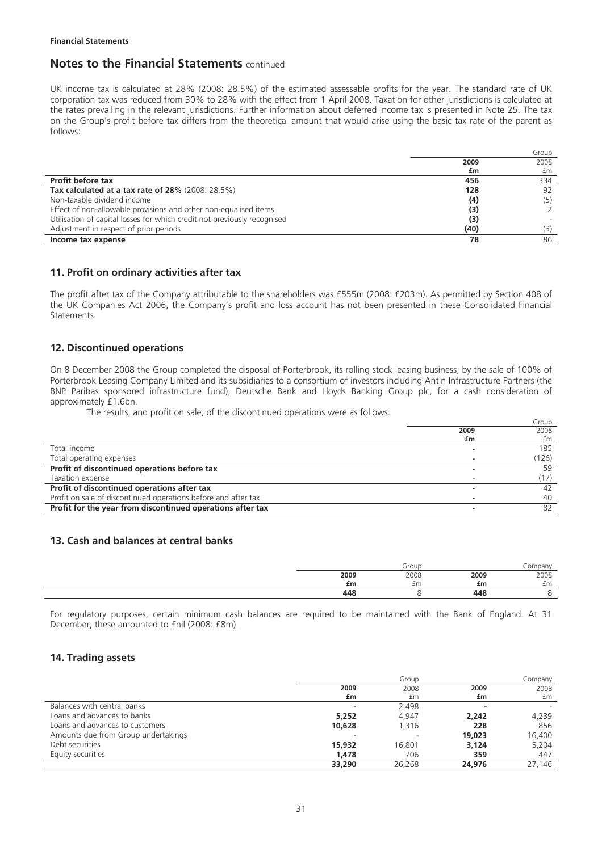UK income tax is calculated at 28% (2008: 28.5%) of the estimated assessable profits for the year. The standard rate of UK corporation tax was reduced from 30% to 28% with the effect from 1 April 2008. Taxation for other jurisdictions is calculated at the rates prevailing in the relevant jurisdictions. Further information about deferred income tax is presented in Note 25. The tax on the Group's profit before tax differs from the theoretical amount that would arise using the basic tax rate of the parent as follows:

|                                                                          |      | Group |
|--------------------------------------------------------------------------|------|-------|
|                                                                          | 2009 | 2008  |
|                                                                          | £m   | £m    |
| <b>Profit before tax</b>                                                 | 456  | 334   |
| Tax calculated at a tax rate of 28% (2008: 28.5%)                        | 128  | 92    |
| Non-taxable dividend income                                              | (4)  | (5)   |
| Effect of non-allowable provisions and other non-equalised items         | (3)  |       |
| Utilisation of capital losses for which credit not previously recognised | (3)  |       |
| Adjustment in respect of prior periods                                   | (40) | (3)   |
| Income tax expense                                                       | 78   | 86    |

## **11. Profit on ordinary activities after tax**

The profit after tax of the Company attributable to the shareholders was £555m (2008: £203m). As permitted by Section 408 of the UK Companies Act 2006, the Company's profit and loss account has not been presented in these Consolidated Financial Statements.

## **12. Discontinued operations**

On 8 December 2008 the Group completed the disposal of Porterbrook, its rolling stock leasing business, by the sale of 100% of Porterbrook Leasing Company Limited and its subsidiaries to a consortium of investors including Antin Infrastructure Partners (the BNP Paribas sponsored infrastructure fund), Deutsche Bank and Lloyds Banking Group plc, for a cash consideration of approximately £1.6bn.

The results, and profit on sale, of the discontinued operations were as follows:

|                                                                |      | Group |
|----------------------------------------------------------------|------|-------|
|                                                                | 2009 | 2008  |
|                                                                | £m   | £m    |
| Total income                                                   |      | 185   |
| Total operating expenses                                       |      | (126) |
| Profit of discontinued operations before tax                   |      | 59    |
| Taxation expense                                               |      |       |
| Profit of discontinued operations after tax                    |      | 42    |
| Profit on sale of discontinued operations before and after tax |      | 40    |
| Profit for the year from discontinued operations after tax     |      | 82    |

### **13. Cash and balances at central banks**

|      | Group |      | ompany |
|------|-------|------|--------|
| 2009 | 2008  | 2009 | 2008   |
| £m   | £m    | £m   | £m     |
| 448  |       | 448  |        |

For regulatory purposes, certain minimum cash balances are required to be maintained with the Bank of England. At 31 December, these amounted to £nil (2008: £8m).

### **14. Trading assets**

|                                     |        | Group  |        | Company |
|-------------------------------------|--------|--------|--------|---------|
|                                     | 2009   | 2008   | 2009   | 2008    |
|                                     | £m     | £m     | £m     | £m      |
| Balances with central banks         |        | 2,498  |        |         |
| Loans and advances to banks         | 5,252  | 4,947  | 2,242  | 4,239   |
| Loans and advances to customers     | 10,628 | 1.316  | 228    | 856     |
| Amounts due from Group undertakings |        |        | 19,023 | 16,400  |
| Debt securities                     | 15,932 | 16,801 | 3.124  | 5.204   |
| Equity securities                   | 1,478  | 706    | 359    | 447     |
|                                     | 33,290 | 26.268 | 24,976 | 27.146  |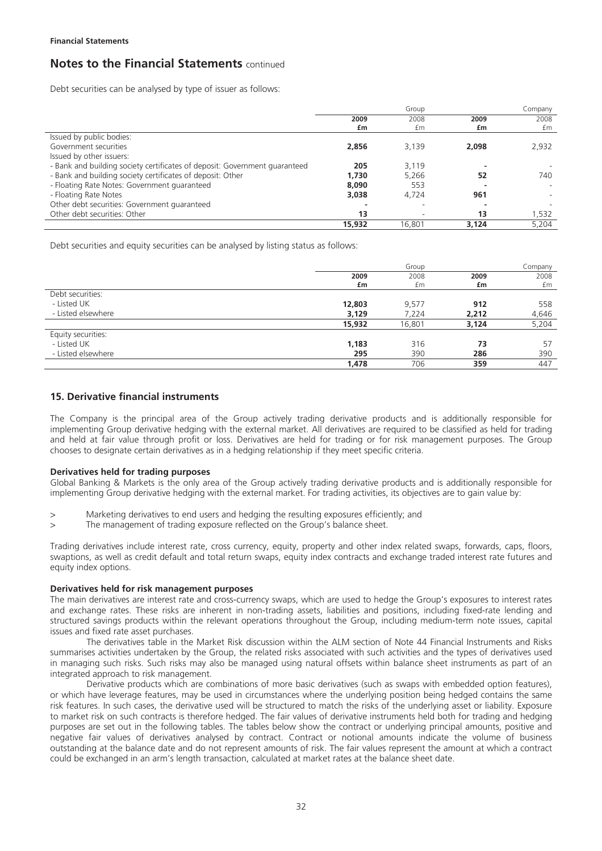Debt securities can be analysed by type of issuer as follows:

|                                                                            |        | Group  |       | Company |
|----------------------------------------------------------------------------|--------|--------|-------|---------|
|                                                                            | 2009   | 2008   | 2009  | 2008    |
|                                                                            | £m     | £m     | £m    | £m      |
| Issued by public bodies:                                                   |        |        |       |         |
| Government securities                                                      | 2,856  | 3,139  | 2,098 | 2,932   |
| Issued by other issuers:                                                   |        |        |       |         |
| - Bank and building society certificates of deposit: Government guaranteed | 205    | 3.119  |       |         |
| - Bank and building society certificates of deposit: Other                 | 1,730  | 5,266  | 52    | 740     |
| - Floating Rate Notes: Government quaranteed                               | 8,090  | 553    |       |         |
| - Floating Rate Notes                                                      | 3.038  | 4.724  | 961   |         |
| Other debt securities: Government quaranteed                               |        |        |       |         |
| Other debt securities: Other                                               | 13     |        | 13    | 1,532   |
|                                                                            | 15,932 | 16.801 | 3,124 | 5.204   |

Debt securities and equity securities can be analysed by listing status as follows:

|                    |        | Group  |       | Company |
|--------------------|--------|--------|-------|---------|
|                    | 2009   | 2008   | 2009  | 2008    |
|                    | £m     | £m     | £m    | £m      |
| Debt securities:   |        |        |       |         |
| - Listed UK        | 12,803 | 9,577  | 912   | 558     |
| - Listed elsewhere | 3,129  | 7,224  | 2,212 | 4,646   |
|                    | 15,932 | 16,801 | 3,124 | 5,204   |
| Equity securities: |        |        |       |         |
| - Listed UK        | 1,183  | 316    | 73    | 57      |
| - Listed elsewhere | 295    | 390    | 286   | 390     |
|                    | 1,478  | 706    | 359   | 447     |

## **15. Derivative financial instruments**

The Company is the principal area of the Group actively trading derivative products and is additionally responsible for implementing Group derivative hedging with the external market. All derivatives are required to be classified as held for trading and held at fair value through profit or loss. Derivatives are held for trading or for risk management purposes. The Group chooses to designate certain derivatives as in a hedging relationship if they meet specific criteria.

#### **Derivatives held for trading purposes**

Global Banking & Markets is the only area of the Group actively trading derivative products and is additionally responsible for implementing Group derivative hedging with the external market. For trading activities, its objectives are to gain value by:

- > Marketing derivatives to end users and hedging the resulting exposures efficiently; and
- > The management of trading exposure reflected on the Group's balance sheet.

Trading derivatives include interest rate, cross currency, equity, property and other index related swaps, forwards, caps, floors, swaptions, as well as credit default and total return swaps, equity index contracts and exchange traded interest rate futures and equity index options.

#### **Derivatives held for risk management purposes**

The main derivatives are interest rate and cross-currency swaps, which are used to hedge the Group's exposures to interest rates and exchange rates. These risks are inherent in non-trading assets, liabilities and positions, including fixed-rate lending and structured savings products within the relevant operations throughout the Group, including medium-term note issues, capital issues and fixed rate asset purchases.

The derivatives table in the Market Risk discussion within the ALM section of Note 44 Financial Instruments and Risks summarises activities undertaken by the Group, the related risks associated with such activities and the types of derivatives used in managing such risks. Such risks may also be managed using natural offsets within balance sheet instruments as part of an integrated approach to risk management.

Derivative products which are combinations of more basic derivatives (such as swaps with embedded option features), or which have leverage features, may be used in circumstances where the underlying position being hedged contains the same risk features. In such cases, the derivative used will be structured to match the risks of the underlying asset or liability. Exposure to market risk on such contracts is therefore hedged. The fair values of derivative instruments held both for trading and hedging purposes are set out in the following tables. The tables below show the contract or underlying principal amounts, positive and negative fair values of derivatives analysed by contract. Contract or notional amounts indicate the volume of business outstanding at the balance date and do not represent amounts of risk. The fair values represent the amount at which a contract could be exchanged in an arm's length transaction, calculated at market rates at the balance sheet date.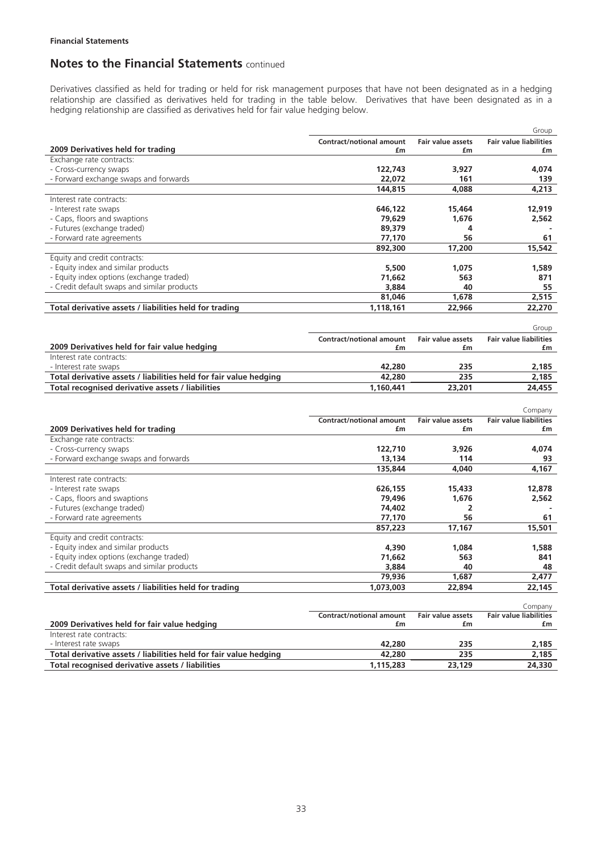Derivatives classified as held for trading or held for risk management purposes that have not been designated as in a hedging relationship are classified as derivatives held for trading in the table below. Derivatives that have been designated as in a hedging relationship are classified as derivatives held for fair value hedging below.

|                                                                     |                                       |                                | Group                                    |
|---------------------------------------------------------------------|---------------------------------------|--------------------------------|------------------------------------------|
|                                                                     | <b>Contract/notional amount</b>       | <b>Fair value assets</b>       | <b>Fair value liabilities</b>            |
| 2009 Derivatives held for trading                                   | £m                                    | £m                             | £m                                       |
| Exchange rate contracts:                                            |                                       |                                |                                          |
| - Cross-currency swaps                                              | 122,743                               | 3,927                          | 4,074                                    |
| - Forward exchange swaps and forwards                               | 22,072                                | 161                            | 139                                      |
|                                                                     | 144,815                               | 4.088                          | 4,213                                    |
| Interest rate contracts:                                            |                                       |                                |                                          |
| - Interest rate swaps                                               | 646,122                               | 15,464                         | 12,919                                   |
| - Caps, floors and swaptions                                        | 79.629                                | 1.676                          | 2.562                                    |
| - Futures (exchange traded)                                         | 89,379                                | 4                              |                                          |
| - Forward rate agreements                                           | 77,170                                | 56                             | 61                                       |
|                                                                     | 892,300                               | 17,200                         | 15,542                                   |
| Equity and credit contracts:                                        |                                       |                                |                                          |
| - Equity index and similar products                                 | 5,500                                 | 1,075                          | 1,589                                    |
| - Equity index options (exchange traded)                            | 71,662                                | 563                            | 871                                      |
| - Credit default swaps and similar products                         | 3,884                                 | 40                             | 55                                       |
|                                                                     | 81.046                                | 1,678                          | 2.515                                    |
| Total derivative assets / liabilities held for trading              | 1,118,161                             | 22,966                         | 22,270                                   |
|                                                                     |                                       |                                | Group                                    |
|                                                                     |                                       |                                |                                          |
| 2009 Derivatives held for fair value hedging                        | <b>Contract/notional amount</b><br>£m | <b>Fair value assets</b><br>£m | <b>Fair value liabilities</b><br>£m      |
| Interest rate contracts:                                            |                                       |                                |                                          |
| - Interest rate swaps                                               | 42,280                                | 235                            | 2,185                                    |
| Total derivative assets / liabilities held for fair value hedging   | 42,280                                | 235                            | 2.185                                    |
| Total recognised derivative assets / liabilities                    | 1,160,441                             | 23,201                         | 24,455                                   |
|                                                                     |                                       |                                |                                          |
|                                                                     |                                       |                                |                                          |
|                                                                     |                                       |                                | Company                                  |
|                                                                     | <b>Contract/notional amount</b><br>£m | <b>Fair value assets</b><br>£m | <b>Fair value liabilities</b><br>£m      |
| 2009 Derivatives held for trading                                   |                                       |                                |                                          |
| Exchange rate contracts:                                            |                                       |                                |                                          |
| - Cross-currency swaps                                              | 122,710                               | 3,926<br>114                   | 4,074                                    |
| - Forward exchange swaps and forwards                               | 13,134                                |                                | 93                                       |
|                                                                     | 135,844                               | 4.040                          | 4.167                                    |
| Interest rate contracts:                                            |                                       |                                |                                          |
| - Interest rate swaps<br>- Caps, floors and swaptions               | 626,155                               | 15,433                         | 12,878                                   |
| - Futures (exchange traded)                                         | 79,496<br>74,402                      | 1,676<br>2                     | 2,562                                    |
| - Forward rate agreements                                           | 77,170                                | 56                             | 61                                       |
|                                                                     | 857,223                               | 17,167                         | 15,501                                   |
|                                                                     |                                       |                                |                                          |
| Equity and credit contracts:<br>- Equity index and similar products |                                       |                                |                                          |
| - Equity index options (exchange traded)                            | 4,390<br>71,662                       | 1,084<br>563                   | 1,588<br>841                             |
| - Credit default swaps and similar products                         | 3,884                                 | 40                             | 48                                       |
|                                                                     |                                       | 1.687                          | 2.477                                    |
|                                                                     | 79,936                                |                                |                                          |
| Total derivative assets / liabilities held for trading              | 1,073,003                             | 22,894                         | 22,145                                   |
|                                                                     |                                       |                                |                                          |
|                                                                     | <b>Contract/notional amount</b>       | <b>Fair value assets</b>       | Company<br><b>Fair value liabilities</b> |
| 2009 Derivatives held for fair value hedging                        | £m                                    | £m                             | £m                                       |
| Interest rate contracts:                                            |                                       |                                |                                          |
| - Interest rate swaps                                               | 42,280                                | 235                            | 2.185                                    |
|                                                                     |                                       |                                |                                          |

Total derivative assets / liabilities held for fair value hedging **42,280** 235 2,185 2,185 Total recognised derivative assets / liabilities **1,115,283** 23,129 24,330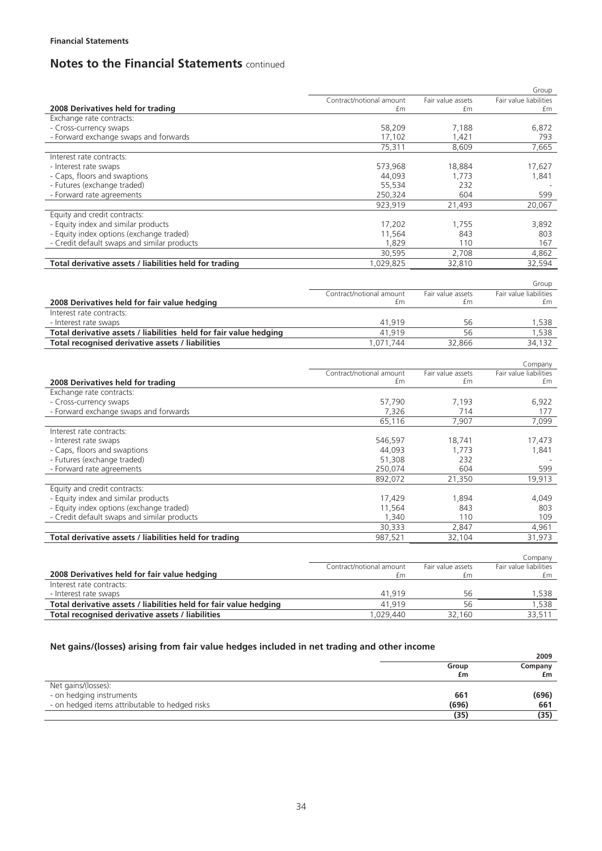|                                                                   |                          |                   | Group                  |
|-------------------------------------------------------------------|--------------------------|-------------------|------------------------|
|                                                                   | Contract/notional amount | Fair value assets | Fair value liabilities |
| 2008 Derivatives held for trading                                 | £m                       | £m                | £m                     |
| Exchange rate contracts:                                          |                          |                   |                        |
| - Cross-currency swaps                                            | 58,209                   | 7,188             | 6,872                  |
| - Forward exchange swaps and forwards                             | 17,102                   | 1,421             | 793                    |
|                                                                   | 75,311                   | 8.609             | 7,665                  |
| Interest rate contracts:                                          |                          |                   |                        |
| - Interest rate swaps                                             | 573,968                  | 18,884            | 17,627                 |
| - Caps, floors and swaptions                                      | 44,093                   | 1,773             | 1,841                  |
| - Futures (exchange traded)                                       | 55,534                   | 232               |                        |
| - Forward rate agreements                                         | 250,324                  | 604               | 599                    |
|                                                                   | 923,919                  | 21,493            | 20,067                 |
| Equity and credit contracts:                                      |                          |                   |                        |
| - Equity index and similar products                               | 17,202                   | 1,755             | 3,892                  |
| - Equity index options (exchange traded)                          | 11,564                   | 843               | 803                    |
| - Credit default swaps and similar products                       | 1,829                    | 110               | 167                    |
|                                                                   | 30,595                   | 2,708             | 4,862                  |
| Total derivative assets / liabilities held for trading            | 1,029,825                | 32,810            | 32,594                 |
|                                                                   |                          |                   |                        |
|                                                                   |                          |                   | Group                  |
|                                                                   | Contract/notional amount | Fair value assets | Fair value liabilities |
| 2008 Derivatives held for fair value hedging                      | £m                       | £m                | £m                     |
| Interest rate contracts:                                          |                          |                   |                        |
| - Interest rate swaps                                             | 41,919                   | 56                | 1,538                  |
| Total derivative assets / liabilities held for fair value hedging | 41,919                   | 56                | 1,538                  |
| Total recognised derivative assets / liabilities                  | 1,071,744                | 32,866            | 34,132                 |
|                                                                   |                          |                   |                        |
|                                                                   |                          |                   | Company                |
|                                                                   | Contract/notional amount | Fair value assets | Fair value liabilities |
| 2008 Derivatives held for trading                                 | £m                       | £m                | £m                     |
| Exchange rate contracts:                                          |                          |                   |                        |
| - Cross-currency swaps                                            | 57,790                   | 7,193             | 6,922                  |
| - Forward exchange swaps and forwards                             | 7,326                    | 714               | 177                    |
|                                                                   | 65,116                   | 7,907             | 7,099                  |
| Interest rate contracts:                                          |                          |                   |                        |
| - Interest rate swaps                                             | 546,597                  | 18,741            | 17,473                 |
| - Caps, floors and swaptions                                      | 44,093                   | 1,773             | 1,841                  |
| - Futures (exchange traded)                                       | 51,308                   | 232               |                        |
| - Forward rate agreements                                         | 250,074                  | 604               | 599                    |
|                                                                   | 892,072                  | 21,350            | 19,913                 |
| Equity and credit contracts:                                      |                          |                   |                        |
| - Equity index and similar products                               | 17,429                   | 1,894             | 4,049                  |
| - Equity index options (exchange traded)                          | 11,564                   | 843               | 803                    |
| - Credit default swaps and similar products                       | 1,340                    | 110               | 109                    |
|                                                                   | 30,333                   | 2,847             | 4,961                  |
| Total derivative assets / liabilities held for trading            | 987.521                  | 32.104            | 31,973                 |
|                                                                   |                          |                   |                        |
|                                                                   |                          |                   | Company                |
|                                                                   | Contract/notional amount | Fair value assets | Fair value liabilities |
| 2008 Derivatives held for fair value hedging                      | £m                       | £m                | £m                     |
| Interest rate contracts:                                          |                          |                   |                        |
| - Interest rate swaps                                             | 41,919                   | 56                | 1,538                  |
| Total derivative assets / liabilities held for fair value hedging | 41,919                   | 56                | 1,538                  |
|                                                                   |                          |                   |                        |
| Total recognised derivative assets / liabilities                  | 1,029,440                | 32,160            | 33,511                 |

## **Net gains/(losses) arising from fair value hedges included in net trading and other income**

|                                                |             | 2009          |
|------------------------------------------------|-------------|---------------|
|                                                | Group<br>£m | Company<br>£m |
| Net gains/(losses):                            |             |               |
| - on hedging instruments                       | 661         | (696)         |
| - on hedged items attributable to hedged risks | (696)       | 661           |
|                                                | (35)        | (35)          |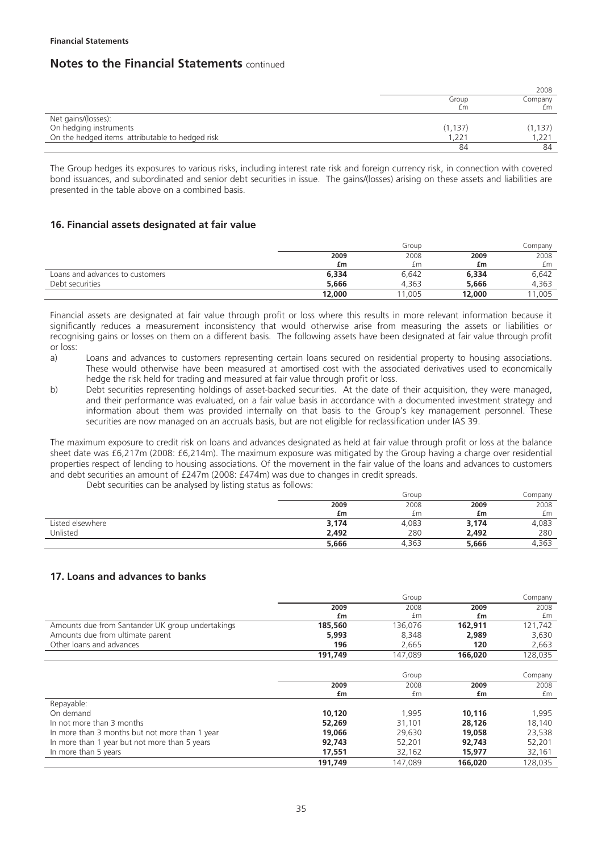|                                                 |             | 2008          |
|-------------------------------------------------|-------------|---------------|
|                                                 | Group<br>£m | Company<br>£m |
| Net gains/(losses):                             |             |               |
| On hedging instruments                          | (1, 137)    | (1, 137)      |
| On the hedged items attributable to hedged risk | ,221        | 1,221         |
|                                                 | 84          | 84            |

The Group hedges its exposures to various risks, including interest rate risk and foreign currency risk, in connection with covered bond issuances, and subordinated and senior debt securities in issue. The gains/(losses) arising on these assets and liabilities are presented in the table above on a combined basis.

## **16. Financial assets designated at fair value**

|                                 |        | Group |        | Company |
|---------------------------------|--------|-------|--------|---------|
|                                 | 2009   | 2008  | 2009   | 2008    |
|                                 | £m     | £m    | £m     | £m      |
| Loans and advances to customers | 6,334  | 6,642 | 6,334  | 6,642   |
| Debt securities                 | 5,666  | 4.363 | 5.666  | 4.363   |
|                                 | 12,000 | 1,005 | 12,000 | 11.005  |

Financial assets are designated at fair value through profit or loss where this results in more relevant information because it significantly reduces a measurement inconsistency that would otherwise arise from measuring the assets or liabilities or recognising gains or losses on them on a different basis. The following assets have been designated at fair value through profit or loss:<br>a)

- Loans and advances to customers representing certain loans secured on residential property to housing associations. These would otherwise have been measured at amortised cost with the associated derivatives used to economically hedge the risk held for trading and measured at fair value through profit or loss.
- b) Debt securities representing holdings of asset-backed securities. At the date of their acquisition, they were managed, and their performance was evaluated, on a fair value basis in accordance with a documented investment strategy and information about them was provided internally on that basis to the Group's key management personnel. These securities are now managed on an accruals basis, but are not eligible for reclassification under IAS 39.

The maximum exposure to credit risk on loans and advances designated as held at fair value through profit or loss at the balance sheet date was £6,217m (2008: £6,214m). The maximum exposure was mitigated by the Group having a charge over residential properties respect of lending to housing associations. Of the movement in the fair value of the loans and advances to customers and debt securities an amount of £247m (2008: £474m) was due to changes in credit spreads.

Debt securities can be analysed by listing status as follows:

|                  |       | Group |       | Companv |
|------------------|-------|-------|-------|---------|
|                  | 2009  | 2008  | 2009  | 2008    |
|                  | £m    | £m    | £m    | £m      |
| Listed elsewhere | 3,174 | 4,083 | 3,174 | 4,083   |
| Unlisted         | 2.492 | 280   | 2,492 | 280     |
|                  | 5,666 | 4,363 | 5,666 | 4,363   |

### **17. Loans and advances to banks**

|                                                  |         | Group   |         | Company |
|--------------------------------------------------|---------|---------|---------|---------|
|                                                  | 2009    | 2008    | 2009    | 2008    |
|                                                  | £m      | £m      | £m      | £m      |
| Amounts due from Santander UK group undertakings | 185,560 | 136,076 | 162,911 | 121,742 |
| Amounts due from ultimate parent                 | 5,993   | 8,348   | 2,989   | 3,630   |
| Other loans and advances                         | 196     | 2,665   | 120     | 2,663   |
|                                                  | 191,749 | 147,089 | 166,020 | 128,035 |
|                                                  |         |         |         |         |
|                                                  |         | Group   |         | Company |
|                                                  | 2009    | 2008    | 2009    | 2008    |
|                                                  | £m      | £m      | £m      | fm      |
| Repayable:                                       |         |         |         |         |
| On demand                                        | 10,120  | 1,995   | 10,116  | 1,995   |
| In not more than 3 months                        | 52,269  | 31,101  | 28,126  | 18,140  |
| In more than 3 months but not more than 1 year   | 19,066  | 29,630  | 19,058  | 23,538  |
| In more than 1 year but not more than 5 years    | 92,743  | 52,201  | 92,743  | 52,201  |
| In more than 5 years                             | 17,551  | 32,162  | 15,977  | 32,161  |
|                                                  | 191.749 | 147.089 | 166,020 | 128.035 |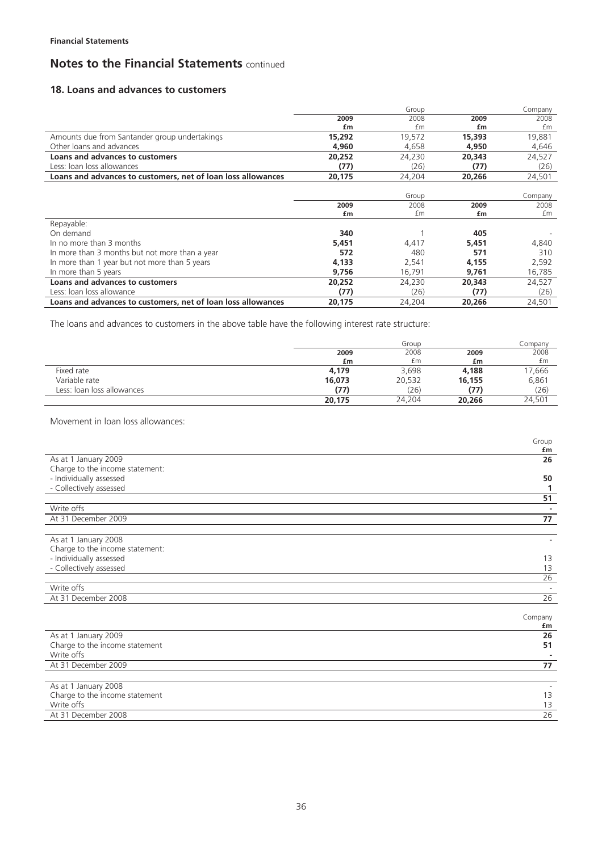## **18. Loans and advances to customers**

|                                                              |        | Group  |        | Company |
|--------------------------------------------------------------|--------|--------|--------|---------|
|                                                              | 2009   | 2008   | 2009   | 2008    |
|                                                              | £m     | fm     | £m     | fm      |
| Amounts due from Santander group undertakings                | 15,292 | 19,572 | 15,393 | 19,881  |
| Other loans and advances                                     | 4,960  | 4,658  | 4,950  | 4,646   |
| Loans and advances to customers                              | 20,252 | 24,230 | 20,343 | 24,527  |
| Less: Joan Joss allowances                                   | (77)   | (26)   | (77)   | (26)    |
| Loans and advances to customers, net of loan loss allowances | 20,175 | 24,204 | 20,266 | 24,501  |
|                                                              |        |        |        |         |
|                                                              |        | Group  |        | Company |
|                                                              | 2009   | 2008   | 2009   | 2008    |
|                                                              | £m     | £m     | £m     | £m      |
| Repayable:                                                   |        |        |        |         |
| On demand                                                    | 340    |        | 405    |         |
| In no more than 3 months                                     | 5,451  | 4,417  | 5,451  | 4,840   |
| In more than 3 months but not more than a year               | 572    | 480    | 571    | 310     |
| In more than 1 year but not more than 5 years                | 4,133  | 2,541  | 4,155  | 2,592   |
| In more than 5 years                                         | 9,756  | 16,791 | 9,761  | 16,785  |
| Loans and advances to customers                              | 20,252 | 24,230 | 20,343 | 24,527  |
| Less: Joan Joss allowance                                    | (77)   | (26)   | (77)   | (26)    |
| Loans and advances to customers, net of loan loss allowances | 20,175 | 24,204 | 20,266 | 24,501  |

The loans and advances to customers in the above table have the following interest rate structure:

|                            |        | Group  |        | Company |
|----------------------------|--------|--------|--------|---------|
|                            | 2009   | 2008   | 2009   | 2008    |
|                            | £m     | £m     | £m     | £m      |
| Fixed rate                 | 4,179  | 3,698  | 4,188  | 17,666  |
| Variable rate              | 16,073 | 20,532 | 16,155 | 6,861   |
| Less: loan loss allowances | (77)   | (26)   | (77)   | (26)    |
|                            | 20,175 | 24,204 | 20,266 | 24,501  |

Movement in loan loss allowances:

|                                 | Group    |
|---------------------------------|----------|
|                                 | £m       |
| As at 1 January 2009            | 26       |
| Charge to the income statement: |          |
| - Individually assessed         | 50       |
| - Collectively assessed         |          |
|                                 | 51       |
| Write offs                      | ٠        |
| At 31 December 2009             | 77       |
|                                 |          |
| As at 1 January 2008            |          |
| Charge to the income statement: |          |
| - Individually assessed         | 13       |
| - Collectively assessed         | 13       |
|                                 | 26       |
| Write offs                      |          |
| At 31 December 2008             | 26       |
|                                 |          |
|                                 | Company  |
| As at 1 January 2009            | £m<br>26 |
|                                 |          |
| Charge to the income statement  | 51       |
| Write offs                      |          |
| At 31 December 2009             | 77       |
|                                 |          |
| As at 1 January 2008            |          |
| Charge to the income statement  | 13       |
| Write offs                      | 13       |
| At 31 December 2008             | 26       |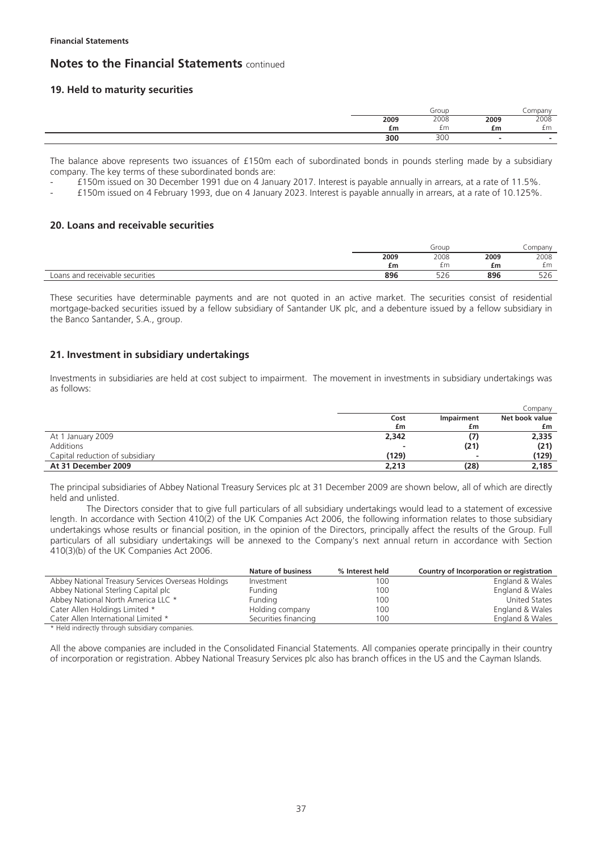### **19. Held to maturity securities**

|      | Group |      | .ompany |
|------|-------|------|---------|
| 2009 | 2008  | 2009 | 2008    |
| £m   | £m    | £m   | £m      |
| 300  | 300   |      |         |

The balance above represents two issuances of £150m each of subordinated bonds in pounds sterling made by a subsidiary company. The key terms of these subordinated bonds are:

- £150m issued on 30 December 1991 due on 4 January 2017. Interest is payable annually in arrears, at a rate of 11.5%.

- £150m issued on 4 February 1993, due on 4 January 2023. Interest is payable annually in arrears, at a rate of 10.125%.

#### **20. Loans and receivable securities**

|                                       |      | Group                |      | .ompany              |
|---------------------------------------|------|----------------------|------|----------------------|
|                                       | 2009 | 2008                 | 2009 | 2008                 |
|                                       | £m   | £m                   | £m   | £m                   |
| Loans and<br>d receivable securities. | 896  | $\sim$ $\sim$<br>⊃∠∪ | 896  | $\sim$ $\sim$<br>⊃∠o |

These securities have determinable payments and are not quoted in an active market. The securities consist of residential mortgage-backed securities issued by a fellow subsidiary of Santander UK plc, and a debenture issued by a fellow subsidiary in the Banco Santander, S.A., group.

### **21. Investment in subsidiary undertakings**

Investments in subsidiaries are held at cost subject to impairment. The movement in investments in subsidiary undertakings was as follows:

|                                 |       |            | Company        |
|---------------------------------|-------|------------|----------------|
|                                 | Cost  | Impairment | Net book value |
|                                 | £m    | £m         | £m             |
| At 1 January 2009               | 2,342 |            | 2,335          |
| Additions                       | -     | (21)       | (21)           |
| Capital reduction of subsidiary | (129) |            | (129)          |
| At 31 December 2009             | 2,213 | (28)       | 2,185          |

The principal subsidiaries of Abbey National Treasury Services plc at 31 December 2009 are shown below, all of which are directly held and unlisted.

The Directors consider that to give full particulars of all subsidiary undertakings would lead to a statement of excessive length. In accordance with Section 410(2) of the UK Companies Act 2006, the following information relates to those subsidiary undertakings whose results or financial position, in the opinion of the Directors, principally affect the results of the Group. Full particulars of all subsidiary undertakings will be annexed to the Company's next annual return in accordance with Section 410(3)(b) of the UK Companies Act 2006.

|                                                    | <b>Nature of business</b> | % Interest held | Country of Incorporation or registration |
|----------------------------------------------------|---------------------------|-----------------|------------------------------------------|
| Abbey National Treasury Services Overseas Holdings | Investment                | 100             | England & Wales                          |
| Abbey National Sterling Capital plc                | Funding                   | 100             | England & Wales                          |
| Abbey National North America LLC *                 | Funding                   | 100             | United States                            |
| Cater Allen Holdings Limited *                     | Holding company           | 100             | England & Wales                          |
| Cater Allen International Limited *                | Securities financing      | 100             | England & Wales                          |
|                                                    |                           |                 |                                          |

\* Held indirectly through subsidiary companies.

All the above companies are included in the Consolidated Financial Statements. All companies operate principally in their country of incorporation or registration. Abbey National Treasury Services plc also has branch offices in the US and the Cayman Islands.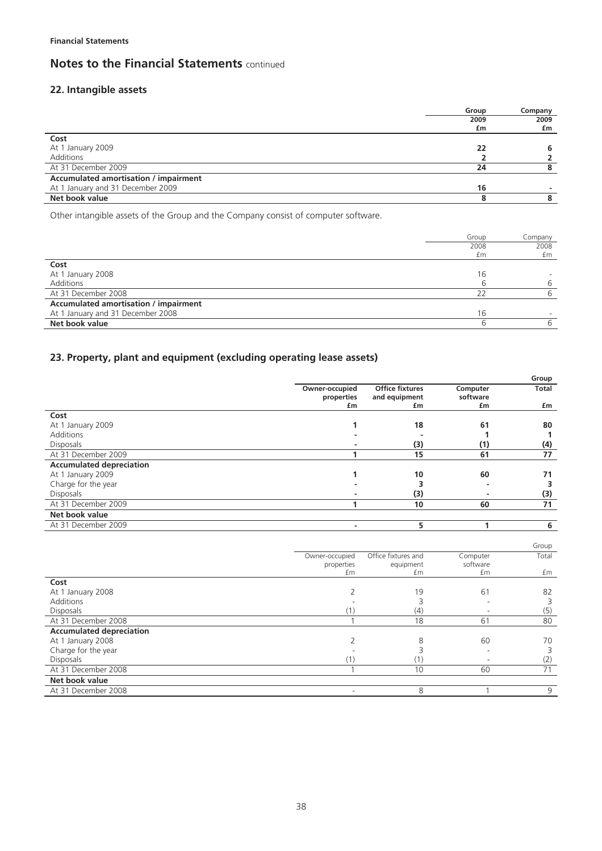## **22. Intangible assets**

| 2009                                         | 2009 |
|----------------------------------------------|------|
|                                              |      |
| £m                                           | £m   |
| Cost                                         |      |
| At 1 January 2009<br>22                      |      |
| Additions                                    |      |
| At 31 December 2009<br>24                    |      |
| <b>Accumulated amortisation / impairment</b> |      |
| At 1 January and 31 December 2009<br>16      |      |
| Net book value                               |      |

Other intangible assets of the Group and the Company consist of computer software.

|                                       | Group | Company |
|---------------------------------------|-------|---------|
|                                       | 2008  | 2008    |
|                                       | £m    | £m      |
| Cost                                  |       |         |
| At 1 January 2008                     | 16    |         |
| Additions                             | b     | 6       |
| At 31 December 2008                   | 22    | 6       |
| Accumulated amortisation / impairment |       |         |
| At 1 January and 31 December 2008     | 16    |         |
| Net book value                        | b     | 6       |

## **23. Property, plant and equipment (excluding operating lease assets)**

| <b>Office fixtures</b><br>Owner-occupied<br><b>Total</b><br>Computer<br>and equipment<br>software<br>properties<br>£m<br>£m<br>£m<br>£m<br>Cost<br>18<br>At 1 January 2009<br>61<br>80<br>Additions<br><b>Disposals</b><br>(3)<br>(4)<br>(1)<br>At 31 December 2009<br>77<br>15<br>61<br><b>Accumulated depreciation</b><br>At 1 January 2009<br>10<br>60<br>71<br>Charge for the year<br><b>Disposals</b><br>(3)<br>(3)<br>71<br>At 31 December 2009<br>10<br>60<br>Net book value |                     |   | Group |
|-------------------------------------------------------------------------------------------------------------------------------------------------------------------------------------------------------------------------------------------------------------------------------------------------------------------------------------------------------------------------------------------------------------------------------------------------------------------------------------|---------------------|---|-------|
|                                                                                                                                                                                                                                                                                                                                                                                                                                                                                     |                     |   |       |
|                                                                                                                                                                                                                                                                                                                                                                                                                                                                                     |                     |   |       |
|                                                                                                                                                                                                                                                                                                                                                                                                                                                                                     |                     |   |       |
|                                                                                                                                                                                                                                                                                                                                                                                                                                                                                     |                     |   |       |
|                                                                                                                                                                                                                                                                                                                                                                                                                                                                                     |                     |   |       |
|                                                                                                                                                                                                                                                                                                                                                                                                                                                                                     |                     |   |       |
|                                                                                                                                                                                                                                                                                                                                                                                                                                                                                     |                     |   |       |
|                                                                                                                                                                                                                                                                                                                                                                                                                                                                                     |                     |   |       |
|                                                                                                                                                                                                                                                                                                                                                                                                                                                                                     |                     |   |       |
|                                                                                                                                                                                                                                                                                                                                                                                                                                                                                     |                     |   |       |
|                                                                                                                                                                                                                                                                                                                                                                                                                                                                                     |                     |   |       |
|                                                                                                                                                                                                                                                                                                                                                                                                                                                                                     |                     |   |       |
|                                                                                                                                                                                                                                                                                                                                                                                                                                                                                     |                     |   |       |
|                                                                                                                                                                                                                                                                                                                                                                                                                                                                                     |                     |   |       |
|                                                                                                                                                                                                                                                                                                                                                                                                                                                                                     | At 31 December 2009 | 5 | 6     |

|                                 |                |                     |          | Group |
|---------------------------------|----------------|---------------------|----------|-------|
|                                 | Owner-occupied | Office fixtures and | Computer | Total |
|                                 | properties     | equipment           | software |       |
|                                 | £m             | £m                  | £m       | £m    |
| Cost                            |                |                     |          |       |
| At 1 January 2008               |                | 19                  | 61       | 82    |
| Additions                       |                |                     |          |       |
| <b>Disposals</b>                |                | (4)                 |          | (5)   |
| At 31 December 2008             |                | 18                  | 61       | 80    |
| <b>Accumulated depreciation</b> |                |                     |          |       |
| At 1 January 2008               |                | 8                   | 60       | 70    |
| Charge for the year             |                |                     |          |       |
| <b>Disposals</b>                |                |                     |          | (2)   |
| At 31 December 2008             |                | 10                  | 60       | 71    |
| Net book value                  |                |                     |          |       |
| At 31 December 2008             |                | 8                   |          | 9     |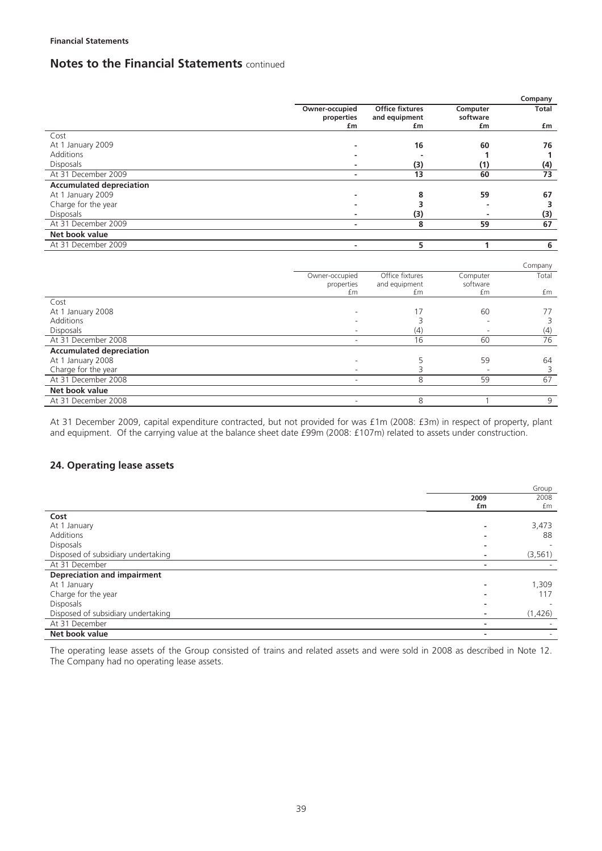|                                 |                          |                        |          | Company |
|---------------------------------|--------------------------|------------------------|----------|---------|
|                                 | Owner-occupied           | <b>Office fixtures</b> | Computer | Total   |
|                                 | properties               | and equipment          | software |         |
|                                 | £m                       | £m                     | £m       | £m      |
| Cost                            |                          |                        |          |         |
| At 1 January 2009               |                          | 16                     | 60       | 76      |
| <b>Additions</b>                |                          |                        | 1        | 1       |
| Disposals                       |                          | (3)                    | (1)      | (4)     |
| At 31 December 2009             | $\overline{\phantom{a}}$ | 13                     | 60       | 73      |
| <b>Accumulated depreciation</b> |                          |                        |          |         |
| At 1 January 2009               |                          | 8                      | 59       | 67      |
| Charge for the year             |                          | 3                      |          | 3       |
| <b>Disposals</b>                |                          | (3)                    |          | (3)     |
| At 31 December 2009             | $\blacksquare$           | 8                      | 59       | 67      |
| Net book value                  |                          |                        |          |         |
| At 31 December 2009             | ٠                        | 5                      | 1        | 6       |
|                                 |                          |                        |          |         |
|                                 |                          |                        |          | Company |
|                                 | Owner-occupied           | Office fixtures        | Computer | Total   |
|                                 | properties               | and equipment          | software |         |
|                                 | £m                       | £m                     | £m       | £m      |
| Cost                            |                          |                        |          |         |
| At 1 January 2008               |                          | 17                     | 60       | 77      |
| <b>Additions</b>                |                          | 3                      |          | 3       |
| <b>Disposals</b>                |                          | (4)                    |          | (4)     |
| At 31 December 2008             | ٠                        | 16                     | 60       | 76      |
| <b>Accumulated depreciation</b> |                          |                        |          |         |
| At 1 January 2008               |                          | 5                      | 59       | 64      |
| Charge for the year             |                          | 3                      |          | 3       |
| At 31 December 2008             | ٠                        | 8                      | 59       | 67      |
| Net book value                  |                          |                        |          |         |

At 31 December 2009, capital expenditure contracted, but not provided for was £1m (2008: £3m) in respect of property, plant and equipment. Of the carrying value at the balance sheet date £99m (2008: £107m) related to assets under construction.

At 31 December 2008 **8** 1 9

### **24. Operating lease assets**

|                                    |                          | Group    |
|------------------------------------|--------------------------|----------|
|                                    | 2009                     | 2008     |
|                                    | £m                       | £m       |
| Cost                               |                          |          |
| At 1 January                       | -                        | 3,473    |
| Additions                          |                          | 88       |
| <b>Disposals</b>                   | ۰                        |          |
| Disposed of subsidiary undertaking | $\overline{\phantom{a}}$ | (3, 561) |
| At 31 December                     | ۰                        |          |
| <b>Depreciation and impairment</b> |                          |          |
| At 1 January                       | ٠                        | 1,309    |
| Charge for the year                |                          | 117      |
| Disposals                          | -                        |          |
| Disposed of subsidiary undertaking | $\overline{\phantom{a}}$ | (1,426)  |
| At 31 December                     | ٠                        |          |
| Net book value                     |                          |          |

The operating lease assets of the Group consisted of trains and related assets and were sold in 2008 as described in Note 12. The Company had no operating lease assets.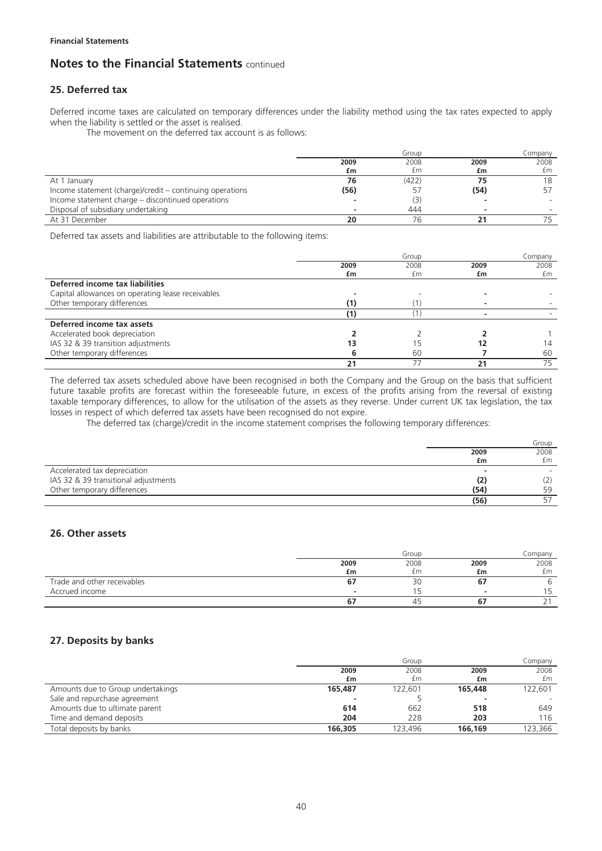## **25. Deferred tax**

Deferred income taxes are calculated on temporary differences under the liability method using the tax rates expected to apply when the liability is settled or the asset is realised.

The movement on the deferred tax account is as follows:

|                                                          |      | Group |      | Company |
|----------------------------------------------------------|------|-------|------|---------|
|                                                          | 2009 | 2008  | 2009 | 2008    |
|                                                          | £m   | £m    | £m   | £m      |
| At 1 January                                             | 76   | (422) |      |         |
| Income statement (charge)/credit – continuing operations | (56) | ל כ   | (54) |         |
| Income statement charge – discontinued operations        |      | (3)   |      |         |
| Disposal of subsidiary undertaking                       |      | 444   |      |         |
| At 31 December                                           | 20   | 76    |      |         |

Deferred tax assets and liabilities are attributable to the following items:

|                                                   |      | Group |      | Company |
|---------------------------------------------------|------|-------|------|---------|
|                                                   | 2009 | 2008  | 2009 | 2008    |
|                                                   | £m   | £m    | £m   | £m      |
| Deferred income tax liabilities                   |      |       |      |         |
| Capital allowances on operating lease receivables |      |       |      |         |
| Other temporary differences                       |      |       |      |         |
|                                                   |      |       |      |         |
| Deferred income tax assets                        |      |       |      |         |
| Accelerated book depreciation                     |      |       |      |         |
| IAS 32 & 39 transition adjustments                |      |       |      | 14      |
| Other temporary differences                       |      | 60    |      | 60      |
|                                                   |      |       |      | 75      |

The deferred tax assets scheduled above have been recognised in both the Company and the Group on the basis that sufficient future taxable profits are forecast within the foreseeable future, in excess of the profits arising from the reversal of existing taxable temporary differences, to allow for the utilisation of the assets as they reverse. Under current UK tax legislation, the tax losses in respect of which deferred tax assets have been recognised do not expire.

The deferred tax (charge)/credit in the income statement comprises the following temporary differences:

|                                      |      | Group |
|--------------------------------------|------|-------|
|                                      | 2009 | 2008  |
|                                      | £m   | £m    |
| Accelerated tax depreciation         |      |       |
| IAS 32 & 39 transitional adjustments | (2)  |       |
| Other temporary differences          | (54) | 59    |
|                                      | (56) |       |

### **26. Other assets**

|                             |      | Group |                          | Company |
|-----------------------------|------|-------|--------------------------|---------|
|                             | 2009 | 2008  | 2009                     | 2008    |
|                             | £m   | £m    | £m                       | £m      |
| Trade and other receivables | O.   | 30    |                          |         |
| Accrued income              |      |       | $\overline{\phantom{a}}$ |         |
|                             |      | 45    |                          |         |

## **27. Deposits by banks**

|                                   |         | Group   |         | Company |
|-----------------------------------|---------|---------|---------|---------|
|                                   | 2009    | 2008    | 2009    | 2008    |
|                                   | £m      | £m      | £m      | £m      |
| Amounts due to Group undertakings | 165,487 | 122.601 | 165,448 | 122,601 |
| Sale and repurchase agreement     |         |         |         |         |
| Amounts due to ultimate parent    | 614     | 662     | 518     | 649     |
| Time and demand deposits          | 204     | 228     | 203     | 116     |
| Total deposits by banks           | 166,305 | 123,496 | 166,169 | 123.366 |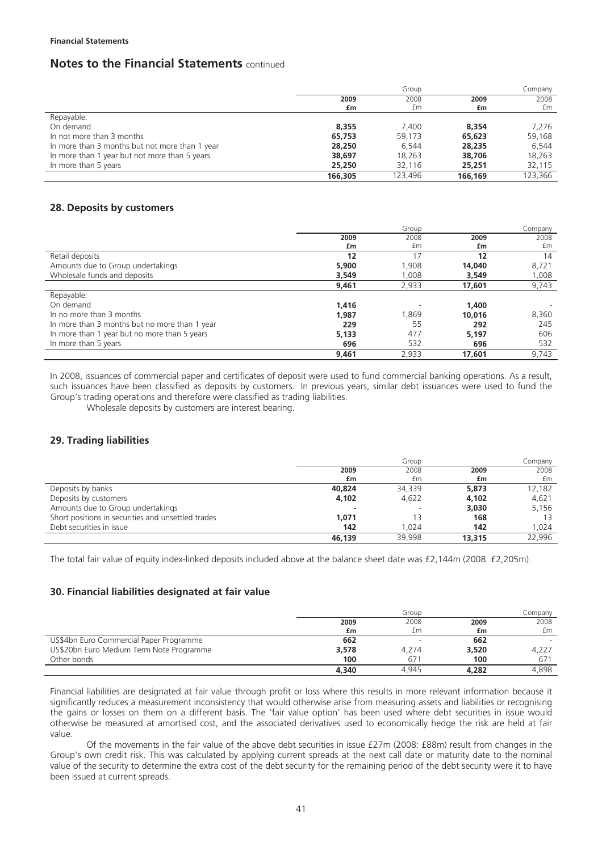#### **Financial Statements**

## **Notes to the Financial Statements** continued

|                                                |         | Group   |         | Company |
|------------------------------------------------|---------|---------|---------|---------|
|                                                | 2009    | 2008    | 2009    | 2008    |
|                                                | £m      | £m      | £m      | £m      |
| Repayable:                                     |         |         |         |         |
| On demand                                      | 8,355   | 7,400   | 8,354   | 7,276   |
| In not more than 3 months                      | 65,753  | 59.173  | 65,623  | 59,168  |
| In more than 3 months but not more than 1 year | 28,250  | 6.544   | 28,235  | 6.544   |
| In more than 1 year but not more than 5 years  | 38,697  | 18,263  | 38,706  | 18,263  |
| In more than 5 years                           | 25,250  | 32.116  | 25,251  | 32,115  |
|                                                | 166.305 | 123.496 | 166.169 | 123.366 |

## **28. Deposits by customers**

|                                               |       | Group |        | Company |
|-----------------------------------------------|-------|-------|--------|---------|
|                                               | 2009  | 2008  | 2009   | 2008    |
|                                               | £m    | £m    | £m     | £m      |
| Retail deposits                               | 12    | 17    | 12     | 14      |
| Amounts due to Group undertakings             | 5,900 | 1.908 | 14,040 | 8,721   |
| Wholesale funds and deposits                  | 3.549 | 1,008 | 3.549  | 1,008   |
|                                               | 9,461 | 2,933 | 17,601 | 9,743   |
| Repayable:                                    |       |       |        |         |
| On demand                                     | 1.416 |       | 1,400  |         |
| In no more than 3 months                      | 1.987 | 1,869 | 10,016 | 8,360   |
| In more than 3 months but no more than 1 year | 229   | 55    | 292    | 245     |
| In more than 1 year but no more than 5 years  | 5,133 | 477   | 5,197  | 606     |
| In more than 5 years                          | 696   | 532   | 696    | 532     |
|                                               | 9.461 | 2.933 | 17,601 | 9.743   |

In 2008, issuances of commercial paper and certificates of deposit were used to fund commercial banking operations. As a result, such issuances have been classified as deposits by customers. In previous years, similar debt issuances were used to fund the Group's trading operations and therefore were classified as trading liabilities.

Wholesale deposits by customers are interest bearing.

## **29. Trading liabilities**

|                                                    |        | Group  |        | Company |
|----------------------------------------------------|--------|--------|--------|---------|
|                                                    | 2009   | 2008   | 2009   | 2008    |
|                                                    | £m     | £m     | £m     | £m      |
| Deposits by banks                                  | 40,824 | 34,339 | 5,873  | 12.182  |
| Deposits by customers                              | 4,102  | 4,622  | 4,102  | 4,621   |
| Amounts due to Group undertakings                  |        |        | 3.030  | 5,156   |
| Short positions in securities and unsettled trades | 1.071  | 13     | 168    |         |
| Debt securities in issue                           | 142    | 1.024  | 142    | 1.024   |
|                                                    | 46.139 | 39.998 | 13,315 | 22.996  |

The total fair value of equity index-linked deposits included above at the balance sheet date was £2,144m (2008: £2,205m).

### **30. Financial liabilities designated at fair value**

|                                          |       | Group                    |       | Companv |
|------------------------------------------|-------|--------------------------|-------|---------|
|                                          | 2009  | 2008                     | 2009  | 2008    |
|                                          | £m    | £m                       | £m    | £m      |
| US\$4bn Euro Commercial Paper Programme  | 662   | $\overline{\phantom{0}}$ | 662   |         |
| US\$20bn Euro Medium Term Note Programme | 3,578 | 4.274                    | 3,520 | 4,227   |
| Other bonds                              | 100   | 671                      | 100   | 67      |
|                                          | 4.340 | 4.945                    | 4,282 | 4.898   |

Financial liabilities are designated at fair value through profit or loss where this results in more relevant information because it significantly reduces a measurement inconsistency that would otherwise arise from measuring assets and liabilities or recognising the gains or losses on them on a different basis. The 'fair value option' has been used where debt securities in issue would otherwise be measured at amortised cost, and the associated derivatives used to economically hedge the risk are held at fair value.

Of the movements in the fair value of the above debt securities in issue £27m (2008: £88m) result from changes in the Group's own credit risk. This was calculated by applying current spreads at the next call date or maturity date to the nominal value of the security to determine the extra cost of the debt security for the remaining period of the debt security were it to have been issued at current spreads.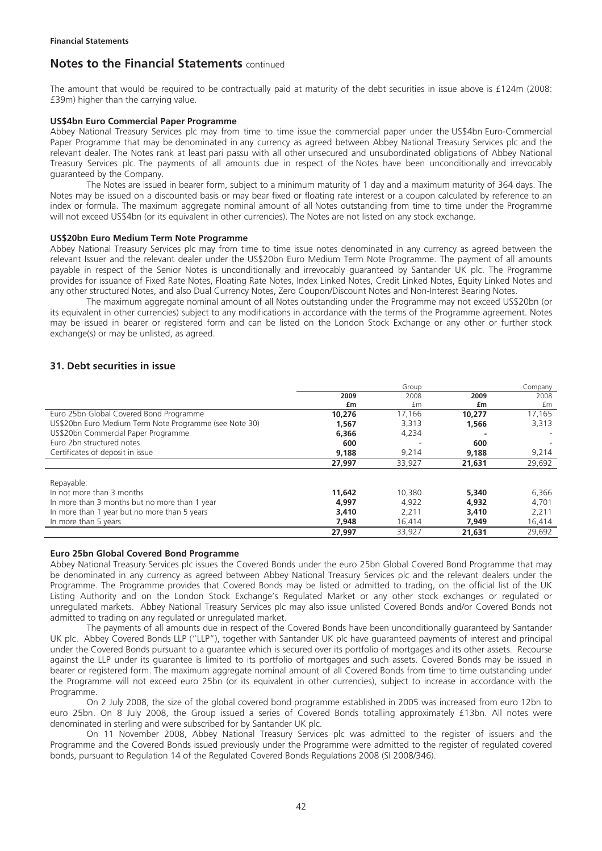The amount that would be required to be contractually paid at maturity of the debt securities in issue above is £124m (2008: £39m) higher than the carrying value.

#### **US\$4bn Euro Commercial Paper Programme**

Abbey National Treasury Services plc may from time to time issue the commercial paper under the US\$4bn Euro-Commercial Paper Programme that may be denominated in any currency as agreed between Abbey National Treasury Services plc and the relevant dealer. The Notes rank at least pari passu with all other unsecured and unsubordinated obligations of Abbey National Treasury Services plc. The payments of all amounts due in respect of the Notes have been unconditionally and irrevocably guaranteed by the Company.

The Notes are issued in bearer form, subject to a minimum maturity of 1 day and a maximum maturity of 364 days. The Notes may be issued on a discounted basis or may bear fixed or floating rate interest or a coupon calculated by reference to an index or formula. The maximum aggregate nominal amount of all Notes outstanding from time to time under the Programme will not exceed US\$4bn (or its equivalent in other currencies). The Notes are not listed on any stock exchange.

#### **US\$20bn Euro Medium Term Note Programme**

Abbey National Treasury Services plc may from time to time issue notes denominated in any currency as agreed between the relevant Issuer and the relevant dealer under the US\$20bn Euro Medium Term Note Programme. The payment of all amounts payable in respect of the Senior Notes is unconditionally and irrevocably guaranteed by Santander UK plc. The Programme provides for issuance of Fixed Rate Notes, Floating Rate Notes, Index Linked Notes, Credit Linked Notes, Equity Linked Notes and any other structured Notes, and also Dual Currency Notes, Zero Coupon/Discount Notes and Non-Interest Bearing Notes.

The maximum aggregate nominal amount of all Notes outstanding under the Programme may not exceed US\$20bn (or its equivalent in other currencies) subject to any modifications in accordance with the terms of the Programme agreement. Notes may be issued in bearer or registered form and can be listed on the London Stock Exchange or any other or further stock exchange(s) or may be unlisted, as agreed.

## **31. Debt securities in issue**

|                                                        |        | Group  |        | Company |
|--------------------------------------------------------|--------|--------|--------|---------|
|                                                        | 2009   | 2008   | 2009   | 2008    |
|                                                        | £m     | £m     | £m     | £m      |
| Euro 25bn Global Covered Bond Programme                | 10,276 | 17,166 | 10.277 | 17,165  |
| US\$20bn Euro Medium Term Note Programme (see Note 30) | 1,567  | 3,313  | 1,566  | 3,313   |
| US\$20bn Commercial Paper Programme                    | 6.366  | 4,234  |        |         |
| Euro 2bn structured notes                              | 600    |        | 600    |         |
| Certificates of deposit in issue                       | 9,188  | 9,214  | 9,188  | 9,214   |
|                                                        | 27.997 | 33,927 | 21,631 | 29,692  |
| Repayable:                                             |        |        |        |         |
| In not more than 3 months                              | 11,642 | 10,380 | 5,340  | 6,366   |
|                                                        |        |        |        |         |
| In more than 3 months but no more than 1 year          | 4,997  | 4,922  | 4,932  | 4,701   |
| In more than 1 year but no more than 5 years           | 3,410  | 2.211  | 3,410  | 2,211   |
| In more than 5 years                                   | 7,948  | 16,414 | 7,949  | 16,414  |
|                                                        | 27,997 | 33,927 | 21.631 | 29.692  |

#### **Euro 25bn Global Covered Bond Programme**

Abbey National Treasury Services plc issues the Covered Bonds under the euro 25bn Global Covered Bond Programme that may be denominated in any currency as agreed between Abbey National Treasury Services plc and the relevant dealers under the Programme. The Programme provides that Covered Bonds may be listed or admitted to trading, on the official list of the UK Listing Authority and on the London Stock Exchange's Regulated Market or any other stock exchanges or regulated or unregulated markets. Abbey National Treasury Services plc may also issue unlisted Covered Bonds and/or Covered Bonds not admitted to trading on any regulated or unregulated market.

The payments of all amounts due in respect of the Covered Bonds have been unconditionally guaranteed by Santander UK plc. Abbey Covered Bonds LLP ("LLP"), together with Santander UK plc have guaranteed payments of interest and principal under the Covered Bonds pursuant to a guarantee which is secured over its portfolio of mortgages and its other assets. Recourse against the LLP under its guarantee is limited to its portfolio of mortgages and such assets. Covered Bonds may be issued in bearer or registered form. The maximum aggregate nominal amount of all Covered Bonds from time to time outstanding under the Programme will not exceed euro 25bn (or its equivalent in other currencies), subject to increase in accordance with the Programme.

On 2 July 2008, the size of the global covered bond programme established in 2005 was increased from euro 12bn to euro 25bn. On 8 July 2008, the Group issued a series of Covered Bonds totalling approximately £13bn. All notes were denominated in sterling and were subscribed for by Santander UK plc.

On 11 November 2008, Abbey National Treasury Services plc was admitted to the register of issuers and the Programme and the Covered Bonds issued previously under the Programme were admitted to the register of regulated covered bonds, pursuant to Regulation 14 of the Regulated Covered Bonds Regulations 2008 (SI 2008/346).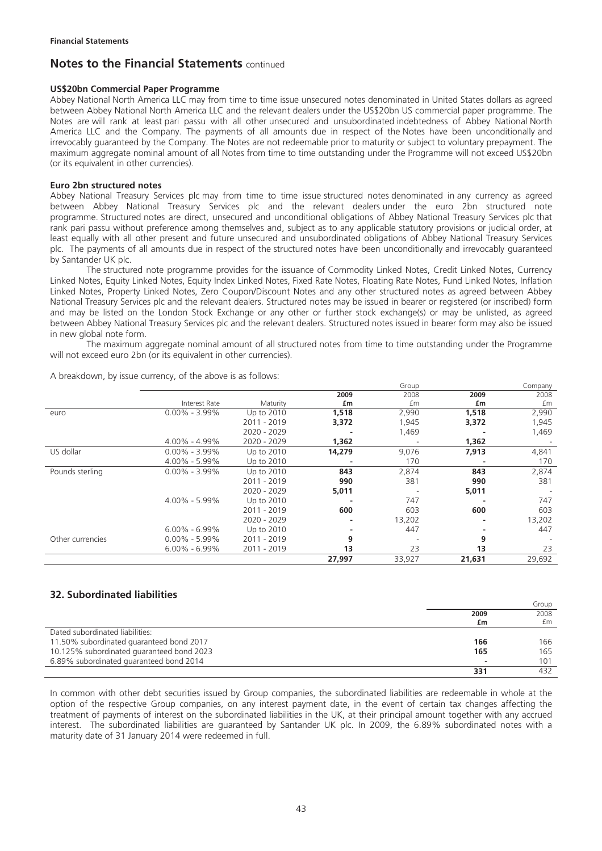#### **US\$20bn Commercial Paper Programme**

Abbey National North America LLC may from time to time issue unsecured notes denominated in United States dollars as agreed between Abbey National North America LLC and the relevant dealers under the US\$20bn US commercial paper programme. The Notes are will rank at least pari passu with all other unsecured and unsubordinated indebtedness of Abbey National North America LLC and the Company. The payments of all amounts due in respect of the Notes have been unconditionally and irrevocably guaranteed by the Company. The Notes are not redeemable prior to maturity or subject to voluntary prepayment. The maximum aggregate nominal amount of all Notes from time to time outstanding under the Programme will not exceed US\$20bn (or its equivalent in other currencies).

#### **Euro 2bn structured notes**

Abbey National Treasury Services plc may from time to time issue structured notes denominated in any currency as agreed between Abbey National Treasury Services plc and the relevant dealers under the euro 2bn structured note programme. Structured notes are direct, unsecured and unconditional obligations of Abbey National Treasury Services plc that rank pari passu without preference among themselves and, subject as to any applicable statutory provisions or judicial order, at least equally with all other present and future unsecured and unsubordinated obligations of Abbey National Treasury Services plc. The payments of all amounts due in respect of the structured notes have been unconditionally and irrevocably guaranteed by Santander UK plc.

The structured note programme provides for the issuance of Commodity Linked Notes, Credit Linked Notes, Currency Linked Notes, Equity Linked Notes, Equity Index Linked Notes, Fixed Rate Notes, Floating Rate Notes, Fund Linked Notes, Inflation Linked Notes, Property Linked Notes, Zero Coupon/Discount Notes and any other structured notes as agreed between Abbey National Treasury Services plc and the relevant dealers. Structured notes may be issued in bearer or registered (or inscribed) form and may be listed on the London Stock Exchange or any other or further stock exchange(s) or may be unlisted, as agreed between Abbey National Treasury Services plc and the relevant dealers. Structured notes issued in bearer form may also be issued in new global note form.

The maximum aggregate nominal amount of all structured notes from time to time outstanding under the Programme will not exceed euro 2bn (or its equivalent in other currencies).

|                  |                   |             |        | urvup  |                          | Company |
|------------------|-------------------|-------------|--------|--------|--------------------------|---------|
|                  |                   |             | 2009   | 2008   | 2009                     | 2008    |
|                  | Interest Rate     | Maturity    | £m     | £m     | £m                       | £m      |
| euro             | $0.00\% - 3.99\%$ | Up to 2010  | 1,518  | 2,990  | 1,518                    | 2,990   |
|                  |                   | 2011 - 2019 | 3,372  | 1,945  | 3,372                    | 1,945   |
|                  |                   | 2020 - 2029 |        | 1,469  |                          | 1,469   |
|                  | $4.00\% - 4.99\%$ | 2020 - 2029 | 1,362  |        | 1,362                    |         |
| US dollar        | $0.00\% - 3.99\%$ | Up to 2010  | 14,279 | 9,076  | 7,913                    | 4,841   |
|                  | $4.00\% - 5.99\%$ | Up to 2010  |        | 170    |                          | 170     |
| Pounds sterling  | $0.00\% - 3.99\%$ | Up to 2010  | 843    | 2,874  | 843                      | 2,874   |
|                  |                   | 2011 - 2019 | 990    | 381    | 990                      | 381     |
|                  |                   | 2020 - 2029 | 5,011  |        | 5,011                    |         |
|                  | 4.00% - 5.99%     | Up to 2010  |        | 747    |                          | 747     |
|                  |                   | 2011 - 2019 | 600    | 603    | 600                      | 603     |
|                  |                   | 2020 - 2029 |        | 13,202 | $\overline{\phantom{0}}$ | 13,202  |
|                  | $6.00\% - 6.99\%$ | Up to 2010  |        | 447    |                          | 447     |
| Other currencies | $0.00\% - 5.99\%$ | 2011 - 2019 | 9      |        | 9                        |         |
|                  | $6.00\% - 6.99\%$ | 2011 - 2019 | 13     | 23     | 13                       | 23      |
|                  |                   |             | 27,997 | 33,927 | 21,631                   | 29,692  |

A breakdown, by issue currency, of the above is as follows: Group Company Company

## **32. Subordinated liabilities**

|                                           |      | Group |
|-------------------------------------------|------|-------|
|                                           | 2009 | 2008  |
|                                           | £m   | £m    |
| Dated subordinated liabilities:           |      |       |
| 11.50% subordinated guaranteed bond 2017  | 166  | 166   |
| 10.125% subordinated guaranteed bond 2023 | 165  | 165   |
| 6.89% subordinated guaranteed bond 2014   |      | 101   |
|                                           | 331  | 432   |

In common with other debt securities issued by Group companies, the subordinated liabilities are redeemable in whole at the option of the respective Group companies, on any interest payment date, in the event of certain tax changes affecting the treatment of payments of interest on the subordinated liabilities in the UK, at their principal amount together with any accrued interest. The subordinated liabilities are guaranteed by Santander UK plc. In 2009, the 6.89% subordinated notes with a maturity date of 31 January 2014 were redeemed in full.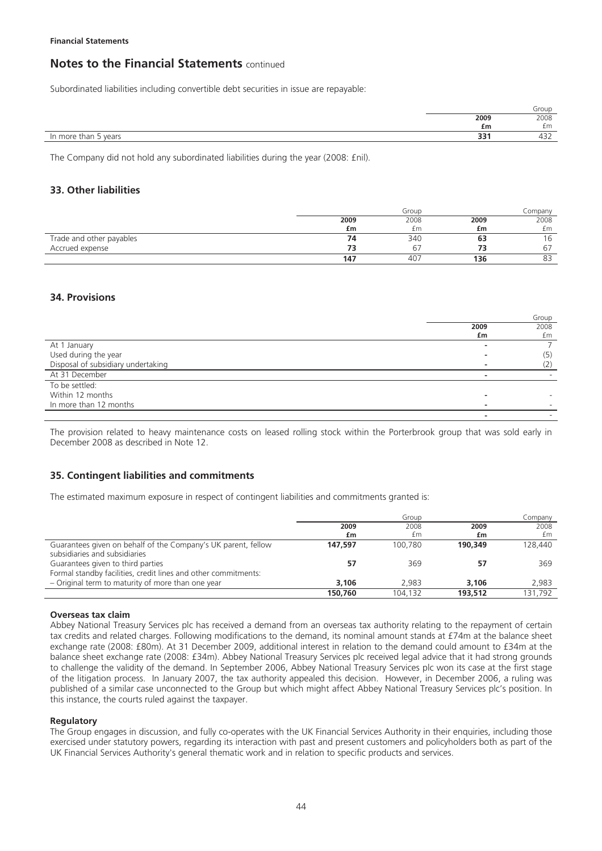Subordinated liabilities including convertible debt securities in issue are repayable:

|                                                        |            | Group                       |
|--------------------------------------------------------|------------|-----------------------------|
|                                                        | 2009       | 2008                        |
|                                                        | £m         | £m                          |
| $\overline{\phantom{0}}$<br>In more than<br>vears<br>ັ | י בר<br>၁၁ | $\sim$ $\sim$ $\sim$<br>43Z |
|                                                        |            |                             |

The Company did not hold any subordinated liabilities during the year (2008: £nil).

### **33. Other liabilities**

|                          |      | Group |      | Company |
|--------------------------|------|-------|------|---------|
|                          | 2009 | 2008  | 2009 | 2008    |
|                          | £m   | £m    | £m   | £m      |
| Trade and other payables | 74   | 340   | 63   | 6       |
| Accrued expense          |      | 67    | 73   | 67      |
|                          | 147  | 407   | 136  | 83      |

## **34. Provisions**

|                                    |                          | Group |
|------------------------------------|--------------------------|-------|
|                                    | 2009                     | 2008  |
|                                    | £m                       | £m    |
| At 1 January                       | ۰                        |       |
| Used during the year               |                          | (5)   |
| Disposal of subsidiary undertaking |                          | (2)   |
| At 31 December                     | $\overline{\phantom{0}}$ |       |
| To be settled:                     |                          |       |
| Within 12 months                   |                          |       |
| In more than 12 months             | -                        |       |
|                                    |                          |       |

The provision related to heavy maintenance costs on leased rolling stock within the Porterbrook group that was sold early in December 2008 as described in Note 12.

## **35. Contingent liabilities and commitments**

The estimated maximum exposure in respect of contingent liabilities and commitments granted is:

|                                                                | Group   |         | Company |         |
|----------------------------------------------------------------|---------|---------|---------|---------|
|                                                                | 2009    | 2008    | 2009    | 2008    |
|                                                                | £m      | £m      | £m      | £m      |
| Guarantees given on behalf of the Company's UK parent, fellow  | 147.597 | 100.780 | 190.349 | 128,440 |
| subsidiaries and subsidiaries                                  |         |         |         |         |
| Guarantees given to third parties                              | 57      | 369     | 57      | 369     |
| Formal standby facilities, credit lines and other commitments: |         |         |         |         |
| - Original term to maturity of more than one year              | 3.106   | 2.983   | 3.106   | 2.983   |
|                                                                | 150,760 | 104.132 | 193,512 | 131.792 |

#### **Overseas tax claim**

Abbey National Treasury Services plc has received a demand from an overseas tax authority relating to the repayment of certain tax credits and related charges. Following modifications to the demand, its nominal amount stands at £74m at the balance sheet exchange rate (2008: £80m). At 31 December 2009, additional interest in relation to the demand could amount to £34m at the balance sheet exchange rate (2008: £34m). Abbey National Treasury Services plc received legal advice that it had strong grounds to challenge the validity of the demand. In September 2006, Abbey National Treasury Services plc won its case at the first stage of the litigation process. In January 2007, the tax authority appealed this decision. However, in December 2006, a ruling was published of a similar case unconnected to the Group but which might affect Abbey National Treasury Services plc's position. In this instance, the courts ruled against the taxpayer.

#### **Regulatory**

The Group engages in discussion, and fully co-operates with the UK Financial Services Authority in their enquiries, including those exercised under statutory powers, regarding its interaction with past and present customers and policyholders both as part of the UK Financial Services Authority's general thematic work and in relation to specific products and services.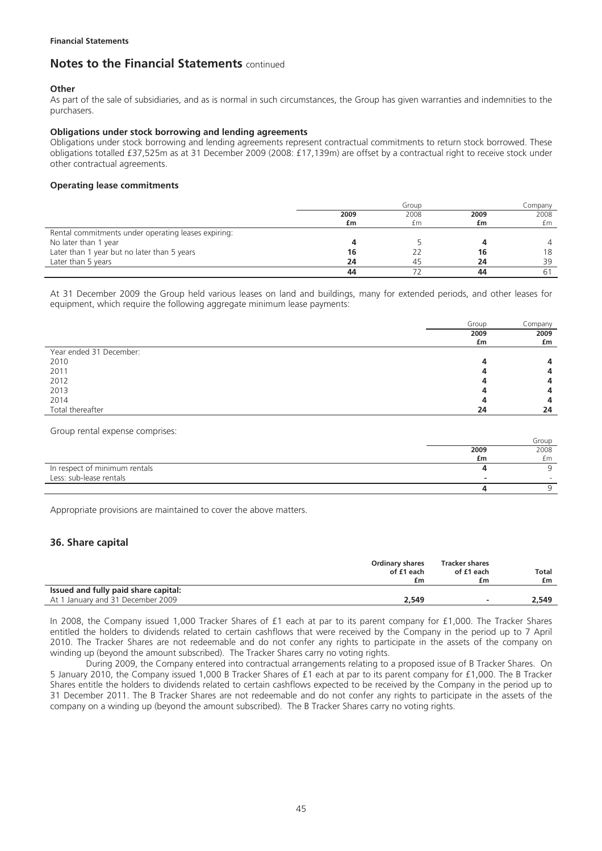#### **Other**

As part of the sale of subsidiaries, and as is normal in such circumstances, the Group has given warranties and indemnities to the purchasers.

#### **Obligations under stock borrowing and lending agreements**

Obligations under stock borrowing and lending agreements represent contractual commitments to return stock borrowed. These obligations totalled £37,525m as at 31 December 2009 (2008: £17,139m) are offset by a contractual right to receive stock under other contractual agreements.

#### **Operating lease commitments**

|                                                     |      | Group |      | Companv        |
|-----------------------------------------------------|------|-------|------|----------------|
|                                                     | 2009 | 2008  | 2009 | 2008           |
|                                                     | £m   | £m    | £m   | £m             |
| Rental commitments under operating leases expiring: |      |       |      |                |
| No later than 1 year                                |      |       |      | $\overline{4}$ |
| Later than 1 year but no later than 5 years         | 16   |       | 16   | 18             |
| Later than 5 years                                  | 24   | 45    | 24   | 39             |
|                                                     | 44   |       | 44   |                |

At 31 December 2009 the Group held various leases on land and buildings, many for extended periods, and other leases for equipment, which require the following aggregate minimum lease payments:

|                         | Group | Company |
|-------------------------|-------|---------|
|                         | 2009  | 2009    |
|                         | £m    | £m      |
| Year ended 31 December: |       |         |
| 2010                    |       | 4       |
| 2011                    |       | 4       |
| 2012                    |       | 4       |
| 2013                    |       | 4       |
| 2014                    |       | 4       |
| Total thereafter        | 24    | 24      |

Group rental expense comprises:

|                               |      | Group |
|-------------------------------|------|-------|
|                               | 2009 | 2008  |
|                               | £m   | £m    |
| In respect of minimum rentals |      |       |
| Less: sub-lease rentals       |      |       |
|                               |      |       |

Appropriate provisions are maintained to cover the above matters.

## **36. Share capital**

|                                      | <b>Ordinary shares</b><br>of £1 each<br>£m | <b>Tracker shares</b><br>of £1 each<br>£m | <b>Total</b><br>£m |
|--------------------------------------|--------------------------------------------|-------------------------------------------|--------------------|
| Issued and fully paid share capital: |                                            |                                           |                    |
| At 1 January and 31 December 2009    | 2.549                                      | -                                         | 2.549              |

In 2008, the Company issued 1,000 Tracker Shares of £1 each at par to its parent company for £1,000. The Tracker Shares entitled the holders to dividends related to certain cashflows that were received by the Company in the period up to 7 April 2010. The Tracker Shares are not redeemable and do not confer any rights to participate in the assets of the company on winding up (beyond the amount subscribed). The Tracker Shares carry no voting rights.

During 2009, the Company entered into contractual arrangements relating to a proposed issue of B Tracker Shares. On 5 January 2010, the Company issued 1,000 B Tracker Shares of £1 each at par to its parent company for £1,000. The B Tracker Shares entitle the holders to dividends related to certain cashflows expected to be received by the Company in the period up to 31 December 2011. The B Tracker Shares are not redeemable and do not confer any rights to participate in the assets of the company on a winding up (beyond the amount subscribed). The B Tracker Shares carry no voting rights.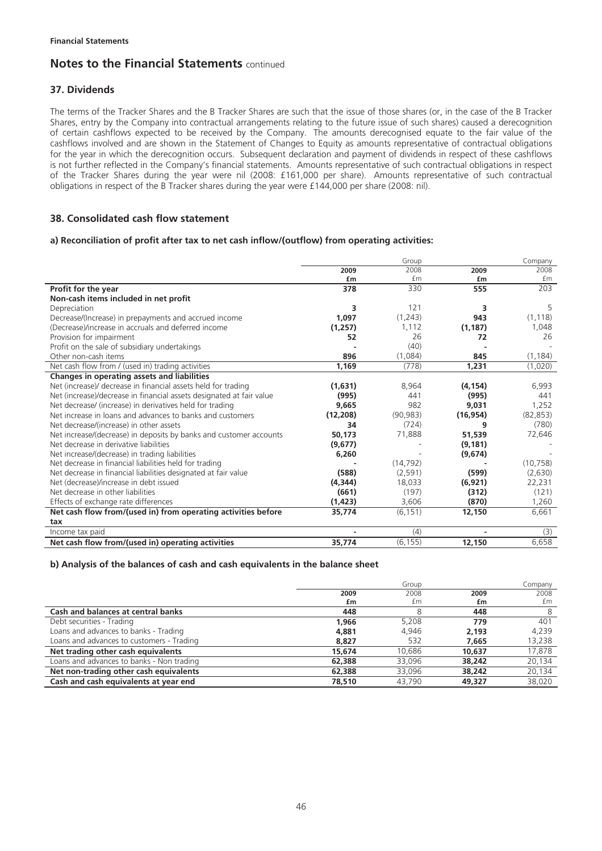## **37. Dividends**

The terms of the Tracker Shares and the B Tracker Shares are such that the issue of those shares (or, in the case of the B Tracker Shares, entry by the Company into contractual arrangements relating to the future issue of such shares) caused a derecognition of certain cashflows expected to be received by the Company. The amounts derecognised equate to the fair value of the cashflows involved and are shown in the Statement of Changes to Equity as amounts representative of contractual obligations for the year in which the derecognition occurs. Subsequent declaration and payment of dividends in respect of these cashflows is not further reflected in the Company's financial statements. Amounts representative of such contractual obligations in respect of the Tracker Shares during the year were nil (2008: £161,000 per share). Amounts representative of such contractual obligations in respect of the B Tracker shares during the year were £144,000 per share (2008: nil).

## **38. Consolidated cash flow statement**

#### **a) Reconciliation of profit after tax to net cash inflow/(outflow) from operating activities:**

|                                                                      |           | Group     |           | Company   |
|----------------------------------------------------------------------|-----------|-----------|-----------|-----------|
|                                                                      | 2009      | 2008      | 2009      | 2008      |
|                                                                      | £m        | £m        | £m        | £m        |
| Profit for the year                                                  | 378       | 330       | 555       | 203       |
| Non-cash items included in net profit                                |           |           |           |           |
| Depreciation                                                         | 3         | 121       | 3         | 5         |
| Decrease/(Increase) in prepayments and accrued income                | 1,097     | (1,243)   | 943       | (1, 118)  |
| (Decrease)/increase in accruals and deferred income                  | (1,257)   | 1,112     | (1, 187)  | 1,048     |
| Provision for impairment                                             | 52        | 26        | 72        | 26        |
| Profit on the sale of subsidiary undertakings                        |           | (40)      |           |           |
| Other non-cash items                                                 | 896       | (1,084)   | 845       | (1, 184)  |
| Net cash flow from / (used in) trading activities                    | 1,169     | (778)     | 1,231     | (1,020)   |
| Changes in operating assets and liabilities                          |           |           |           |           |
| Net (increase)/ decrease in financial assets held for trading        | (1,631)   | 8,964     | (4, 154)  | 6,993     |
| Net (increase)/decrease in financial assets designated at fair value | (995)     | 441       | (995)     | 441       |
| Net decrease/ (increase) in derivatives held for trading             | 9,665     | 982       | 9,031     | 1,252     |
| Net increase in loans and advances to banks and customers            | (12, 208) | (90, 983) | (16, 954) | (82, 853) |
| Net decrease/(increase) in other assets                              | 34        | (724)     | 9         | (780)     |
| Net increase/(decrease) in deposits by banks and customer accounts   | 50.173    | 71,888    | 51,539    | 72,646    |
| Net decrease in derivative liabilities                               | (9,677)   |           | (9, 181)  |           |
| Net increase/(decrease) in trading liabilities                       | 6,260     |           | (9,674)   |           |
| Net decrease in financial liabilities held for trading               |           | (14, 792) |           | (10, 758) |
| Net decrease in financial liabilities designated at fair value       | (588)     | (2, 591)  | (599)     | (2,630)   |
| Net (decrease)/increase in debt issued                               | (4, 344)  | 18,033    | (6,921)   | 22,231    |
| Net decrease in other liabilities                                    | (661)     | (197)     | (312)     | (121)     |
| Effects of exchange rate differences                                 | (1, 423)  | 3,606     | (870)     | 1,260     |
| Net cash flow from/(used in) from operating activities before        | 35,774    | (6, 151)  | 12,150    | 6,661     |
| tax                                                                  |           |           |           |           |
| Income tax paid                                                      |           | (4)       |           | (3)       |
| Net cash flow from/(used in) operating activities                    | 35,774    | (6, 155)  | 12,150    | 6,658     |

#### **b) Analysis of the balances of cash and cash equivalents in the balance sheet**

|                                           |        | Group  |        | Company |
|-------------------------------------------|--------|--------|--------|---------|
|                                           | 2009   | 2008   | 2009   | 2008    |
|                                           | £m     | £m     | £m     | £m      |
| Cash and balances at central banks        | 448    |        | 448    |         |
| Debt securities - Trading                 | 1.966  | 5,208  | 779    | 401     |
| Loans and advances to banks - Trading     | 4,881  | 4.946  | 2.193  | 4.239   |
| Loans and advances to customers - Trading | 8.827  | 532    | 7.665  | 13,238  |
| Net trading other cash equivalents        | 15,674 | 10.686 | 10,637 | 17,878  |
| Loans and advances to banks - Non trading | 62,388 | 33,096 | 38,242 | 20,134  |
| Net non-trading other cash equivalents    | 62,388 | 33.096 | 38,242 | 20,134  |
| Cash and cash equivalents at year end     | 78,510 | 43,790 | 49.327 | 38,020  |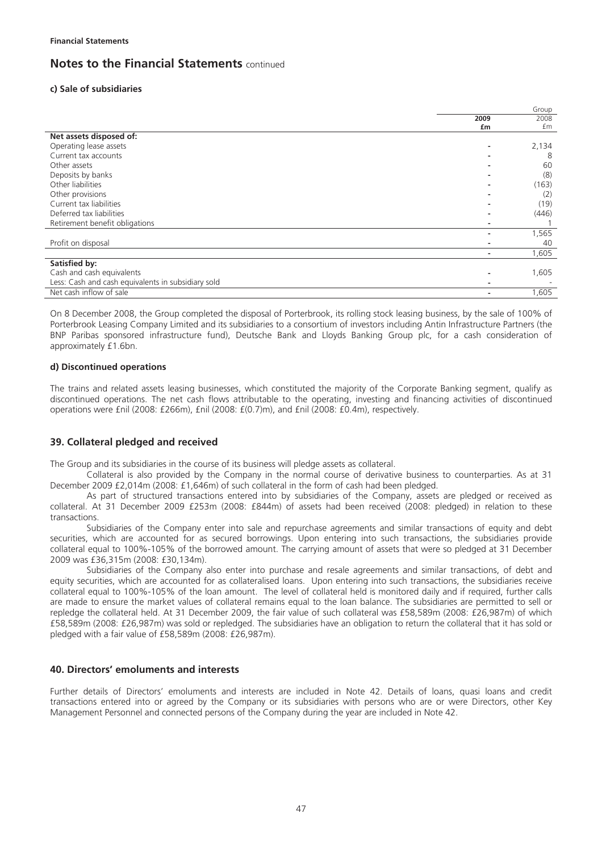### **c) Sale of subsidiaries**

|                                                    |      | Group |
|----------------------------------------------------|------|-------|
|                                                    | 2009 | 2008  |
|                                                    | £m   | £m    |
| Net assets disposed of:                            |      |       |
| Operating lease assets                             |      | 2,134 |
| Current tax accounts                               |      | 8     |
| Other assets                                       |      | 60    |
| Deposits by banks                                  |      | (8)   |
| Other liabilities                                  |      | (163) |
| Other provisions                                   |      | (2)   |
| Current tax liabilities                            |      | (19)  |
| Deferred tax liabilities                           |      | (446) |
| Retirement benefit obligations                     |      |       |
|                                                    |      | 1,565 |
| Profit on disposal                                 |      | 40    |
|                                                    |      | 1,605 |
| Satisfied by:                                      |      |       |
| Cash and cash equivalents                          |      | 1,605 |
| Less: Cash and cash equivalents in subsidiary sold |      |       |
| Net cash inflow of sale                            |      | 1,605 |

On 8 December 2008, the Group completed the disposal of Porterbrook, its rolling stock leasing business, by the sale of 100% of Porterbrook Leasing Company Limited and its subsidiaries to a consortium of investors including Antin Infrastructure Partners (the BNP Paribas sponsored infrastructure fund), Deutsche Bank and Lloyds Banking Group plc, for a cash consideration of approximately £1.6bn.

#### **d) Discontinued operations**

The trains and related assets leasing businesses, which constituted the majority of the Corporate Banking segment, qualify as discontinued operations. The net cash flows attributable to the operating, investing and financing activities of discontinued operations were £nil (2008: £266m), £nil (2008: £(0.7)m), and £nil (2008: £0.4m), respectively.

## **39. Collateral pledged and received**

The Group and its subsidiaries in the course of its business will pledge assets as collateral.

Collateral is also provided by the Company in the normal course of derivative business to counterparties. As at 31 December 2009 £2,014m (2008: £1,646m) of such collateral in the form of cash had been pledged.

As part of structured transactions entered into by subsidiaries of the Company, assets are pledged or received as collateral. At 31 December 2009 £253m (2008: £844m) of assets had been received (2008: pledged) in relation to these transactions.

Subsidiaries of the Company enter into sale and repurchase agreements and similar transactions of equity and debt securities, which are accounted for as secured borrowings. Upon entering into such transactions, the subsidiaries provide collateral equal to 100%-105% of the borrowed amount. The carrying amount of assets that were so pledged at 31 December 2009 was £36,315m (2008: £30,134m).

Subsidiaries of the Company also enter into purchase and resale agreements and similar transactions, of debt and equity securities, which are accounted for as collateralised loans. Upon entering into such transactions, the subsidiaries receive collateral equal to 100%-105% of the loan amount. The level of collateral held is monitored daily and if required, further calls are made to ensure the market values of collateral remains equal to the loan balance. The subsidiaries are permitted to sell or repledge the collateral held. At 31 December 2009, the fair value of such collateral was £58,589m (2008: £26,987m) of which £58,589m (2008: £26,987m) was sold or repledged. The subsidiaries have an obligation to return the collateral that it has sold or pledged with a fair value of £58,589m (2008: £26,987m).

## **40. Directors' emoluments and interests**

Further details of Directors' emoluments and interests are included in Note 42. Details of loans, quasi loans and credit transactions entered into or agreed by the Company or its subsidiaries with persons who are or were Directors, other Key Management Personnel and connected persons of the Company during the year are included in Note 42.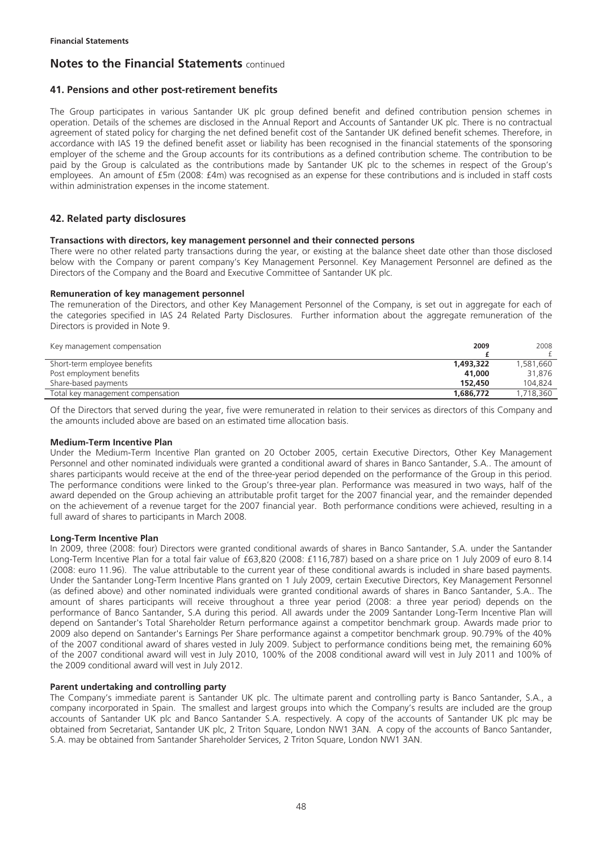### **41. Pensions and other post-retirement benefits**

The Group participates in various Santander UK plc group defined benefit and defined contribution pension schemes in operation. Details of the schemes are disclosed in the Annual Report and Accounts of Santander UK plc. There is no contractual agreement of stated policy for charging the net defined benefit cost of the Santander UK defined benefit schemes. Therefore, in accordance with IAS 19 the defined benefit asset or liability has been recognised in the financial statements of the sponsoring employer of the scheme and the Group accounts for its contributions as a defined contribution scheme. The contribution to be paid by the Group is calculated as the contributions made by Santander UK plc to the schemes in respect of the Group's employees. An amount of £5m (2008: £4m) was recognised as an expense for these contributions and is included in staff costs within administration expenses in the income statement.

## **42. Related party disclosures**

#### **Transactions with directors, key management personnel and their connected persons**

There were no other related party transactions during the year, or existing at the balance sheet date other than those disclosed below with the Company or parent company's Key Management Personnel. Key Management Personnel are defined as the Directors of the Company and the Board and Executive Committee of Santander UK plc.

#### **Remuneration of key management personnel**

The remuneration of the Directors, and other Key Management Personnel of the Company, is set out in aggregate for each of the categories specified in IAS 24 Related Party Disclosures. Further information about the aggregate remuneration of the Directors is provided in Note 9.

| Key management compensation       | 2009      | 2008      |
|-----------------------------------|-----------|-----------|
|                                   |           |           |
| Short-term employee benefits      | 1,493,322 | 1,581,660 |
| Post employment benefits          | 41,000    | 31,876    |
| Share-based payments              | 152.450   | 104.824   |
| Total key management compensation | 1.686.772 | 1,718,360 |

Of the Directors that served during the year, five were remunerated in relation to their services as directors of this Company and the amounts included above are based on an estimated time allocation basis.

#### **Medium-Term Incentive Plan**

Under the Medium-Term Incentive Plan granted on 20 October 2005, certain Executive Directors, Other Key Management Personnel and other nominated individuals were granted a conditional award of shares in Banco Santander, S.A.. The amount of shares participants would receive at the end of the three-year period depended on the performance of the Group in this period. The performance conditions were linked to the Group's three-year plan. Performance was measured in two ways, half of the award depended on the Group achieving an attributable profit target for the 2007 financial year, and the remainder depended on the achievement of a revenue target for the 2007 financial year. Both performance conditions were achieved, resulting in a full award of shares to participants in March 2008.

### **Long-Term Incentive Plan**

In 2009, three (2008: four) Directors were granted conditional awards of shares in Banco Santander, S.A. under the Santander Long-Term Incentive Plan for a total fair value of £63,820 (2008: £116,787) based on a share price on 1 July 2009 of euro 8.14 (2008: euro 11.96). The value attributable to the current year of these conditional awards is included in share based payments. Under the Santander Long-Term Incentive Plans granted on 1 July 2009, certain Executive Directors, Key Management Personnel (as defined above) and other nominated individuals were granted conditional awards of shares in Banco Santander, S.A.. The amount of shares participants will receive throughout a three year period (2008: a three year period) depends on the performance of Banco Santander, S.A during this period. All awards under the 2009 Santander Long-Term Incentive Plan will depend on Santander's Total Shareholder Return performance against a competitor benchmark group. Awards made prior to 2009 also depend on Santander's Earnings Per Share performance against a competitor benchmark group. 90.79% of the 40% of the 2007 conditional award of shares vested in July 2009. Subject to performance conditions being met, the remaining 60% of the 2007 conditional award will vest in July 2010, 100% of the 2008 conditional award will vest in July 2011 and 100% of the 2009 conditional award will vest in July 2012.

### **Parent undertaking and controlling party**

The Company's immediate parent is Santander UK plc. The ultimate parent and controlling party is Banco Santander, S.A., a company incorporated in Spain. The smallest and largest groups into which the Company's results are included are the group accounts of Santander UK plc and Banco Santander S.A. respectively. A copy of the accounts of Santander UK plc may be obtained from Secretariat, Santander UK plc, 2 Triton Square, London NW1 3AN. A copy of the accounts of Banco Santander, S.A. may be obtained from Santander Shareholder Services, 2 Triton Square, London NW1 3AN.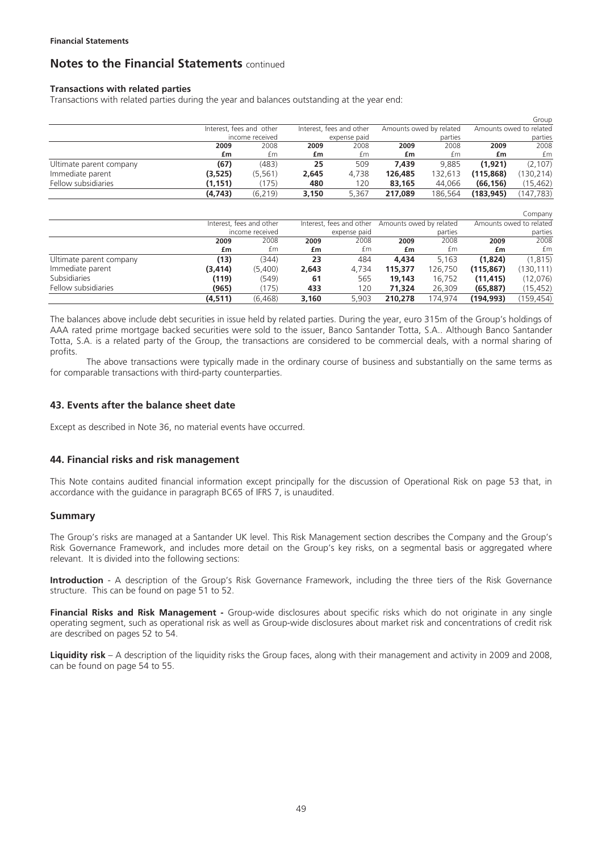### **Transactions with related parties**

Transactions with related parties during the year and balances outstanding at the year end:

|                         |          |                          |       |                          |         |                         |            | Group                   |
|-------------------------|----------|--------------------------|-------|--------------------------|---------|-------------------------|------------|-------------------------|
|                         |          | Interest, fees and other |       | Interest, fees and other |         | Amounts owed by related |            | Amounts owed to related |
|                         |          | income received          |       | expense paid             |         | parties                 |            | parties                 |
|                         | 2009     | 2008                     | 2009  | 2008                     | 2009    | 2008                    | 2009       | 2008                    |
|                         | £m       | £m                       | £m    | £m                       | £m      | £m                      | £m         | £m                      |
| Ultimate parent company | (67)     | (483)                    | 25    | 509                      | 7.439   | 9.885                   | (1.921)    | (2, 107)                |
| Immediate parent        | (3, 525) | (5, 561)                 | 2,645 | 4.738                    | 126,485 | 132.613                 | (115, 868) | 130,214)                |
| Fellow subsidiaries     | (1, 151) | (175)                    | 480   | 120                      | 83.165  | 44.066                  | (66, 156)  | (15,462)                |
|                         | (4, 743) | (6, 219)                 | 3,150 | 5.367                    | 217.089 | 186.564                 | (183, 945) | (147.783)               |

|                         |          |                          |       |                          |                         |         |            | Company                 |
|-------------------------|----------|--------------------------|-------|--------------------------|-------------------------|---------|------------|-------------------------|
|                         |          | Interest, fees and other |       | Interest, fees and other | Amounts owed by related |         |            | Amounts owed to related |
|                         |          | income received          |       | expense paid             |                         | parties |            | parties                 |
|                         | 2009     | 2008                     | 2009  | 2008                     | 2009                    | 2008    | 2009       | 2008                    |
|                         | £m       | £m                       | £m    | £m                       | £m                      | £m      | £m         | £m                      |
| Ultimate parent company | (13)     | (344)                    | 23    | 484                      | 4,434                   | 5.163   | (1.824)    | (1, 815)                |
| Immediate parent        | (3, 414) | (5,400)                  | 2.643 | 4.734                    | 115,377                 | 126.750 | (115, 867) | 130, 111)               |
| Subsidiaries            | (119)    | (549)                    | 61    | 565                      | 19,143                  | 16.752  | (11, 415)  | (12,076)                |
| Fellow subsidiaries     | (965)    | (175)                    | 433   | 120                      | 71,324                  | 26.309  | (65, 887)  | (15, 452)               |
|                         | (4, 511) | (6, 468)                 | 3.160 | 5.903                    | 210,278                 | 174.974 | (194,993)  | (159, 454)              |

The balances above include debt securities in issue held by related parties. During the year, euro 315m of the Group's holdings of AAA rated prime mortgage backed securities were sold to the issuer, Banco Santander Totta, S.A.. Although Banco Santander Totta, S.A. is a related party of the Group, the transactions are considered to be commercial deals, with a normal sharing of profits.

The above transactions were typically made in the ordinary course of business and substantially on the same terms as for comparable transactions with third-party counterparties.

### **43. Events after the balance sheet date**

Except as described in Note 36, no material events have occurred.

### **44. Financial risks and risk management**

This Note contains audited financial information except principally for the discussion of Operational Risk on page 53 that, in accordance with the guidance in paragraph BC65 of IFRS 7, is unaudited.

### **Summary**

The Group's risks are managed at a Santander UK level. This Risk Management section describes the Company and the Group's Risk Governance Framework, and includes more detail on the Group's key risks, on a segmental basis or aggregated where relevant. It is divided into the following sections:

**Introduction** - A description of the Group's Risk Governance Framework, including the three tiers of the Risk Governance structure. This can be found on page 51 to 52.

**Financial Risks and Risk Management -** Group-wide disclosures about specific risks which do not originate in any single operating segment, such as operational risk as well as Group-wide disclosures about market risk and concentrations of credit risk are described on pages 52 to 54.

**Liquidity risk** – A description of the liquidity risks the Group faces, along with their management and activity in 2009 and 2008, can be found on page 54 to 55.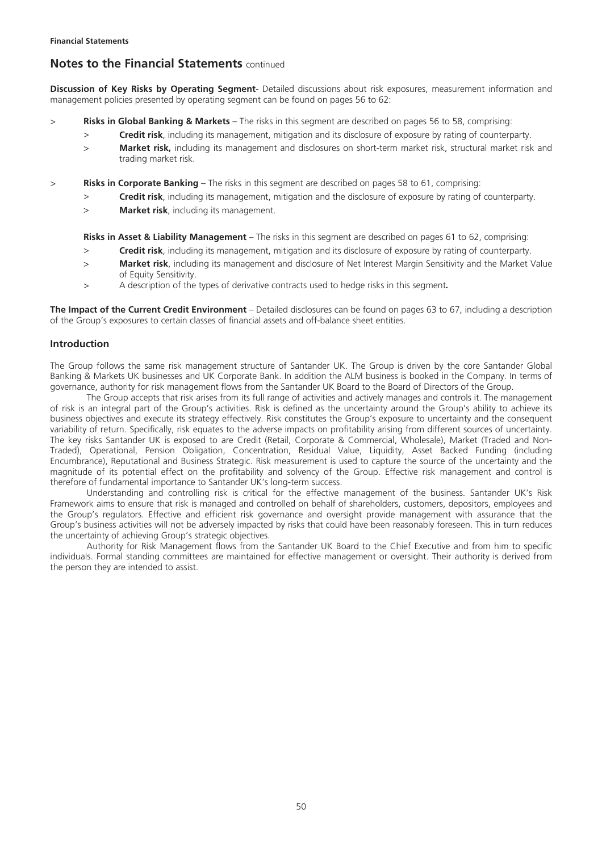**Discussion of Key Risks by Operating Segment**- Detailed discussions about risk exposures, measurement information and management policies presented by operating segment can be found on pages 56 to 62:

- > **Risks in Global Banking & Markets**  The risks in this segment are described on pages 56 to 58, comprising:
	- > **Credit risk**, including its management, mitigation and its disclosure of exposure by rating of counterparty.
	- > **Market risk,** including its management and disclosures on short-term market risk, structural market risk and trading market risk.
- > **Risks in Corporate Banking**  The risks in this segment are described on pages 58 to 61, comprising:
	- > **Credit risk**, including its management, mitigation and the disclosure of exposure by rating of counterparty.
	- > **Market risk**, including its management.

**Risks in Asset & Liability Management** – The risks in this segment are described on pages 61 to 62, comprising:

- > **Credit risk**, including its management, mitigation and its disclosure of exposure by rating of counterparty.
- > **Market risk**, including its management and disclosure of Net Interest Margin Sensitivity and the Market Value of Equity Sensitivity.
- > A description of the types of derivative contracts used to hedge risks in this segment**.**

**The Impact of the Current Credit Environment** – Detailed disclosures can be found on pages 63 to 67, including a description of the Group's exposures to certain classes of financial assets and off-balance sheet entities.

### **Introduction**

The Group follows the same risk management structure of Santander UK. The Group is driven by the core Santander Global Banking & Markets UK businesses and UK Corporate Bank. In addition the ALM business is booked in the Company. In terms of governance, authority for risk management flows from the Santander UK Board to the Board of Directors of the Group.

The Group accepts that risk arises from its full range of activities and actively manages and controls it. The management of risk is an integral part of the Group's activities. Risk is defined as the uncertainty around the Group's ability to achieve its business objectives and execute its strategy effectively. Risk constitutes the Group's exposure to uncertainty and the consequent variability of return. Specifically, risk equates to the adverse impacts on profitability arising from different sources of uncertainty. The key risks Santander UK is exposed to are Credit (Retail, Corporate & Commercial, Wholesale), Market (Traded and Non-Traded), Operational, Pension Obligation, Concentration, Residual Value, Liquidity, Asset Backed Funding (including Encumbrance), Reputational and Business Strategic. Risk measurement is used to capture the source of the uncertainty and the magnitude of its potential effect on the profitability and solvency of the Group. Effective risk management and control is therefore of fundamental importance to Santander UK's long-term success.

Understanding and controlling risk is critical for the effective management of the business. Santander UK's Risk Framework aims to ensure that risk is managed and controlled on behalf of shareholders, customers, depositors, employees and the Group's regulators. Effective and efficient risk governance and oversight provide management with assurance that the Group's business activities will not be adversely impacted by risks that could have been reasonably foreseen. This in turn reduces the uncertainty of achieving Group's strategic objectives.

Authority for Risk Management flows from the Santander UK Board to the Chief Executive and from him to specific individuals. Formal standing committees are maintained for effective management or oversight. Their authority is derived from the person they are intended to assist.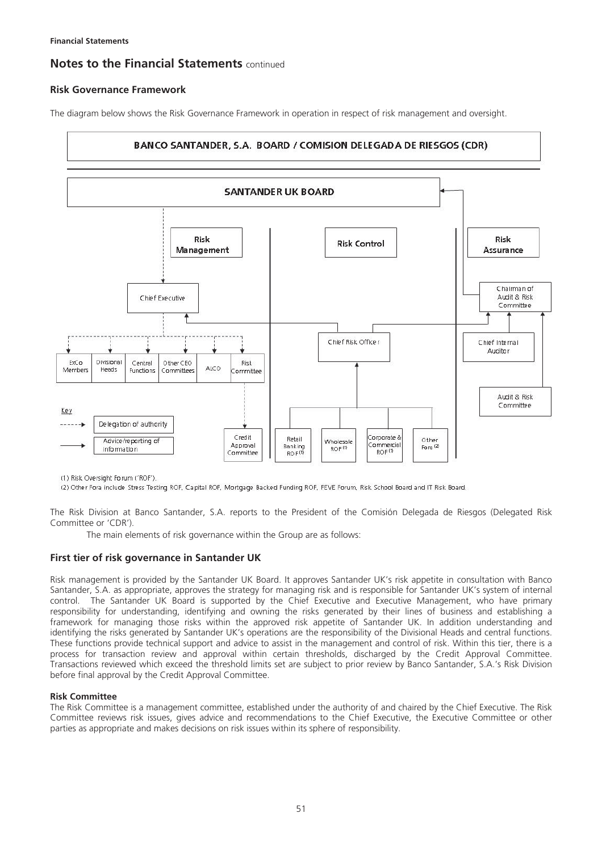## **Risk Governance Framework**

The diagram below shows the Risk Governance Framework in operation in respect of risk management and oversight.



(1) Risk Oversight Forum ('ROF').

(2) Other Fora include Stress Testing ROF, Capital ROF, Mortgage Backed Funding ROF, FEVE Forum, Risk School Board and IT Risk Board.

The Risk Division at Banco Santander, S.A. reports to the President of the Comisión Delegada de Riesgos (Delegated Risk Committee or 'CDR').

The main elements of risk governance within the Group are as follows:

### **First tier of risk governance in Santander UK**

Risk management is provided by the Santander UK Board. It approves Santander UK's risk appetite in consultation with Banco Santander, S.A. as appropriate, approves the strategy for managing risk and is responsible for Santander UK's system of internal control. The Santander UK Board is supported by the Chief Executive and Executive Management, who have primary responsibility for understanding, identifying and owning the risks generated by their lines of business and establishing a framework for managing those risks within the approved risk appetite of Santander UK. In addition understanding and identifying the risks generated by Santander UK's operations are the responsibility of the Divisional Heads and central functions. These functions provide technical support and advice to assist in the management and control of risk. Within this tier, there is a process for transaction review and approval within certain thresholds, discharged by the Credit Approval Committee. Transactions reviewed which exceed the threshold limits set are subject to prior review by Banco Santander, S.A.'s Risk Division before final approval by the Credit Approval Committee.

#### **Risk Committee**

The Risk Committee is a management committee, established under the authority of and chaired by the Chief Executive. The Risk Committee reviews risk issues, gives advice and recommendations to the Chief Executive, the Executive Committee or other parties as appropriate and makes decisions on risk issues within its sphere of responsibility.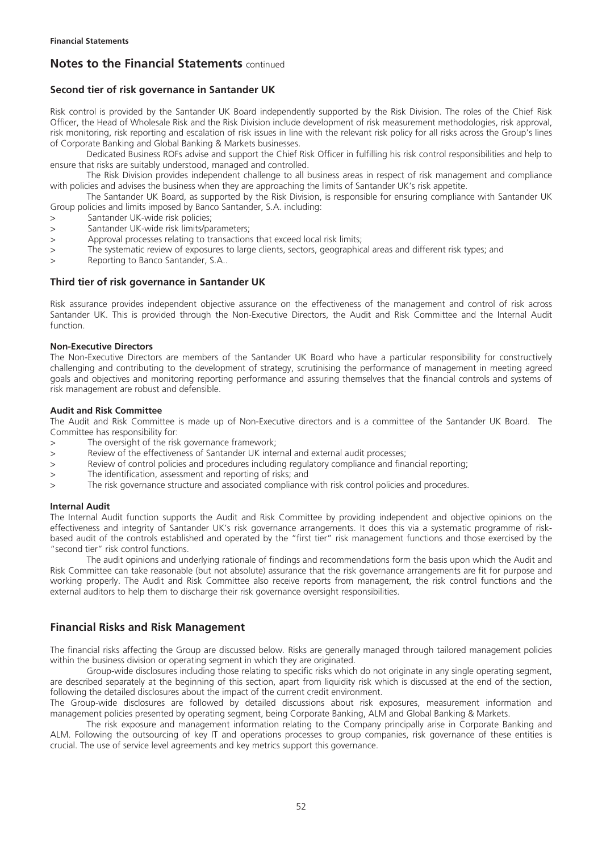## **Second tier of risk governance in Santander UK**

Risk control is provided by the Santander UK Board independently supported by the Risk Division. The roles of the Chief Risk Officer, the Head of Wholesale Risk and the Risk Division include development of risk measurement methodologies, risk approval, risk monitoring, risk reporting and escalation of risk issues in line with the relevant risk policy for all risks across the Group's lines of Corporate Banking and Global Banking & Markets businesses.

Dedicated Business ROFs advise and support the Chief Risk Officer in fulfilling his risk control responsibilities and help to ensure that risks are suitably understood, managed and controlled.

The Risk Division provides independent challenge to all business areas in respect of risk management and compliance with policies and advises the business when they are approaching the limits of Santander UK's risk appetite.

The Santander UK Board, as supported by the Risk Division, is responsible for ensuring compliance with Santander UK Group policies and limits imposed by Banco Santander, S.A. including:

- > Santander UK-wide risk policies;
- > Santander UK-wide risk limits/parameters;
- > Approval processes relating to transactions that exceed local risk limits;
- > The systematic review of exposures to large clients, sectors, geographical areas and different risk types; and
- > Reporting to Banco Santander, S.A..

#### **Third tier of risk governance in Santander UK**

Risk assurance provides independent objective assurance on the effectiveness of the management and control of risk across Santander UK. This is provided through the Non-Executive Directors, the Audit and Risk Committee and the Internal Audit function.

#### **Non-Executive Directors**

The Non-Executive Directors are members of the Santander UK Board who have a particular responsibility for constructively challenging and contributing to the development of strategy, scrutinising the performance of management in meeting agreed goals and objectives and monitoring reporting performance and assuring themselves that the financial controls and systems of risk management are robust and defensible.

#### **Audit and Risk Committee**

The Audit and Risk Committee is made up of Non-Executive directors and is a committee of the Santander UK Board. The Committee has responsibility for:

- > The oversight of the risk governance framework;
- > Review of the effectiveness of Santander UK internal and external audit processes;
- > Review of control policies and procedures including regulatory compliance and financial reporting;
- > The identification, assessment and reporting of risks; and
- > The risk governance structure and associated compliance with risk control policies and procedures.

#### **Internal Audit**

The Internal Audit function supports the Audit and Risk Committee by providing independent and objective opinions on the effectiveness and integrity of Santander UK's risk governance arrangements. It does this via a systematic programme of riskbased audit of the controls established and operated by the "first tier" risk management functions and those exercised by the "second tier" risk control functions.

The audit opinions and underlying rationale of findings and recommendations form the basis upon which the Audit and Risk Committee can take reasonable (but not absolute) assurance that the risk governance arrangements are fit for purpose and working properly. The Audit and Risk Committee also receive reports from management, the risk control functions and the external auditors to help them to discharge their risk governance oversight responsibilities.

## **Financial Risks and Risk Management**

The financial risks affecting the Group are discussed below. Risks are generally managed through tailored management policies within the business division or operating segment in which they are originated.

Group-wide disclosures including those relating to specific risks which do not originate in any single operating segment, are described separately at the beginning of this section, apart from liquidity risk which is discussed at the end of the section, following the detailed disclosures about the impact of the current credit environment.

The Group-wide disclosures are followed by detailed discussions about risk exposures, measurement information and management policies presented by operating segment, being Corporate Banking, ALM and Global Banking & Markets.

The risk exposure and management information relating to the Company principally arise in Corporate Banking and ALM. Following the outsourcing of key IT and operations processes to group companies, risk governance of these entities is crucial. The use of service level agreements and key metrics support this governance.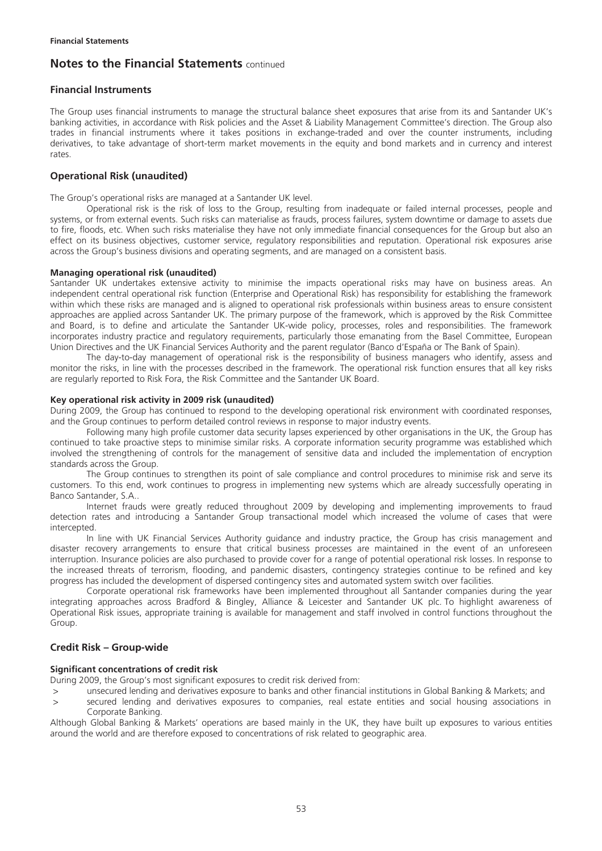### **Financial Instruments**

The Group uses financial instruments to manage the structural balance sheet exposures that arise from its and Santander UK's banking activities, in accordance with Risk policies and the Asset & Liability Management Committee's direction. The Group also trades in financial instruments where it takes positions in exchange-traded and over the counter instruments, including derivatives, to take advantage of short-term market movements in the equity and bond markets and in currency and interest rates.

## **Operational Risk (unaudited)**

The Group's operational risks are managed at a Santander UK level.

Operational risk is the risk of loss to the Group, resulting from inadequate or failed internal processes, people and systems, or from external events. Such risks can materialise as frauds, process failures, system downtime or damage to assets due to fire, floods, etc. When such risks materialise they have not only immediate financial consequences for the Group but also an effect on its business objectives, customer service, regulatory responsibilities and reputation. Operational risk exposures arise across the Group's business divisions and operating segments, and are managed on a consistent basis.

#### **Managing operational risk (unaudited)**

Santander UK undertakes extensive activity to minimise the impacts operational risks may have on business areas. An independent central operational risk function (Enterprise and Operational Risk) has responsibility for establishing the framework within which these risks are managed and is aligned to operational risk professionals within business areas to ensure consistent approaches are applied across Santander UK. The primary purpose of the framework, which is approved by the Risk Committee and Board, is to define and articulate the Santander UK-wide policy, processes, roles and responsibilities. The framework incorporates industry practice and regulatory requirements, particularly those emanating from the Basel Committee, European Union Directives and the UK Financial Services Authority and the parent regulator (Banco d'España or The Bank of Spain).

The day-to-day management of operational risk is the responsibility of business managers who identify, assess and monitor the risks, in line with the processes described in the framework. The operational risk function ensures that all key risks are regularly reported to Risk Fora, the Risk Committee and the Santander UK Board.

#### **Key operational risk activity in 2009 risk (unaudited)**

During 2009, the Group has continued to respond to the developing operational risk environment with coordinated responses, and the Group continues to perform detailed control reviews in response to major industry events.

Following many high profile customer data security lapses experienced by other organisations in the UK, the Group has continued to take proactive steps to minimise similar risks. A corporate information security programme was established which involved the strengthening of controls for the management of sensitive data and included the implementation of encryption standards across the Group.

The Group continues to strengthen its point of sale compliance and control procedures to minimise risk and serve its customers. To this end, work continues to progress in implementing new systems which are already successfully operating in Banco Santander, S.A..

Internet frauds were greatly reduced throughout 2009 by developing and implementing improvements to fraud detection rates and introducing a Santander Group transactional model which increased the volume of cases that were intercepted.

In line with UK Financial Services Authority guidance and industry practice, the Group has crisis management and disaster recovery arrangements to ensure that critical business processes are maintained in the event of an unforeseen interruption. Insurance policies are also purchased to provide cover for a range of potential operational risk losses. In response to the increased threats of terrorism, flooding, and pandemic disasters, contingency strategies continue to be refined and key progress has included the development of dispersed contingency sites and automated system switch over facilities.

Corporate operational risk frameworks have been implemented throughout all Santander companies during the year integrating approaches across Bradford & Bingley, Alliance & Leicester and Santander UK plc. To highlight awareness of Operational Risk issues, appropriate training is available for management and staff involved in control functions throughout the Group.

### **Credit Risk – Group-wide**

#### **Significant concentrations of credit risk**

During 2009, the Group's most significant exposures to credit risk derived from:

- unsecured lending and derivatives exposure to banks and other financial institutions in Global Banking & Markets; and
- > secured lending and derivatives exposures to companies, real estate entities and social housing associations in Corporate Banking.

Although Global Banking & Markets' operations are based mainly in the UK, they have built up exposures to various entities around the world and are therefore exposed to concentrations of risk related to geographic area.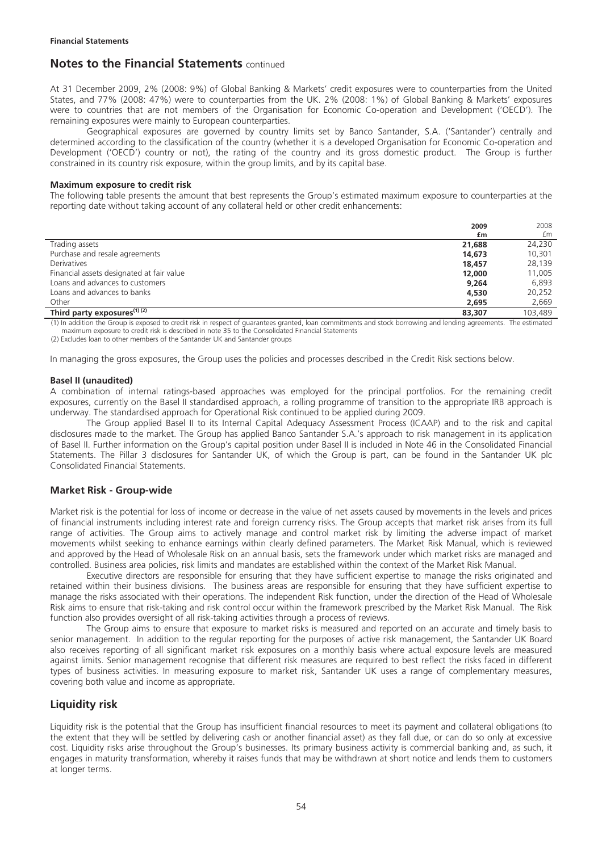At 31 December 2009, 2% (2008: 9%) of Global Banking & Markets' credit exposures were to counterparties from the United States, and 77% (2008: 47%) were to counterparties from the UK. 2% (2008: 1%) of Global Banking & Markets' exposures were to countries that are not members of the Organisation for Economic Co-operation and Development ('OECD'). The remaining exposures were mainly to European counterparties.

Geographical exposures are governed by country limits set by Banco Santander, S.A. ('Santander') centrally and determined according to the classification of the country (whether it is a developed Organisation for Economic Co-operation and Development ('OECD') country or not), the rating of the country and its gross domestic product. The Group is further constrained in its country risk exposure, within the group limits, and by its capital base.

#### **Maximum exposure to credit risk**

The following table presents the amount that best represents the Group's estimated maximum exposure to counterparties at the reporting date without taking account of any collateral held or other credit enhancements:

|                                           | 2009   | 2008    |
|-------------------------------------------|--------|---------|
|                                           | £m     | £m      |
| Trading assets                            | 21,688 | 24,230  |
| Purchase and resale agreements            | 14.673 | 10,301  |
| Derivatives                               | 18,457 | 28.139  |
| Financial assets designated at fair value | 12,000 | 11,005  |
| Loans and advances to customers           | 9.264  | 6.893   |
| Loans and advances to banks               | 4,530  | 20.252  |
| Other                                     | 2,695  | 2,669   |
| Third party exposures $\sqrt{11(2)}$      | 83,307 | 103.489 |

(1) In addition the Group is exposed to credit risk in respect of guarantees granted, loan commitments and stock borrowing and lending agreements. The estimated maximum exposure to credit risk is described in note 35 to the Consolidated Financial Statements

(2) Excludes loan to other members of the Santander UK and Santander groups

In managing the gross exposures, the Group uses the policies and processes described in the Credit Risk sections below.

#### **Basel II (unaudited)**

A combination of internal ratings-based approaches was employed for the principal portfolios. For the remaining credit exposures, currently on the Basel II standardised approach, a rolling programme of transition to the appropriate IRB approach is underway. The standardised approach for Operational Risk continued to be applied during 2009.

The Group applied Basel II to its Internal Capital Adequacy Assessment Process (ICAAP) and to the risk and capital disclosures made to the market. The Group has applied Banco Santander S.A.'s approach to risk management in its application of Basel II. Further information on the Group's capital position under Basel II is included in Note 46 in the Consolidated Financial Statements. The Pillar 3 disclosures for Santander UK, of which the Group is part, can be found in the Santander UK plc Consolidated Financial Statements.

### **Market Risk - Group-wide**

Market risk is the potential for loss of income or decrease in the value of net assets caused by movements in the levels and prices of financial instruments including interest rate and foreign currency risks. The Group accepts that market risk arises from its full range of activities. The Group aims to actively manage and control market risk by limiting the adverse impact of market movements whilst seeking to enhance earnings within clearly defined parameters. The Market Risk Manual, which is reviewed and approved by the Head of Wholesale Risk on an annual basis, sets the framework under which market risks are managed and controlled. Business area policies, risk limits and mandates are established within the context of the Market Risk Manual.

Executive directors are responsible for ensuring that they have sufficient expertise to manage the risks originated and retained within their business divisions. The business areas are responsible for ensuring that they have sufficient expertise to manage the risks associated with their operations. The independent Risk function, under the direction of the Head of Wholesale Risk aims to ensure that risk-taking and risk control occur within the framework prescribed by the Market Risk Manual. The Risk function also provides oversight of all risk-taking activities through a process of reviews.

The Group aims to ensure that exposure to market risks is measured and reported on an accurate and timely basis to senior management. In addition to the regular reporting for the purposes of active risk management, the Santander UK Board also receives reporting of all significant market risk exposures on a monthly basis where actual exposure levels are measured against limits. Senior management recognise that different risk measures are required to best reflect the risks faced in different types of business activities. In measuring exposure to market risk, Santander UK uses a range of complementary measures, covering both value and income as appropriate.

## **Liquidity risk**

Liquidity risk is the potential that the Group has insufficient financial resources to meet its payment and collateral obligations (to the extent that they will be settled by delivering cash or another financial asset) as they fall due, or can do so only at excessive cost. Liquidity risks arise throughout the Group's businesses. Its primary business activity is commercial banking and, as such, it engages in maturity transformation, whereby it raises funds that may be withdrawn at short notice and lends them to customers at longer terms.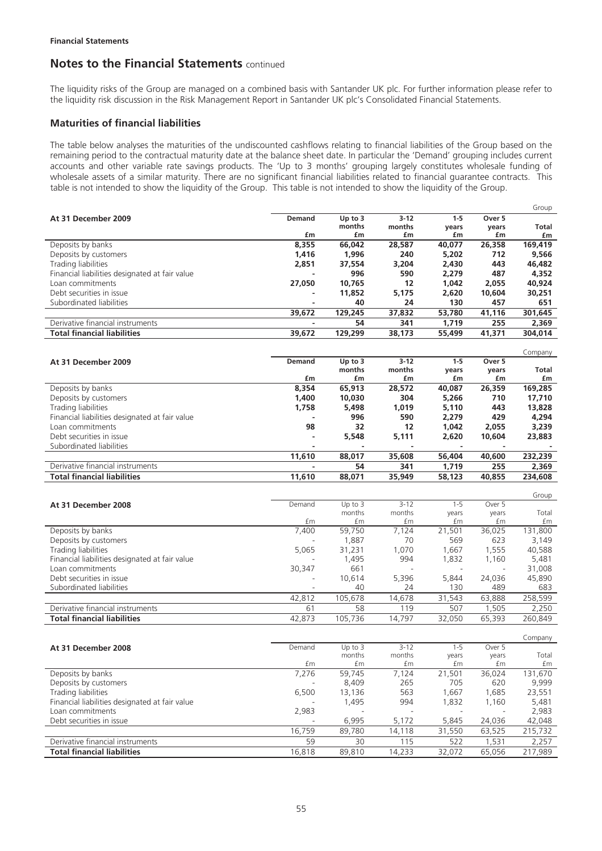The liquidity risks of the Group are managed on a combined basis with Santander UK plc. For further information please refer to the liquidity risk discussion in the Risk Management Report in Santander UK plc's Consolidated Financial Statements.

## **Maturities of financial liabilities**

The table below analyses the maturities of the undiscounted cashflows relating to financial liabilities of the Group based on the remaining period to the contractual maturity date at the balance sheet date. In particular the 'Demand' grouping includes current accounts and other variable rate savings products. The 'Up to 3 months' grouping largely constitutes wholesale funding of wholesale assets of a similar maturity. There are no significant financial liabilities related to financial guarantee contracts. This table is not intended to show the liquidity of the Group. This table is not intended to show the liquidity of the Group.

|                                                |                          |           |        |         |        | Group   |
|------------------------------------------------|--------------------------|-----------|--------|---------|--------|---------|
| At 31 December 2009                            | <b>Demand</b>            | Up to $3$ | $3-12$ | $1 - 5$ | Over 5 |         |
|                                                |                          | months    | months | vears   | years  | Total   |
|                                                | £m                       | £m        | £m     | £m      | £m     | £m      |
| Deposits by banks                              | 8,355                    | 66,042    | 28,587 | 40,077  | 26,358 | 169,419 |
| Deposits by customers                          | 1,416                    | 1.996     | 240    | 5,202   | 712    | 9,566   |
| Trading liabilities                            | 2,851                    | 37,554    | 3,204  | 2,430   | 443    | 46,482  |
| Financial liabilities designated at fair value |                          | 996       | 590    | 2.279   | 487    | 4,352   |
| Loan commitments                               | 27,050                   | 10,765    | 12     | 1,042   | 2.055  | 40,924  |
| Debt securities in issue                       |                          | 11,852    | 5.175  | 2.620   | 10,604 | 30,251  |
| Subordinated liabilities                       | $\overline{\phantom{0}}$ | 40        | 24     | 130     | 457    | 651     |
|                                                | 39,672                   | 129,245   | 37,832 | 53,780  | 41,116 | 301,645 |
| Derivative financial instruments               | -                        | 54        | 341    | 1.719   | 255    | 2,369   |
| <b>Total financial liabilities</b>             | 39,672                   | 129,299   | 38,173 | 55,499  | 41.371 | 304,014 |

|                                                |               |                          |          |         |        | Company      |
|------------------------------------------------|---------------|--------------------------|----------|---------|--------|--------------|
| At 31 December 2009                            | <b>Demand</b> | Up to $3$                | $3 - 12$ | $1 - 5$ | Over 5 |              |
|                                                |               | months                   | months   | vears   | years  | <b>Total</b> |
|                                                | £m            | £m                       | £m       | £m      | £m     | £m           |
| Deposits by banks                              | 8,354         | 65,913                   | 28,572   | 40,087  | 26,359 | 169,285      |
| Deposits by customers                          | 1,400         | 10.030                   | 304      | 5,266   | 710    | 17,710       |
| Trading liabilities                            | 1.758         | 5,498                    | 1.019    | 5.110   | 443    | 13,828       |
| Financial liabilities designated at fair value |               | 996                      | 590      | 2.279   | 429    | 4,294        |
| Loan commitments                               | 98            | 32                       | 12       | 1.042   | 2,055  | 3,239        |
| Debt securities in issue                       | ۰             | 5,548                    | 5.111    | 2.620   | 10,604 | 23,883       |
| Subordinated liabilities                       |               | $\overline{\phantom{a}}$ |          |         |        |              |
|                                                | 11,610        | 88,017                   | 35,608   | 56,404  | 40,600 | 232,239      |
| Derivative financial instruments               |               | 54                       | 341      | 1.719   | 255    | 2,369        |
| <b>Total financial liabilities</b>             | 11,610        | 88,071                   | 35,949   | 58,123  | 40,855 | 234,608      |

|                                                |        |           |          |         |        | Group   |
|------------------------------------------------|--------|-----------|----------|---------|--------|---------|
| At 31 December 2008                            | Demand | Up to $3$ | $3 - 12$ | $1 - 5$ | Over 5 |         |
|                                                |        | months    | months   | years   | years  | Total   |
|                                                | £m     | £m        | £m       | £m      | £m     | £m      |
| Deposits by banks                              | 7,400  | 59,750    | 7.124    | 21,501  | 36,025 | 131,800 |
| Deposits by customers                          |        | 1,887     | 70       | 569     | 623    | 3,149   |
| Trading liabilities                            | 5,065  | 31,231    | 1.070    | 1,667   | 1,555  | 40,588  |
| Financial liabilities designated at fair value | -      | 1,495     | 994      | 1,832   | 1,160  | 5,481   |
| Loan commitments                               | 30,347 | 661       |          |         | -      | 31,008  |
| Debt securities in issue                       | ۰      | 10.614    | 5,396    | 5.844   | 24,036 | 45,890  |
| Subordinated liabilities                       |        | 40        | 24       | 130     | 489    | 683     |
|                                                | 42,812 | 105,678   | 14,678   | 31,543  | 63,888 | 258,599 |
| Derivative financial instruments               | 61     | 58        | 119      | 507     | 1.505  | 2,250   |
| <b>Total financial liabilities</b>             | 42,873 | 105.736   | 14.797   | 32.050  | 65,393 | 260.849 |

|                                                |        |           |                          |         |        | Company |
|------------------------------------------------|--------|-----------|--------------------------|---------|--------|---------|
| At 31 December 2008                            | Demand | Up to $3$ | $3 - 12$                 | $1 - 5$ | Over 5 |         |
|                                                |        | months    | months                   | years   | years  | Total   |
|                                                | £m     | £m        | £m                       | £m      | £m     | £m      |
| Deposits by banks                              | 7.276  | 59,745    | 7.124                    | 21,501  | 36,024 | 131,670 |
| Deposits by customers                          |        | 8.409     | 265                      | 705     | 620    | 9,999   |
| Trading liabilities                            | 6.500  | 13.136    | 563                      | 1.667   | .685   | 23,551  |
| Financial liabilities designated at fair value |        | 1.495     | 994                      | 1,832   | 1,160  | 5,481   |
| Loan commitments                               | 2,983  |           | $\overline{\phantom{0}}$ |         |        | 2,983   |
| Debt securities in issue                       |        | 6,995     | 5,172                    | 5,845   | 24,036 | 42,048  |
|                                                | 16,759 | 89,780    | 14.118                   | 31,550  | 63,525 | 215,732 |
| Derivative financial instruments               | 59     | 30        | 115                      | 522     | .531   | 2,257   |
| <b>Total financial liabilities</b>             | 16.818 | 89,810    | 14,233                   | 32.072  | 65.056 | 217.989 |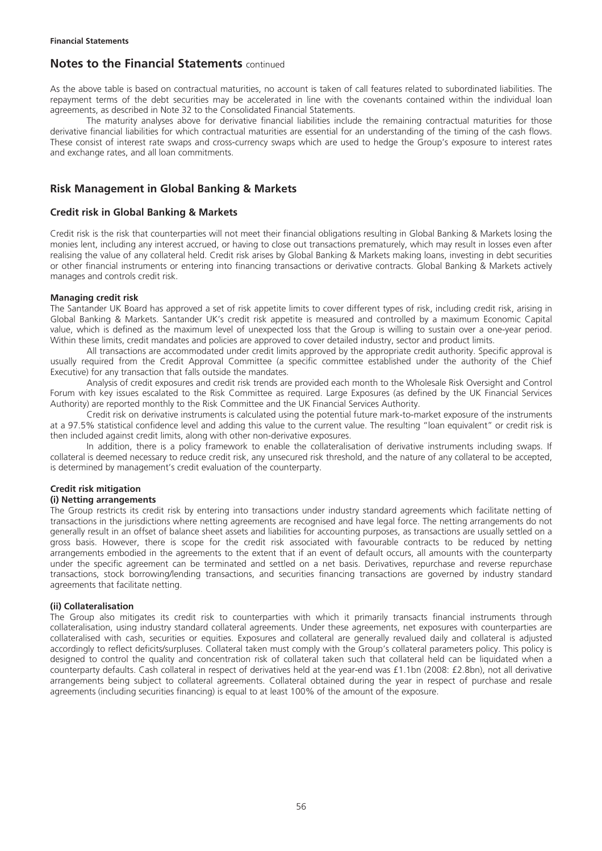As the above table is based on contractual maturities, no account is taken of call features related to subordinated liabilities. The repayment terms of the debt securities may be accelerated in line with the covenants contained within the individual loan agreements, as described in Note 32 to the Consolidated Financial Statements.

The maturity analyses above for derivative financial liabilities include the remaining contractual maturities for those derivative financial liabilities for which contractual maturities are essential for an understanding of the timing of the cash flows. These consist of interest rate swaps and cross-currency swaps which are used to hedge the Group's exposure to interest rates and exchange rates, and all loan commitments.

## **Risk Management in Global Banking & Markets**

## **Credit risk in Global Banking & Markets**

Credit risk is the risk that counterparties will not meet their financial obligations resulting in Global Banking & Markets losing the monies lent, including any interest accrued, or having to close out transactions prematurely, which may result in losses even after realising the value of any collateral held. Credit risk arises by Global Banking & Markets making loans, investing in debt securities or other financial instruments or entering into financing transactions or derivative contracts. Global Banking & Markets actively manages and controls credit risk.

#### **Managing credit risk**

The Santander UK Board has approved a set of risk appetite limits to cover different types of risk, including credit risk, arising in Global Banking & Markets. Santander UK's credit risk appetite is measured and controlled by a maximum Economic Capital value, which is defined as the maximum level of unexpected loss that the Group is willing to sustain over a one-year period. Within these limits, credit mandates and policies are approved to cover detailed industry, sector and product limits.

All transactions are accommodated under credit limits approved by the appropriate credit authority. Specific approval is usually required from the Credit Approval Committee (a specific committee established under the authority of the Chief Executive) for any transaction that falls outside the mandates.

Analysis of credit exposures and credit risk trends are provided each month to the Wholesale Risk Oversight and Control Forum with key issues escalated to the Risk Committee as required. Large Exposures (as defined by the UK Financial Services Authority) are reported monthly to the Risk Committee and the UK Financial Services Authority.

Credit risk on derivative instruments is calculated using the potential future mark-to-market exposure of the instruments at a 97.5% statistical confidence level and adding this value to the current value. The resulting "loan equivalent" or credit risk is then included against credit limits, along with other non-derivative exposures.

In addition, there is a policy framework to enable the collateralisation of derivative instruments including swaps. If collateral is deemed necessary to reduce credit risk, any unsecured risk threshold, and the nature of any collateral to be accepted, is determined by management's credit evaluation of the counterparty.

### **Credit risk mitigation**

### **(i) Netting arrangements**

The Group restricts its credit risk by entering into transactions under industry standard agreements which facilitate netting of transactions in the jurisdictions where netting agreements are recognised and have legal force. The netting arrangements do not generally result in an offset of balance sheet assets and liabilities for accounting purposes, as transactions are usually settled on a gross basis. However, there is scope for the credit risk associated with favourable contracts to be reduced by netting arrangements embodied in the agreements to the extent that if an event of default occurs, all amounts with the counterparty under the specific agreement can be terminated and settled on a net basis. Derivatives, repurchase and reverse repurchase transactions, stock borrowing/lending transactions, and securities financing transactions are governed by industry standard agreements that facilitate netting.

#### **(ii) Collateralisation**

The Group also mitigates its credit risk to counterparties with which it primarily transacts financial instruments through collateralisation, using industry standard collateral agreements. Under these agreements, net exposures with counterparties are collateralised with cash, securities or equities. Exposures and collateral are generally revalued daily and collateral is adjusted accordingly to reflect deficits/surpluses. Collateral taken must comply with the Group's collateral parameters policy. This policy is designed to control the quality and concentration risk of collateral taken such that collateral held can be liquidated when a counterparty defaults. Cash collateral in respect of derivatives held at the year-end was £1.1bn (2008: £2.8bn), not all derivative arrangements being subject to collateral agreements. Collateral obtained during the year in respect of purchase and resale agreements (including securities financing) is equal to at least 100% of the amount of the exposure.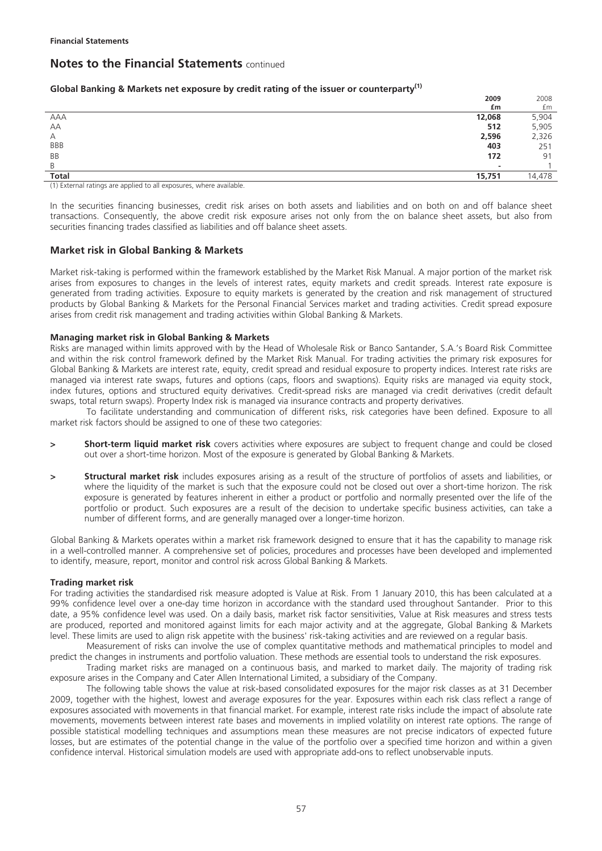### **Global Banking & Markets net exposure by credit rating of the issuer or counterparty(1)**

|              | 2009                     | 2008   |
|--------------|--------------------------|--------|
|              | £m                       | £m     |
| <b>AAA</b>   | 12,068                   | 5,904  |
| AA           | 512                      | 5,905  |
| А            | 2,596                    | 2,326  |
| <b>BBB</b>   | 403                      | 251    |
| BB           | 172                      | 91     |
| B            | $\overline{\phantom{a}}$ |        |
| <b>Total</b> | 15,751                   | 14,478 |

(1) External ratings are applied to all exposures, where available.

In the securities financing businesses, credit risk arises on both assets and liabilities and on both on and off balance sheet transactions. Consequently, the above credit risk exposure arises not only from the on balance sheet assets, but also from securities financing trades classified as liabilities and off balance sheet assets.

### **Market risk in Global Banking & Markets**

Market risk-taking is performed within the framework established by the Market Risk Manual. A major portion of the market risk arises from exposures to changes in the levels of interest rates, equity markets and credit spreads. Interest rate exposure is generated from trading activities. Exposure to equity markets is generated by the creation and risk management of structured products by Global Banking & Markets for the Personal Financial Services market and trading activities. Credit spread exposure arises from credit risk management and trading activities within Global Banking & Markets.

#### **Managing market risk in Global Banking & Markets**

Risks are managed within limits approved with by the Head of Wholesale Risk or Banco Santander, S.A.'s Board Risk Committee and within the risk control framework defined by the Market Risk Manual. For trading activities the primary risk exposures for Global Banking & Markets are interest rate, equity, credit spread and residual exposure to property indices. Interest rate risks are managed via interest rate swaps, futures and options (caps, floors and swaptions). Equity risks are managed via equity stock, index futures, options and structured equity derivatives. Credit-spread risks are managed via credit derivatives (credit default swaps, total return swaps). Property Index risk is managed via insurance contracts and property derivatives.

To facilitate understanding and communication of different risks, risk categories have been defined. Exposure to all market risk factors should be assigned to one of these two categories:

- **> Short-term liquid market risk** covers activities where exposures are subject to frequent change and could be closed out over a short-time horizon. Most of the exposure is generated by Global Banking & Markets.
- **> Structural market risk** includes exposures arising as a result of the structure of portfolios of assets and liabilities, or where the liquidity of the market is such that the exposure could not be closed out over a short-time horizon. The risk exposure is generated by features inherent in either a product or portfolio and normally presented over the life of the portfolio or product. Such exposures are a result of the decision to undertake specific business activities, can take a number of different forms, and are generally managed over a longer-time horizon.

Global Banking & Markets operates within a market risk framework designed to ensure that it has the capability to manage risk in a well-controlled manner. A comprehensive set of policies, procedures and processes have been developed and implemented to identify, measure, report, monitor and control risk across Global Banking & Markets.

#### **Trading market risk**

For trading activities the standardised risk measure adopted is Value at Risk. From 1 January 2010, this has been calculated at a 99% confidence level over a one-day time horizon in accordance with the standard used throughout Santander. Prior to this date, a 95% confidence level was used. On a daily basis, market risk factor sensitivities, Value at Risk measures and stress tests are produced, reported and monitored against limits for each major activity and at the aggregate, Global Banking & Markets level. These limits are used to align risk appetite with the business' risk-taking activities and are reviewed on a regular basis.

Measurement of risks can involve the use of complex quantitative methods and mathematical principles to model and predict the changes in instruments and portfolio valuation. These methods are essential tools to understand the risk exposures.

Trading market risks are managed on a continuous basis, and marked to market daily. The majority of trading risk exposure arises in the Company and Cater Allen International Limited, a subsidiary of the Company.

The following table shows the value at risk-based consolidated exposures for the major risk classes as at 31 December 2009, together with the highest, lowest and average exposures for the year. Exposures within each risk class reflect a range of exposures associated with movements in that financial market. For example, interest rate risks include the impact of absolute rate movements, movements between interest rate bases and movements in implied volatility on interest rate options. The range of possible statistical modelling techniques and assumptions mean these measures are not precise indicators of expected future losses, but are estimates of the potential change in the value of the portfolio over a specified time horizon and within a given confidence interval. Historical simulation models are used with appropriate add-ons to reflect unobservable inputs.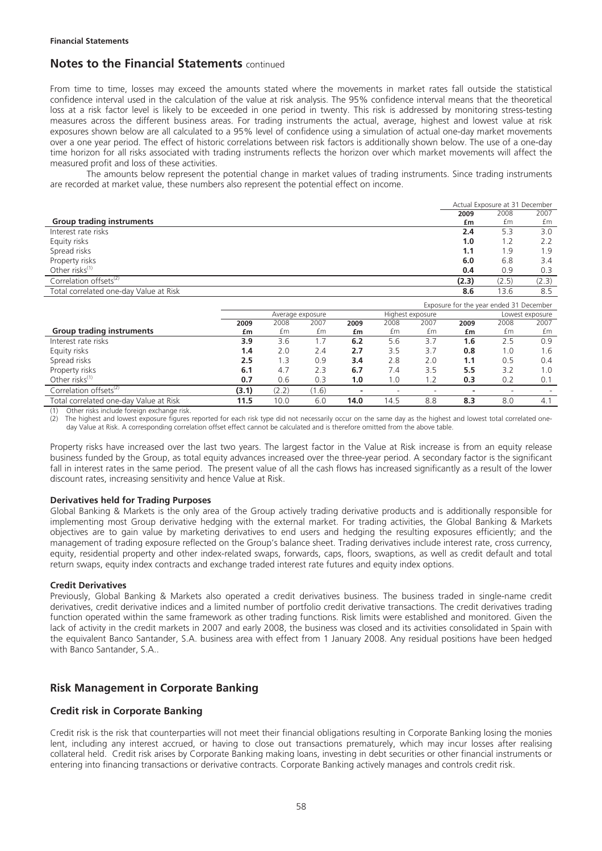From time to time, losses may exceed the amounts stated where the movements in market rates fall outside the statistical confidence interval used in the calculation of the value at risk analysis. The 95% confidence interval means that the theoretical loss at a risk factor level is likely to be exceeded in one period in twenty. This risk is addressed by monitoring stress-testing measures across the different business areas. For trading instruments the actual, average, highest and lowest value at risk exposures shown below are all calculated to a 95% level of confidence using a simulation of actual one-day market movements over a one year period. The effect of historic correlations between risk factors is additionally shown below. The use of a one-day time horizon for all risks associated with trading instruments reflects the horizon over which market movements will affect the measured profit and loss of these activities.

The amounts below represent the potential change in market values of trading instruments. Since trading instruments are recorded at market value, these numbers also represent the potential effect on income.

| 2008<br>2007<br>2009<br><b>Group trading instruments</b><br>£m<br>£m<br>£m<br>Interest rate risks<br>3.0<br>2.4<br>5.3<br>Equity risks<br>1.2<br>2.2<br>1.0<br>Spread risks<br>1.9<br>1.9<br>1.1<br>Property risks<br>6.0<br>6.8<br>3.4<br>Other risks <sup>(1)</sup><br>0.4<br>0.9<br>0.3<br>Correlation offsets <sup>(2)</sup><br>(2.3)<br>(2.3)<br>(2.5)<br>Total correlated one-day Value at Risk<br>13.6<br>8.5<br>8.6 | Actual Exposure at 31 December |  |  |  |  |
|-----------------------------------------------------------------------------------------------------------------------------------------------------------------------------------------------------------------------------------------------------------------------------------------------------------------------------------------------------------------------------------------------------------------------------|--------------------------------|--|--|--|--|
|                                                                                                                                                                                                                                                                                                                                                                                                                             |                                |  |  |  |  |
|                                                                                                                                                                                                                                                                                                                                                                                                                             |                                |  |  |  |  |
|                                                                                                                                                                                                                                                                                                                                                                                                                             |                                |  |  |  |  |
|                                                                                                                                                                                                                                                                                                                                                                                                                             |                                |  |  |  |  |
|                                                                                                                                                                                                                                                                                                                                                                                                                             |                                |  |  |  |  |
|                                                                                                                                                                                                                                                                                                                                                                                                                             |                                |  |  |  |  |
|                                                                                                                                                                                                                                                                                                                                                                                                                             |                                |  |  |  |  |
|                                                                                                                                                                                                                                                                                                                                                                                                                             |                                |  |  |  |  |
|                                                                                                                                                                                                                                                                                                                                                                                                                             |                                |  |  |  |  |

|                                        | Exposure for the year ended 31 December |                  |       |      |      |                  |      |      |                 |
|----------------------------------------|-----------------------------------------|------------------|-------|------|------|------------------|------|------|-----------------|
|                                        |                                         | Average exposure |       |      |      | Highest exposure |      |      | Lowest exposure |
|                                        | 2009                                    | 2008             | 2007  | 2009 | 2008 | 2007             | 2009 | 2008 | 2007            |
| <b>Group trading instruments</b>       | £m                                      | £m               | £m    | £m   | £m   | £m               | £m   | £m   | £m              |
| Interest rate risks                    | 3.9                                     | 3.6              | 1.7   | 6.2  | 5.6  | 3.7              | 1.6  | 2.5  | 0.9             |
| Equity risks                           | 1.4                                     | 2.0              | 2.4   | 2.7  | 3.5  | 3.7              | 0.8  | 1.0  | 1.6             |
| Spread risks                           | 2.5                                     | $\cdot$ .3       | 0.9   | 3.4  | 2.8  | 2.0              | 1.1  | 0.5  | 0.4             |
| Property risks                         | 6.1                                     | 4.7              | 2.3   | 6.7  | 7.4  | 3.5              | 5.5  | 3.2  | 1.0             |
| Other risks $(1)$                      | 0.7                                     | 0.6              | 0.3   | 1.0  | 1.0  | 1.2              | 0.3  | 0.2  | 0.1             |
| Correlation offsets <sup>(2)</sup>     | (3.1)                                   | (2.2)            | (1.6) | -    |      |                  |      | -    |                 |
| Total correlated one-day Value at Risk | 11.5                                    | 10.0             | 6.0   | 14.0 | 14.5 | 8.8              | 8.3  | 8.0  | 4.1             |

(1) Other risks include foreign exchange risk.

(2) The highest and lowest exposure figures reported for each risk type did not necessarily occur on the same day as the highest and lowest total correlated oneday Value at Risk. A corresponding correlation offset effect cannot be calculated and is therefore omitted from the above table.

Property risks have increased over the last two years. The largest factor in the Value at Risk increase is from an equity release business funded by the Group, as total equity advances increased over the three-year period. A secondary factor is the significant fall in interest rates in the same period. The present value of all the cash flows has increased significantly as a result of the lower discount rates, increasing sensitivity and hence Value at Risk.

### **Derivatives held for Trading Purposes**

Global Banking & Markets is the only area of the Group actively trading derivative products and is additionally responsible for implementing most Group derivative hedging with the external market. For trading activities, the Global Banking & Markets objectives are to gain value by marketing derivatives to end users and hedging the resulting exposures efficiently; and the management of trading exposure reflected on the Group's balance sheet. Trading derivatives include interest rate, cross currency, equity, residential property and other index-related swaps, forwards, caps, floors, swaptions, as well as credit default and total return swaps, equity index contracts and exchange traded interest rate futures and equity index options.

### **Credit Derivatives**

Previously, Global Banking & Markets also operated a credit derivatives business. The business traded in single-name credit derivatives, credit derivative indices and a limited number of portfolio credit derivative transactions. The credit derivatives trading function operated within the same framework as other trading functions. Risk limits were established and monitored. Given the lack of activity in the credit markets in 2007 and early 2008, the business was closed and its activities consolidated in Spain with the equivalent Banco Santander, S.A. business area with effect from 1 January 2008. Any residual positions have been hedged with Banco Santander, S.A..

## **Risk Management in Corporate Banking**

## **Credit risk in Corporate Banking**

Credit risk is the risk that counterparties will not meet their financial obligations resulting in Corporate Banking losing the monies lent, including any interest accrued, or having to close out transactions prematurely, which may incur losses after realising collateral held. Credit risk arises by Corporate Banking making loans, investing in debt securities or other financial instruments or entering into financing transactions or derivative contracts. Corporate Banking actively manages and controls credit risk.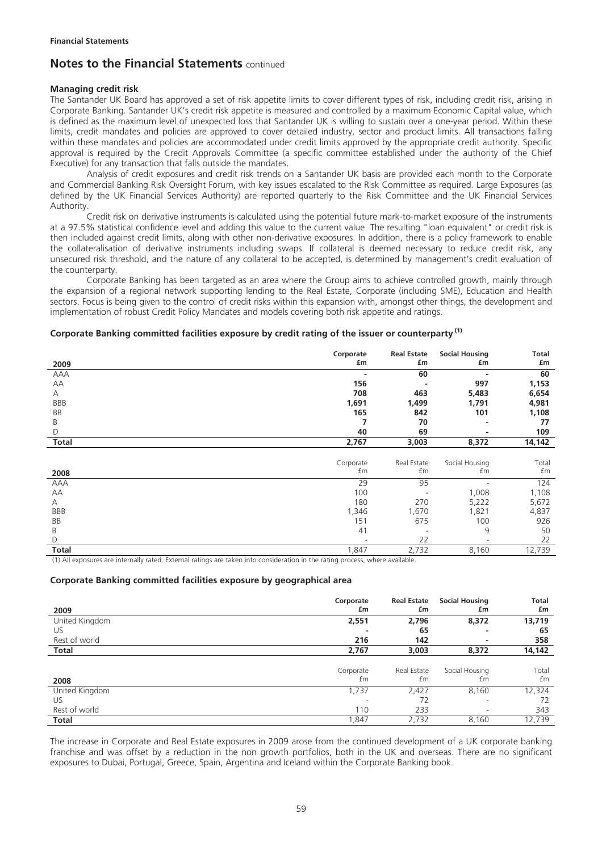### **Managing credit risk**

The Santander UK Board has approved a set of risk appetite limits to cover different types of risk, including credit risk, arising in Corporate Banking. Santander UK's credit risk appetite is measured and controlled by a maximum Economic Capital value, which is defined as the maximum level of unexpected loss that Santander UK is willing to sustain over a one-year period. Within these limits, credit mandates and policies are approved to cover detailed industry, sector and product limits. All transactions falling within these mandates and policies are accommodated under credit limits approved by the appropriate credit authority. Specific approval is required by the Credit Approvals Committee (a specific committee established under the authority of the Chief Executive) for any transaction that falls outside the mandates.

Analysis of credit exposures and credit risk trends on a Santander UK basis are provided each month to the Corporate and Commercial Banking Risk Oversight Forum, with key issues escalated to the Risk Committee as required. Large Exposures (as defined by the UK Financial Services Authority) are reported quarterly to the Risk Committee and the UK Financial Services Authority.

Credit risk on derivative instruments is calculated using the potential future mark-to-market exposure of the instruments at a 97.5% statistical confidence level and adding this value to the current value. The resulting "loan equivalent" or credit risk is then included against credit limits, along with other non-derivative exposures. In addition, there is a policy framework to enable the collateralisation of derivative instruments including swaps. If collateral is deemed necessary to reduce credit risk, any unsecured risk threshold, and the nature of any collateral to be accepted, is determined by management's credit evaluation of the counterparty.

Corporate Banking has been targeted as an area where the Group aims to achieve controlled growth, mainly through the expansion of a regional network supporting lending to the Real Estate, Corporate (including SME), Education and Health sectors. Focus is being given to the control of credit risks within this expansion with, amongst other things, the development and implementation of robust Credit Policy Mandates and models covering both risk appetite and ratings.

### **Corporate Banking committed facilities exposure by credit rating of the issuer or counterparty (1)**

|              | Corporate | <b>Real Estate</b>       | <b>Social Housing</b> | <b>Total</b> |
|--------------|-----------|--------------------------|-----------------------|--------------|
| 2009         | £m        | £m                       | £m                    | £m           |
| AAA          |           | 60                       |                       | 60           |
| AA           | 156       |                          | 997                   | 1,153        |
| A            | 708       | 463                      | 5,483                 | 6,654        |
| <b>BBB</b>   | 1,691     | 1,499                    | 1,791                 | 4,981        |
| BB           | 165       | 842                      | 101                   | 1,108        |
| Β            | 7         | 70                       | ٠                     | 77           |
| D            | 40        | 69                       | ۰                     | 109          |
| Total        | 2,767     | 3,003                    | 8,372                 | 14,142       |
|              |           |                          |                       |              |
|              | Corporate | Real Estate              | Social Housing        | Total        |
| 2008         | £m        | £m                       | £m                    | £m           |
| AAA          | 29        | 95                       |                       | 124          |
| AA           | 100       |                          | 1,008                 | 1,108        |
| Α            | 180       | 270                      | 5,222                 | 5,672        |
| <b>BBB</b>   | 1,346     | 1,670                    | 1,821                 | 4,837        |
| BB           | 151       | 675                      | 100                   | 926          |
| Β            | 41        | $\overline{\phantom{a}}$ | 9                     | 50           |
| D            |           | 22                       |                       | 22           |
| <b>Total</b> | 1,847     | 2,732                    | 8,160                 | 12,739       |

(1) All exposures are internally rated. External ratings are taken into consideration in the rating process, where available.

#### **Corporate Banking committed facilities exposure by geographical area**

| 2009           | Corporate<br>£m | <b>Real Estate</b><br>£m | <b>Social Housing</b><br>£m | Total<br>£m |
|----------------|-----------------|--------------------------|-----------------------------|-------------|
| United Kingdom | 2,551           | 2,796                    | 8,372                       | 13,719      |
| US             |                 | 65                       | -                           | 65          |
| Rest of world  | 216             | 142                      |                             | 358         |
| Total          | 2,767           | 3,003                    | 8,372                       | 14,142      |
| 2008           | Corporate<br>£m | Real Estate<br>£m        | Social Housing<br>£m        | Total<br>£m |
| United Kingdom | 1,737           | 2,427                    | 8,160                       | 12,324      |
| US             | -               | 72                       | $\overline{\phantom{a}}$    | 72          |
| Rest of world  | 110             | 233                      | $\overline{\phantom{a}}$    | 343         |
| <b>Total</b>   | 1,847           | 2,732                    | 8,160                       | 12,739      |

The increase in Corporate and Real Estate exposures in 2009 arose from the continued development of a UK corporate banking franchise and was offset by a reduction in the non growth portfolios, both in the UK and overseas. There are no significant exposures to Dubai, Portugal, Greece, Spain, Argentina and Iceland within the Corporate Banking book.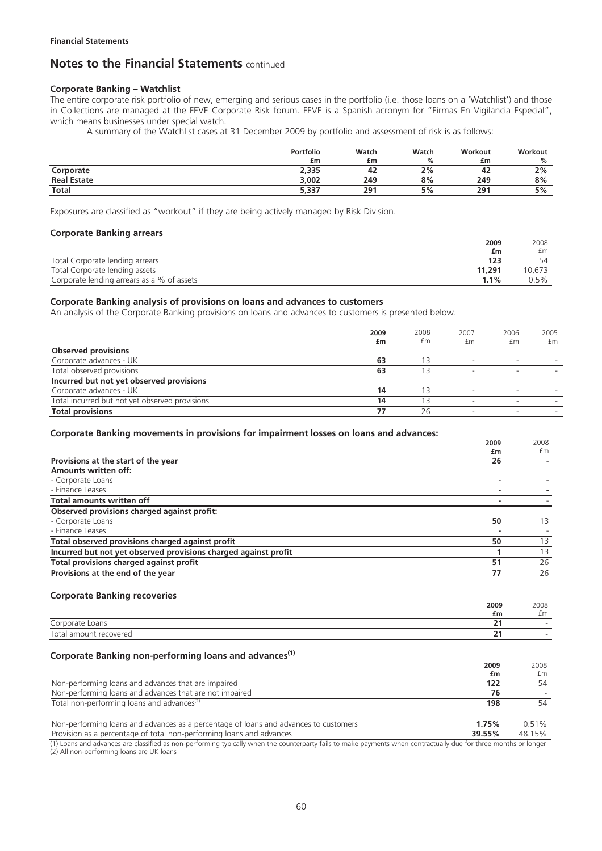#### **Corporate Banking – Watchlist**

The entire corporate risk portfolio of new, emerging and serious cases in the portfolio (i.e. those loans on a 'Watchlist') and those in Collections are managed at the FEVE Corporate Risk forum. FEVE is a Spanish acronym for "Firmas En Vigilancia Especial", which means businesses under special watch.

A summary of the Watchlist cases at 31 December 2009 by portfolio and assessment of risk is as follows:

|                    | Portfolio<br>£m | Watch<br>£m | Watch<br>% | Workout<br>£m | Workout<br>% |
|--------------------|-----------------|-------------|------------|---------------|--------------|
| Corporate          | 2,335           | 42          | 2%         | 42            | 2%           |
| <b>Real Estate</b> | 3.002           | 249         | 8%         | 249           | 8%           |
| <b>Total</b>       | 5,337           | 291         | 5%         | 291           | 5%           |

Exposures are classified as "workout" if they are being actively managed by Risk Division.

#### **Corporate Banking arrears**

|                                            | 2009   | 2008   |
|--------------------------------------------|--------|--------|
|                                            | £m     | £m     |
| Total Corporate lending arrears            | 123    | 54     |
| Total Corporate lending assets             | 11,291 | 10.673 |
| Corporate lending arrears as a % of assets | 1.1%   | 0.5%   |

### **Corporate Banking analysis of provisions on loans and advances to customers**

An analysis of the Corporate Banking provisions on loans and advances to customers is presented below.

|                                                | 2009<br>£m | 2008<br>£m | 2007<br>£m               | 2006<br>£m               | 2005<br>£m |
|------------------------------------------------|------------|------------|--------------------------|--------------------------|------------|
| <b>Observed provisions</b>                     |            |            |                          |                          |            |
| Corporate advances - UK                        | 63         |            | $\overline{\phantom{0}}$ | $\overline{\phantom{a}}$ |            |
| Total observed provisions                      | 63         |            | $\overline{\phantom{a}}$ | $\overline{\phantom{a}}$ |            |
| Incurred but not yet observed provisions       |            |            |                          |                          |            |
| Corporate advances - UK                        | 14         |            | $\overline{\phantom{a}}$ |                          |            |
| Total incurred but not yet observed provisions | 14         |            |                          |                          |            |
| <b>Total provisions</b>                        | 77         | 26         |                          |                          |            |

**2009** 

2008

#### **Corporate Banking movements in provisions for impairment losses on loans and advances:**

|                                                                 | zuus | ZUUO |
|-----------------------------------------------------------------|------|------|
|                                                                 | £m   | £m   |
| Provisions at the start of the year                             | 26   |      |
| Amounts written off:                                            |      |      |
| - Corporate Loans                                               |      |      |
| - Finance Leases                                                |      |      |
| <b>Total amounts written off</b>                                |      |      |
| Observed provisions charged against profit:                     |      |      |
| - Corporate Loans                                               | 50   | 13   |
| - Finance Leases                                                |      |      |
| Total observed provisions charged against profit                | 50   | 13   |
| Incurred but not yet observed provisions charged against profit |      | 13   |
| Total provisions charged against profit                         | 51   | 26   |
| Provisions at the end of the year                               | 77   | 26   |
|                                                                 |      |      |

#### **Corporate Banking recoveries**

|                                 | 2009        | 2008   |
|---------------------------------|-------------|--------|
|                                 | £m          | £m     |
| Corporate Loans                 | $\sim$      | $\sim$ |
| $\tau$ otai<br>amount recovered | $\sim$<br>- | $\sim$ |

#### **Corporate Banking non-performing loans and advances(1)**

|                                                                                      | 2009   | 2008   |
|--------------------------------------------------------------------------------------|--------|--------|
|                                                                                      | £m     | £m     |
| Non-performing loans and advances that are impaired                                  | 122    | 54     |
| Non-performing loans and advances that are not impaired                              | 76     |        |
| Total non-performing loans and advances <sup>(2)</sup>                               | 198    | 54     |
|                                                                                      |        |        |
| Non-performing loans and advances as a percentage of loans and advances to customers | 1.75%  | 0.51%  |
| Provision as a percentage of total non-performing loans and advances                 | 39.55% | 48.15% |

(1) Loans and advances are classified as non-performing typically when the counterparty fails to make payments when contractually due for three months or longer (2) All non-performing loans are UK loans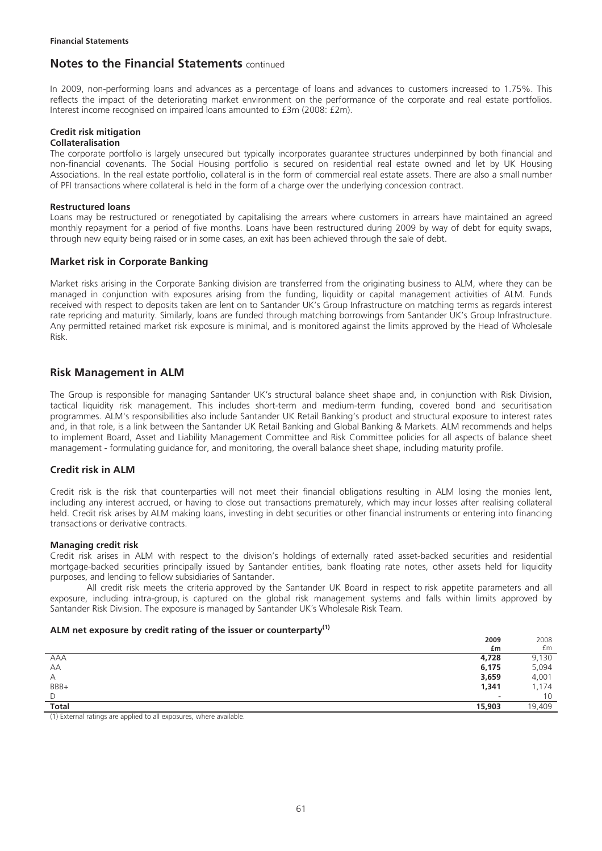In 2009, non-performing loans and advances as a percentage of loans and advances to customers increased to 1.75%. This reflects the impact of the deteriorating market environment on the performance of the corporate and real estate portfolios. Interest income recognised on impaired loans amounted to £3m (2008: £2m).

## **Credit risk mitigation**

### **Collateralisation**

The corporate portfolio is largely unsecured but typically incorporates guarantee structures underpinned by both financial and non-financial covenants. The Social Housing portfolio is secured on residential real estate owned and let by UK Housing Associations. In the real estate portfolio, collateral is in the form of commercial real estate assets. There are also a small number of PFI transactions where collateral is held in the form of a charge over the underlying concession contract.

#### **Restructured loans**

Loans may be restructured or renegotiated by capitalising the arrears where customers in arrears have maintained an agreed monthly repayment for a period of five months. Loans have been restructured during 2009 by way of debt for equity swaps, through new equity being raised or in some cases, an exit has been achieved through the sale of debt.

## **Market risk in Corporate Banking**

Market risks arising in the Corporate Banking division are transferred from the originating business to ALM, where they can be managed in conjunction with exposures arising from the funding, liquidity or capital management activities of ALM. Funds received with respect to deposits taken are lent on to Santander UK's Group Infrastructure on matching terms as regards interest rate repricing and maturity. Similarly, loans are funded through matching borrowings from Santander UK's Group Infrastructure. Any permitted retained market risk exposure is minimal, and is monitored against the limits approved by the Head of Wholesale Risk.

## **Risk Management in ALM**

The Group is responsible for managing Santander UK's structural balance sheet shape and, in conjunction with Risk Division, tactical liquidity risk management. This includes short-term and medium-term funding, covered bond and securitisation programmes. ALM's responsibilities also include Santander UK Retail Banking's product and structural exposure to interest rates and, in that role, is a link between the Santander UK Retail Banking and Global Banking & Markets. ALM recommends and helps to implement Board, Asset and Liability Management Committee and Risk Committee policies for all aspects of balance sheet management - formulating guidance for, and monitoring, the overall balance sheet shape, including maturity profile.

## **Credit risk in ALM**

Credit risk is the risk that counterparties will not meet their financial obligations resulting in ALM losing the monies lent, including any interest accrued, or having to close out transactions prematurely, which may incur losses after realising collateral held. Credit risk arises by ALM making loans, investing in debt securities or other financial instruments or entering into financing transactions or derivative contracts.

#### **Managing credit risk**

Credit risk arises in ALM with respect to the division's holdings of externally rated asset-backed securities and residential mortgage-backed securities principally issued by Santander entities, bank floating rate notes, other assets held for liquidity purposes, and lending to fellow subsidiaries of Santander.

All credit risk meets the criteria approved by the Santander UK Board in respect to risk appetite parameters and all exposure, including intra-group, is captured on the global risk management systems and falls within limits approved by Santander Risk Division. The exposure is managed by Santander UK´s Wholesale Risk Team.

### **ALM net exposure by credit rating of the issuer or counterparty(1)**

|                                                                                     | 2009                     | 2008   |
|-------------------------------------------------------------------------------------|--------------------------|--------|
|                                                                                     | £m                       | £m     |
| AAA                                                                                 | 4,728                    | 9,130  |
| AA                                                                                  | 6,175                    | 5,094  |
| А                                                                                   | 3,659                    | 4,001  |
| BBB+                                                                                | 1,341                    | 1,174  |
| D                                                                                   | $\overline{\phantom{a}}$ | 10     |
| <b>Total</b>                                                                        | 15,903                   | 19,409 |
| $\sim$ $\sim$ $\sim$ $\sim$<br>the state of the state of the state of<br>2012/11/18 |                          |        |

(1) External ratings are applied to all exposures, where available.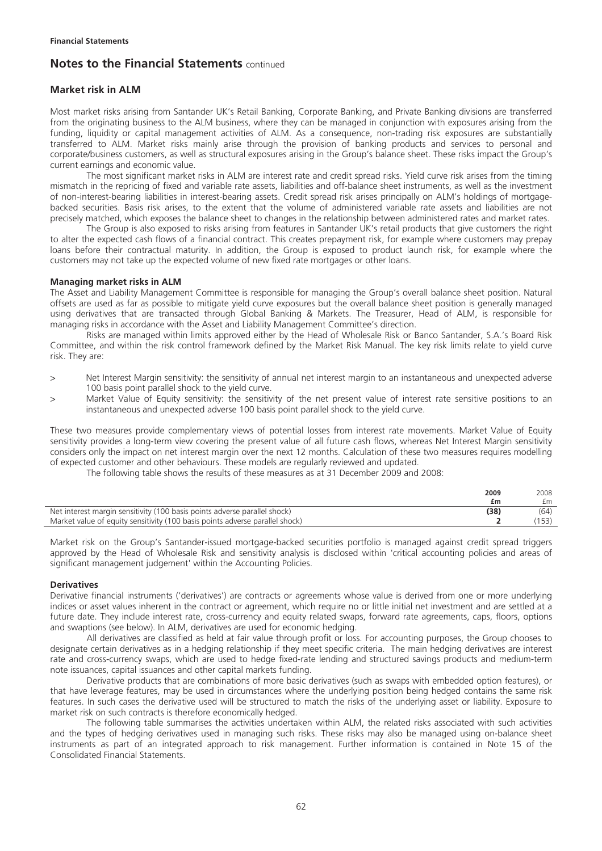### **Market risk in ALM**

Most market risks arising from Santander UK's Retail Banking, Corporate Banking, and Private Banking divisions are transferred from the originating business to the ALM business, where they can be managed in conjunction with exposures arising from the funding, liquidity or capital management activities of ALM. As a consequence, non-trading risk exposures are substantially transferred to ALM. Market risks mainly arise through the provision of banking products and services to personal and corporate/business customers, as well as structural exposures arising in the Group's balance sheet. These risks impact the Group's current earnings and economic value.

The most significant market risks in ALM are interest rate and credit spread risks. Yield curve risk arises from the timing mismatch in the repricing of fixed and variable rate assets, liabilities and off-balance sheet instruments, as well as the investment of non-interest-bearing liabilities in interest-bearing assets. Credit spread risk arises principally on ALM's holdings of mortgagebacked securities. Basis risk arises, to the extent that the volume of administered variable rate assets and liabilities are not precisely matched, which exposes the balance sheet to changes in the relationship between administered rates and market rates.

The Group is also exposed to risks arising from features in Santander UK's retail products that give customers the right to alter the expected cash flows of a financial contract. This creates prepayment risk, for example where customers may prepay loans before their contractual maturity. In addition, the Group is exposed to product launch risk, for example where the customers may not take up the expected volume of new fixed rate mortgages or other loans.

#### **Managing market risks in ALM**

The Asset and Liability Management Committee is responsible for managing the Group's overall balance sheet position. Natural offsets are used as far as possible to mitigate yield curve exposures but the overall balance sheet position is generally managed using derivatives that are transacted through Global Banking & Markets. The Treasurer, Head of ALM, is responsible for managing risks in accordance with the Asset and Liability Management Committee's direction.

Risks are managed within limits approved either by the Head of Wholesale Risk or Banco Santander, S.A.'s Board Risk Committee, and within the risk control framework defined by the Market Risk Manual. The key risk limits relate to yield curve risk. They are:

- > Net Interest Margin sensitivity: the sensitivity of annual net interest margin to an instantaneous and unexpected adverse 100 basis point parallel shock to the yield curve.
- > Market Value of Equity sensitivity: the sensitivity of the net present value of interest rate sensitive positions to an instantaneous and unexpected adverse 100 basis point parallel shock to the yield curve.

These two measures provide complementary views of potential losses from interest rate movements. Market Value of Equity sensitivity provides a long-term view covering the present value of all future cash flows, whereas Net Interest Margin sensitivity considers only the impact on net interest margin over the next 12 months. Calculation of these two measures requires modelling of expected customer and other behaviours. These models are regularly reviewed and updated.

The following table shows the results of these measures as at 31 December 2009 and 2008:

|                                                                              | 2009<br>£m | 2008<br>£m |
|------------------------------------------------------------------------------|------------|------------|
| Net interest margin sensitivity (100 basis points adverse parallel shock)    | (38)       | (64)       |
| Market value of equity sensitivity (100 basis points adverse parallel shock) |            |            |

Market risk on the Group's Santander-issued mortgage-backed securities portfolio is managed against credit spread triggers approved by the Head of Wholesale Risk and sensitivity analysis is disclosed within 'critical accounting policies and areas of significant management judgement' within the Accounting Policies.

#### **Derivatives**

Derivative financial instruments ('derivatives') are contracts or agreements whose value is derived from one or more underlying indices or asset values inherent in the contract or agreement, which require no or little initial net investment and are settled at a future date. They include interest rate, cross-currency and equity related swaps, forward rate agreements, caps, floors, options and swaptions (see below). In ALM, derivatives are used for economic hedging.

All derivatives are classified as held at fair value through profit or loss. For accounting purposes, the Group chooses to designate certain derivatives as in a hedging relationship if they meet specific criteria. The main hedging derivatives are interest rate and cross-currency swaps, which are used to hedge fixed-rate lending and structured savings products and medium-term note issuances, capital issuances and other capital markets funding.

Derivative products that are combinations of more basic derivatives (such as swaps with embedded option features), or that have leverage features, may be used in circumstances where the underlying position being hedged contains the same risk features. In such cases the derivative used will be structured to match the risks of the underlying asset or liability. Exposure to market risk on such contracts is therefore economically hedged.

The following table summarises the activities undertaken within ALM, the related risks associated with such activities and the types of hedging derivatives used in managing such risks. These risks may also be managed using on-balance sheet instruments as part of an integrated approach to risk management. Further information is contained in Note 15 of the Consolidated Financial Statements.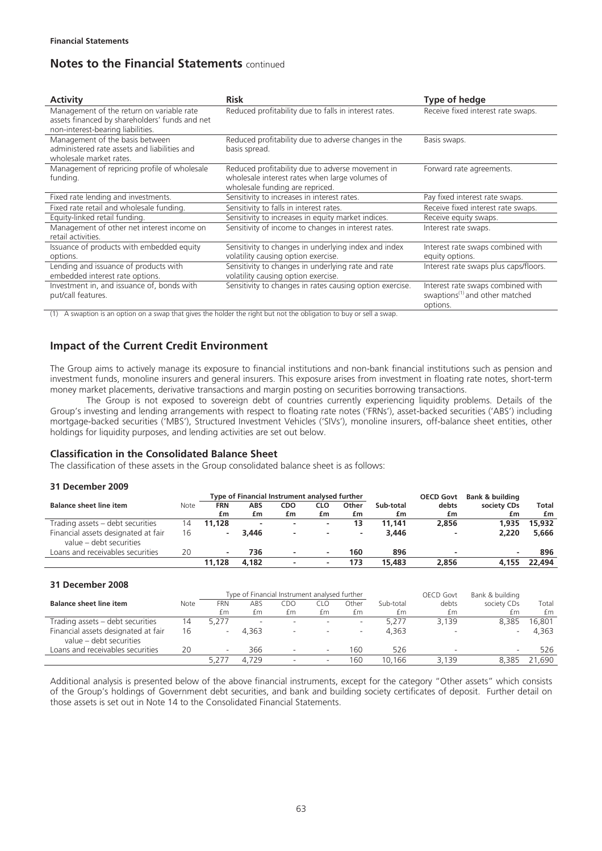| <b>Activity</b>                                                                                                                  | <b>Risk</b>                                                                                                                           | Type of hedge                                                                               |
|----------------------------------------------------------------------------------------------------------------------------------|---------------------------------------------------------------------------------------------------------------------------------------|---------------------------------------------------------------------------------------------|
| Management of the return on variable rate<br>assets financed by shareholders' funds and net<br>non-interest-bearing liabilities. | Reduced profitability due to falls in interest rates.                                                                                 | Receive fixed interest rate swaps.                                                          |
| Management of the basis between<br>administered rate assets and liabilities and<br>wholesale market rates.                       | Reduced profitability due to adverse changes in the<br>basis spread.                                                                  | Basis swaps.                                                                                |
| Management of repricing profile of wholesale<br>funding.                                                                         | Reduced profitability due to adverse movement in<br>wholesale interest rates when large volumes of<br>wholesale funding are repriced. | Forward rate agreements.                                                                    |
| Fixed rate lending and investments.                                                                                              | Sensitivity to increases in interest rates.                                                                                           | Pay fixed interest rate swaps.                                                              |
| Fixed rate retail and wholesale funding.                                                                                         | Sensitivity to falls in interest rates.                                                                                               | Receive fixed interest rate swaps.                                                          |
| Equity-linked retail funding.                                                                                                    | Sensitivity to increases in equity market indices.                                                                                    | Receive equity swaps.                                                                       |
| Management of other net interest income on<br>retail activities.                                                                 | Sensitivity of income to changes in interest rates.                                                                                   | Interest rate swaps.                                                                        |
| Issuance of products with embedded equity<br>options.                                                                            | Sensitivity to changes in underlying index and index<br>volatility causing option exercise.                                           | Interest rate swaps combined with<br>equity options.                                        |
| Lending and issuance of products with<br>embedded interest rate options.                                                         | Sensitivity to changes in underlying rate and rate<br>volatility causing option exercise.                                             | Interest rate swaps plus caps/floors.                                                       |
| Investment in, and issuance of, bonds with<br>put/call features.                                                                 | Sensitivity to changes in rates causing option exercise.                                                                              | Interest rate swaps combined with<br>swaptions <sup>(1)</sup> and other matched<br>options. |

(1) A swaption is an option on a swap that gives the holder the right but not the obligation to buy or sell a swap.

## **Impact of the Current Credit Environment**

The Group aims to actively manage its exposure to financial institutions and non-bank financial institutions such as pension and investment funds, monoline insurers and general insurers. This exposure arises from investment in floating rate notes, short-term money market placements, derivative transactions and margin posting on securities borrowing transactions.

The Group is not exposed to sovereign debt of countries currently experiencing liquidity problems. Details of the Group's investing and lending arrangements with respect to floating rate notes ('FRNs'), asset-backed securities ('ABS') including mortgage-backed securities ('MBS'), Structured Investment Vehicles ('SIVs'), monoline insurers, off-balance sheet entities, other holdings for liquidity purposes, and lending activities are set out below.

### **Classification in the Consolidated Balance Sheet**

The classification of these assets in the Group consolidated balance sheet is as follows:

#### **31 December 2009**

|                                                                |      | Type of Financial Instrument analysed further |                          |                          |                          |       | <b>OECD Govt</b> | Bank & building |             |              |
|----------------------------------------------------------------|------|-----------------------------------------------|--------------------------|--------------------------|--------------------------|-------|------------------|-----------------|-------------|--------------|
| <b>Balance sheet line item</b>                                 | Note | FRN                                           | ABS                      | CDO                      | CLO                      | Other | Sub-total        | debts           | society CDs | <b>Total</b> |
|                                                                |      | £m                                            | £m                       | £m                       | £m                       | £m    | £m               | £m              | £m          | £m           |
| Trading assets – debt securities                               | 14   | 11.128                                        | $\overline{\phantom{0}}$ | $\sim$                   | $\overline{\phantom{a}}$ | 13    | 11.141           | 2.856           | 1.935       | 15,932       |
| Financial assets designated at fair<br>value – debt securities | 16   | ۰                                             | 3.446                    | $\overline{\phantom{a}}$ | -                        |       | 3.446            | ۰               | 2.220       | 5,666        |
| Loans and receivables securities                               | 20   | $\overline{\phantom{a}}$                      | 736                      | ۰                        |                          | 160   | 896              |                 |             | 896          |
|                                                                |      | 11.128                                        | 4.182                    |                          |                          | 173   | 15,483           | 2.856           | 4.155       | 22,494       |

#### **31 December 2008**

|                                                                |      |                          | Type of Financial Instrument analysed further |                          |                          |       |           | <b>OECD Govt</b> | Bank & building |        |
|----------------------------------------------------------------|------|--------------------------|-----------------------------------------------|--------------------------|--------------------------|-------|-----------|------------------|-----------------|--------|
| <b>Balance sheet line item</b>                                 | Note | <b>FRN</b>               | ABS                                           | EDC                      | EL C                     | Other | Sub-total | debts            | society CDs     | Total  |
|                                                                |      | £m                       | £m                                            | £m                       | £m                       | £m    | £m        | £m               | £m              | £m     |
| Trading assets - debt securities                               | 14   | 5.277                    | -                                             |                          | $\overline{\phantom{a}}$ |       | 5.277     | 3.139            | 8.385           | 16.801 |
| Financial assets designated at fair<br>value – debt securities | 16   | $\overline{\phantom{0}}$ | 4.363                                         | $\overline{\phantom{a}}$ |                          | -     | 4.363     |                  |                 | 4.363  |
| Loans and receivables securities                               | 20   | $\overline{\phantom{a}}$ | 366                                           |                          |                          | 160   | 526       |                  |                 | 526    |
|                                                                |      | 5.2                      | 4.729                                         |                          |                          | 160   | 10.166    | 3.139            | 8.385           | .690   |

Additional analysis is presented below of the above financial instruments, except for the category "Other assets" which consists of the Group's holdings of Government debt securities, and bank and building society certificates of deposit. Further detail on those assets is set out in Note 14 to the Consolidated Financial Statements.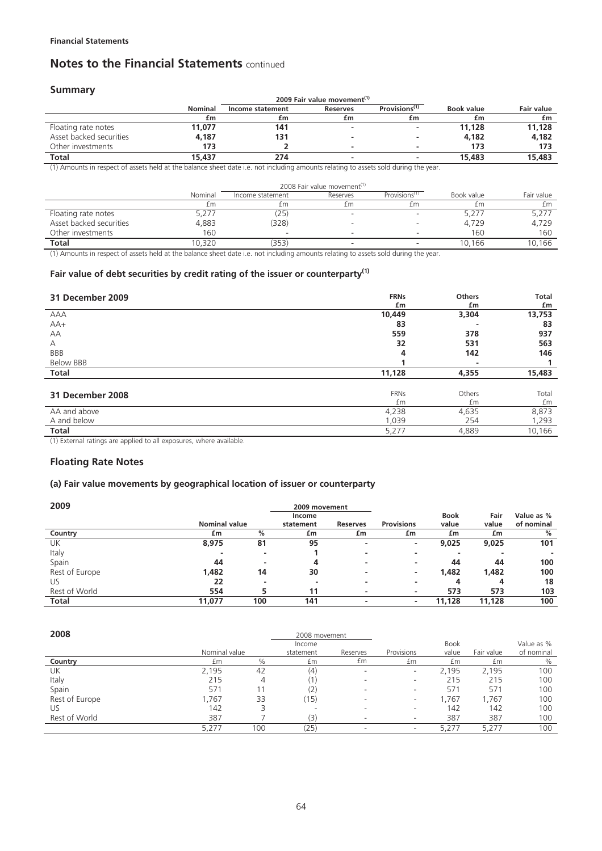### **Summary**

|                         |                |                  | 2009 Fair value movement <sup>(1)</sup>      |    |            |                   |
|-------------------------|----------------|------------------|----------------------------------------------|----|------------|-------------------|
|                         | <b>Nominal</b> | Income statement | Provisions <sup>(1)</sup><br><b>Reserves</b> |    | Book value | <b>Fair value</b> |
|                         | £m             | £m               | £m                                           | £m | £m         | £m                |
| Floating rate notes     | 11,077         | 141              |                                              |    | 11,128     | 11,128            |
| Asset backed securities | 4,187          | 131              |                                              |    | 4,182      | 4.182             |
| Other investments       | 173            |                  |                                              |    | 173        | 173               |
| <b>Total</b>            | 15,437         | 274              |                                              |    | 15,483     | 15,483            |

(1) Amounts in respect of assets held at the balance sheet date i.e. not including amounts relating to assets sold during the year.

|                         |         |                  | 2008 Fair value movement <sup>(1)</sup> |                           |            |            |
|-------------------------|---------|------------------|-----------------------------------------|---------------------------|------------|------------|
|                         | Nominal | Income statement | Reserves                                | Provisions <sup>(1)</sup> | Book value | Fair value |
|                         | £m      | £m               | £m                                      | £m                        | £m         | fm.        |
| Floating rate notes     | 5,277   | (25)             |                                         |                           | 5,27       | 5,277      |
| Asset backed securities | 4,883   | (328)            |                                         |                           | 4,729      | 4,729      |
| Other investments       | 160     |                  |                                         |                           | 160        | 160        |
| <b>Total</b>            | 0.320   | (353)            |                                         |                           | 10.166     | 10,166     |

(1) Amounts in respect of assets held at the balance sheet date i.e. not including amounts relating to assets sold during the year.

## **Fair value of debt securities by credit rating of the issuer or counterparty(1)**

| 31 December 2009 | <b>FRNs</b> | <b>Others</b> | <b>Total</b> |
|------------------|-------------|---------------|--------------|
|                  | £m          | £m            | £m           |
| AAA              | 10,449      | 3,304         | 13,753       |
| $AA+$            | 83          |               | 83           |
| AA               | 559         | 378           | 937          |
| Α                | 32          | 531           | 563          |
| BBB              | 4           | 142           | 146          |
| <b>Below BBB</b> |             |               |              |
| Total            | 11,128      | 4,355         | 15,483       |
|                  |             |               |              |
| 31 December 2008 | <b>FRNs</b> | Others        | Total        |
|                  | £m          | £m            | £m           |
| AA and above     | 4,238       | 4,635         | 8,873        |
| A and below      | 1,039       | 254           | 1,293        |
| Total<br>.       | 5,277       | 4,889         | 10,166       |

(1) External ratings are applied to all exposures, where available.

### **Floating Rate Notes**

### **(a) Fair value movements by geographical location of issuer or counterparty**

| 2009           |                      |     | 2009 movement |                 |                   |             |        |            |
|----------------|----------------------|-----|---------------|-----------------|-------------------|-------------|--------|------------|
|                |                      |     | Income        |                 |                   | <b>Book</b> | Fair   | Value as % |
|                | <b>Nominal value</b> |     | statement     | <b>Reserves</b> | <b>Provisions</b> | value       | value  | of nominal |
| Country        | £m                   | %   | £m            | £m              | £m                | £m          | £m     | %          |
| UK             | 8,975                | 81  | 95            | ۰               | ۰                 | 9,025       | 9,025  | 101        |
| Italy          |                      |     |               |                 | -                 | ۰           |        |            |
| Spain          | 44                   |     | 4             |                 | ۰                 | 44          | 44     | 100        |
| Rest of Europe | 1,482                | 14  | 30            |                 | -                 | 1,482       | 1.482  | 100        |
| US             | 22                   | -   |               |                 | ۰                 | 4           | 4      | 18         |
| Rest of World  | 554                  |     | 11            |                 | ۰                 | 573         | 573    | 103        |
| <b>Total</b>   | 11,077               | 100 | 141           |                 |                   | 11.128      | 11,128 | 100        |

| 2008           |               |     | 2008 movement |          |                          |             |            |            |
|----------------|---------------|-----|---------------|----------|--------------------------|-------------|------------|------------|
|                |               |     | Income        |          |                          | <b>Book</b> |            | Value as % |
|                | Nominal value |     | statement     | Reserves | Provisions               | value       | Fair value | of nominal |
| Country        | £m            | %   | £m            | £m       | £m                       | £m          | £m         | $\%$       |
| UK             | 2,195         | 42  | (4)           |          | $\overline{\phantom{a}}$ | 2.195       | 2,195      | 100        |
| Italy          | 215           | 4   |               |          | $\sim$                   | 215         | 215        | 100        |
| Spain          | 571           |     | (2)           |          | -                        | 57'         | 571        | 100        |
| Rest of Europe | .767          | 33  | (15)          |          | $\overline{\phantom{a}}$ | .767        | ,767       | 100        |
| US             | 142           |     |               |          | -                        | 142         | 142        | 100        |
| Rest of World  | 387           |     | (3)           |          | $\overline{\phantom{a}}$ | 387         | 387        | 100        |
|                | 5.277         | 100 | (25           |          | ۰                        |             | 5.277      | 100        |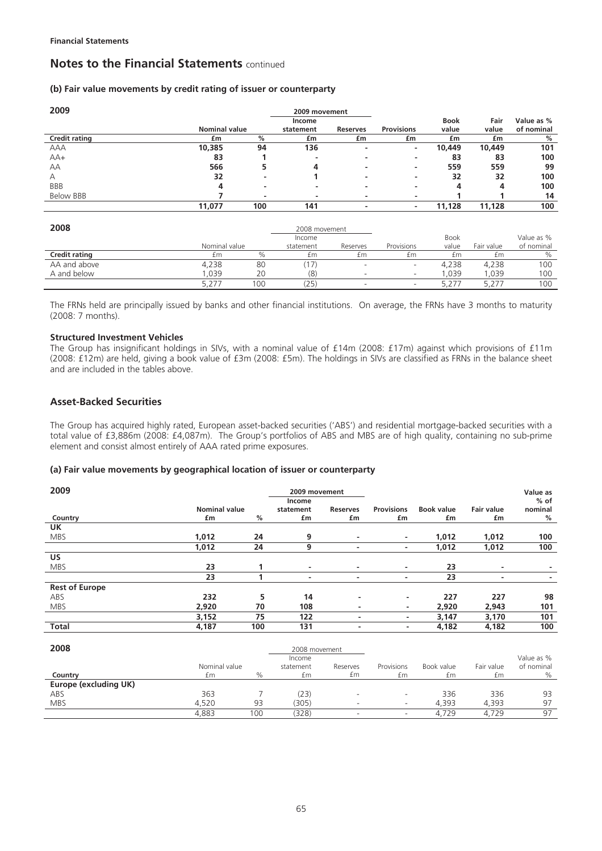### **(b) Fair value movements by credit rating of issuer or counterparty**

| 2009                 |                      |      | 2009 movement |                 |                          |             |        |            |
|----------------------|----------------------|------|---------------|-----------------|--------------------------|-------------|--------|------------|
|                      |                      |      | Income        |                 |                          | <b>Book</b> | Fair   | Value as % |
|                      | <b>Nominal value</b> |      | statement     | <b>Reserves</b> | <b>Provisions</b>        | value       | value  | of nominal |
| <b>Credit rating</b> | £m                   | $\%$ | £m            | £m              | £m                       | £m          | £m     | %          |
| AAA                  | 10,385               | 94   | 136           | -               |                          | 10,449      | 10,449 | 101        |
| $AA+$                | 83                   |      | -             |                 | ۰                        | 83          | 83     | 100        |
| AA                   | 566                  | 5    | 4             | -               | $\overline{\phantom{a}}$ | 559         | 559    | 99         |
| А                    | 32                   | -    |               | -               | ۰                        | 32          | 32     | 100        |
| <b>BBB</b>           | 4                    | ۰    | -             | ۰               | ۰                        | 4           | 4      | 100        |
| Below BBB            |                      | ۰    |               | ۰               | $\overline{\phantom{a}}$ |             |        | 14         |
|                      | 11,077               | 100  | 141           | -               | ۰                        | 11,128      | 11,128 | 100        |
|                      |                      |      |               |                 |                          |             |        |            |

| 2008                 |               |      |           |          |            |             |            |            |
|----------------------|---------------|------|-----------|----------|------------|-------------|------------|------------|
|                      |               |      | Income    |          |            | <b>Book</b> |            | Value as % |
|                      | Nominal value |      | statement | Reserves | Provisions | value       | Fair value | of nominal |
| <b>Credit rating</b> | £m            | $\%$ | £m        | £m       | £m         | £m          | £m         | %          |
| AA and above         | 4,238         | 80   |           |          | -          | 4,238       | 4.238      | 100        |
| A and below          | 0.039         | 20   | (8)       |          | -          | .039        | .039       | 100        |
|                      |               | 100  | 25        |          | -          | 5.ZT        |            | 100        |

The FRNs held are principally issued by banks and other financial institutions. On average, the FRNs have 3 months to maturity (2008: 7 months).

#### **Structured Investment Vehicles**

The Group has insignificant holdings in SIVs, with a nominal value of £14m (2008: £17m) against which provisions of £11m (2008: £12m) are held, giving a book value of £3m (2008: £5m). The holdings in SIVs are classified as FRNs in the balance sheet and are included in the tables above.

## **Asset-Backed Securities**

The Group has acquired highly rated, European asset-backed securities ('ABS') and residential mortgage-backed securities with a total value of £3,886m (2008: £4,087m). The Group's portfolios of ABS and MBS are of high quality, containing no sub-prime element and consist almost entirely of AAA rated prime exposures.

### **(a) Fair value movements by geographical location of issuer or counterparty**

| 2009                  |                      |     | 2009 movement  |                          |                   |                   |                   | Value as |
|-----------------------|----------------------|-----|----------------|--------------------------|-------------------|-------------------|-------------------|----------|
|                       |                      |     | Income         |                          |                   |                   |                   | $%$ of   |
|                       | <b>Nominal value</b> |     | statement      | <b>Reserves</b>          | <b>Provisions</b> | <b>Book value</b> | <b>Fair value</b> | nominal  |
| Country               | £m                   | %   | £m             | £m                       | £m                | £m                | £m                | %        |
| <b>UK</b>             |                      |     |                |                          |                   |                   |                   |          |
| <b>MBS</b>            | 1,012                | 24  | 9              | ۰                        | ۰.                | 1,012             | 1,012             | 100      |
|                       | 1,012                | 24  | 9              | $\overline{\phantom{a}}$ | ۰.                | 1,012             | 1,012             | 100      |
| <b>US</b>             |                      |     |                |                          |                   |                   |                   |          |
| <b>MBS</b>            | 23                   |     | $\overline{a}$ | ۰                        | ۰                 | 23                | ٠                 |          |
|                       | 23                   |     | $\overline{a}$ | ۰                        | ٠                 | 23                | ۰                 | -        |
| <b>Rest of Europe</b> |                      |     |                |                          |                   |                   |                   |          |
| ABS                   | 232                  | 5   | 14             | ۰                        | ٠                 | 227               | 227               | 98       |
| <b>MBS</b>            | 2,920                | 70  | 108            | ۰                        | ٠                 | 2,920             | 2,943             | 101      |
|                       | 3,152                | 75  | 122            | -                        | ۰                 | 3,147             | 3,170             | 101      |
| <b>Total</b>          | 4,187                | 100 | 131            |                          | ۰                 | 4,182             | 4,182             | 100      |

| 2008                  |               |      | 2008 movement |          |            |            |            |            |
|-----------------------|---------------|------|---------------|----------|------------|------------|------------|------------|
|                       |               |      | Income        |          |            |            |            | Value as % |
|                       | Nominal value |      | statement     | Reserves | Provisions | Book value | Fair value | of nominal |
| Country               | £m            | $\%$ | £m            | £m       | £m         | £m         | £m         | $\%$       |
| Europe (excluding UK) |               |      |               |          |            |            |            |            |
| ABS                   | 363           |      | (23)          |          |            | 336        | 336        | 93         |
| <b>MBS</b>            | 4.520         | 93   | 305)          |          | -          | 4.393      | 4.393      | 97         |
|                       | 4,883         | 00   | 328)          |          |            | 4,729      | 4.729      | 97         |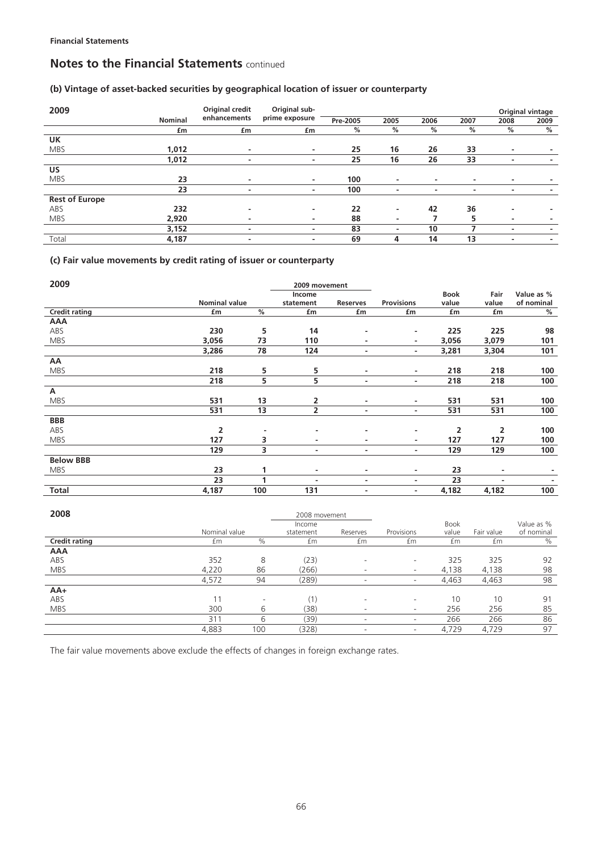## **(b) Vintage of asset-backed securities by geographical location of issuer or counterparty**

| 2009                  |                | Original credit | Original sub-            |          |      |               |      |                          | Original vintage |
|-----------------------|----------------|-----------------|--------------------------|----------|------|---------------|------|--------------------------|------------------|
|                       | <b>Nominal</b> | enhancements    | prime exposure           | Pre-2005 | 2005 | 2006          | 2007 | 2008                     | 2009             |
|                       | £m             | £m              | £m                       | %        | %    | $\frac{0}{2}$ | %    | %                        | %                |
| <b>UK</b>             |                |                 |                          |          |      |               |      |                          |                  |
| <b>MBS</b>            | 1,012          | ۰               | ٠                        | 25       | 16   | 26            | 33   | $\overline{\phantom{a}}$ |                  |
|                       | 1,012          |                 | ٠                        | 25       | 16   | 26            | 33   | $\overline{\phantom{a}}$ |                  |
| US                    |                |                 |                          |          |      |               |      |                          |                  |
| <b>MBS</b>            | 23             |                 | ٠                        | 100      | ٠    | ٠             | ۰    | ۰                        |                  |
|                       | 23             |                 | ۰                        | 100      |      |               | -    | $\overline{\phantom{a}}$ |                  |
| <b>Rest of Europe</b> |                |                 |                          |          |      |               |      |                          |                  |
| ABS                   | 232            |                 | $\overline{\phantom{a}}$ | 22       | ۰    | 42            | 36   | -                        |                  |
| <b>MBS</b>            | 2,920          |                 | -                        | 88       |      |               | 5    | $\overline{\phantom{a}}$ |                  |
|                       | 3,152          |                 | $\overline{\phantom{a}}$ | 83       |      | 10            |      | -                        |                  |
| Total                 | 4,187          |                 | ۰                        | 69       | 4    | 14            | 13   | $\overline{\phantom{a}}$ |                  |

## **(c) Fair value movements by credit rating of issuer or counterparty**

| 2009                 |                      |     | 2009 movement            |          |                          |       |                |                          |
|----------------------|----------------------|-----|--------------------------|----------|--------------------------|-------|----------------|--------------------------|
|                      |                      |     | Income                   |          |                          | Book  | Fair           | Value as %               |
|                      | <b>Nominal value</b> |     | statement                | Reserves | <b>Provisions</b>        | value | value          | of nominal               |
| <b>Credit rating</b> | £m                   | %   | £m                       | £m       | £m                       | £m    | £m             | %                        |
| <b>AAA</b>           |                      |     |                          |          |                          |       |                |                          |
| ABS                  | 230                  | 5   | 14                       | ٠        | ۰.                       | 225   | 225            | 98                       |
| <b>MBS</b>           | 3,056                | 73  | 110                      | ٠        | $\sim$                   | 3,056 | 3,079          | 101                      |
|                      | 3,286                | 78  | 124                      | ٠        | ٠                        | 3,281 | 3,304          | 101                      |
| AA                   |                      |     |                          |          |                          |       |                |                          |
| <b>MBS</b>           | 218                  | 5   | 5                        | ۰.       | ۰.                       | 218   | 218            | 100                      |
|                      | 218                  | 5   | 5                        | ٠        | $\overline{\phantom{a}}$ | 218   | 218            | 100                      |
| A                    |                      |     |                          |          |                          |       |                |                          |
| <b>MBS</b>           | 531                  | 13  | 2                        | ٠        | ٠                        | 531   | 531            | 100                      |
|                      | 531                  | 13  | 2                        | ۰.       | ٠                        | 531   | 531            | 100                      |
| <b>BBB</b>           |                      |     |                          |          |                          |       |                |                          |
| ABS                  | $\overline{2}$       |     | $\overline{a}$           | ۰        | ٠                        | 2     | $\overline{2}$ | 100                      |
| <b>MBS</b>           | 127                  | 3   | -                        | ٠        | ۰.                       | 127   | 127            | 100                      |
|                      | 129                  | 3   | ٠                        | ٠        | ۰.                       | 129   | 129            | 100                      |
| <b>Below BBB</b>     |                      |     |                          |          |                          |       |                |                          |
| <b>MBS</b>           | 23                   | 1   | ٠                        | ٠        | ٠                        | 23    | ۰              |                          |
|                      | 23                   | 1   | $\overline{\phantom{a}}$ | ٠        | ٠                        | 23    | $\blacksquare$ | $\overline{\phantom{a}}$ |
| <b>Total</b>         | 4,187                | 100 | 131                      | ٠        | $\overline{\phantom{a}}$ | 4,182 | 4,182          | 100                      |
|                      |                      |     |                          |          |                          |       |                |                          |

| 2008                 |               |                          | 2008 movement |                          |                          |             |            |            |
|----------------------|---------------|--------------------------|---------------|--------------------------|--------------------------|-------------|------------|------------|
|                      |               |                          | Income        |                          |                          | <b>Book</b> |            | Value as % |
|                      | Nominal value |                          | statement     | Reserves                 | Provisions               | value       | Fair value | of nominal |
| <b>Credit rating</b> | £m            | $\%$                     | £m            | £m                       | £m                       | £m          | £m         | %          |
| <b>AAA</b>           |               |                          |               |                          |                          |             |            |            |
| ABS                  | 352           | 8                        | (23)          | $\overline{\phantom{a}}$ |                          | 325         | 325        | 92         |
| <b>MBS</b>           | 4,220         | 86                       | (266)         | $\overline{\phantom{a}}$ | $\overline{\phantom{a}}$ | 4,138       | 4,138      | 98         |
|                      | 4,572         | 94                       | (289)         | $\overline{\phantom{a}}$ | $\overline{\phantom{a}}$ | 4,463       | 4,463      | 98         |
| $AA+$                |               |                          |               |                          |                          |             |            |            |
| ABS                  | $\mathbf 1$   | $\overline{\phantom{a}}$ |               | $\overline{\phantom{a}}$ | $\overline{\phantom{a}}$ | 10          | 10         | 91         |
| <b>MBS</b>           | 300           | b                        | (38)          | $\overline{\phantom{a}}$ | $\overline{\phantom{a}}$ | 256         | 256        | 85         |
|                      | 31'           | b                        | (39)          | $\overline{\phantom{a}}$ | ۰                        | 266         | 266        | 86         |
|                      | 4.883         | 100                      | (328)         | $\overline{\phantom{a}}$ | -                        | 4.729       | 4,729      | 97         |

The fair value movements above exclude the effects of changes in foreign exchange rates.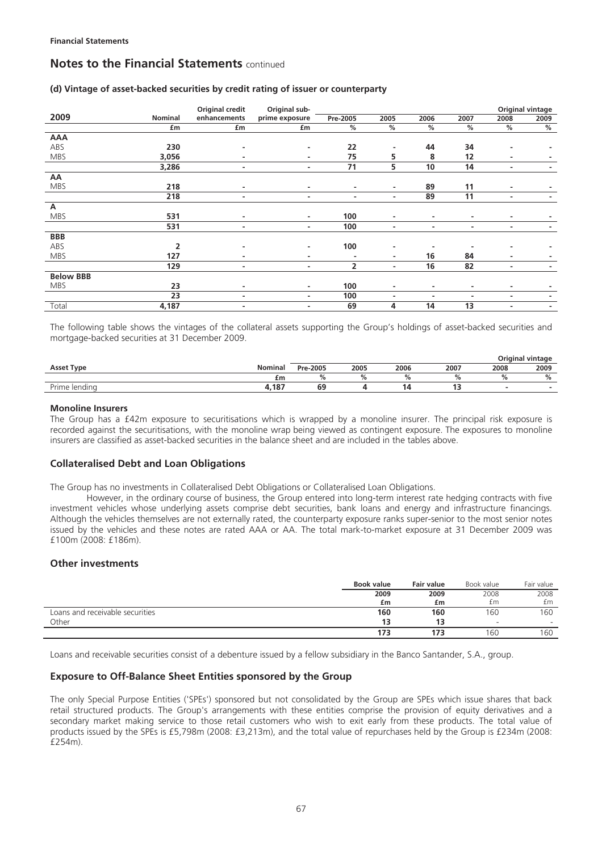### **(d) Vintage of asset-backed securities by credit rating of issuer or counterparty**

|                  |         | Original credit          | Original sub-  |                |                          |      |                |      | Original vintage |
|------------------|---------|--------------------------|----------------|----------------|--------------------------|------|----------------|------|------------------|
| 2009             | Nominal | enhancements             | prime exposure | Pre-2005       | 2005                     | 2006 | 2007           | 2008 | 2009             |
|                  | £m      | £m                       | £m             | %              | $\%$                     | $\%$ | $\%$           | %    | %                |
| <b>AAA</b>       |         |                          |                |                |                          |      |                |      |                  |
| ABS              | 230     | ٠                        | ٠              | 22             | -                        | 44   | 34             |      |                  |
| <b>MBS</b>       | 3,056   | ٠                        | ٠              | 75             | 5                        | 8    | 12             | ۰    |                  |
|                  | 3,286   | ٠                        | ۰              | 71             | 5.                       | 10   | 14             | ۰    |                  |
| AA               |         |                          |                |                |                          |      |                |      |                  |
| <b>MBS</b>       | 218     | ٠                        | ۰              | ٠              | ٠                        | 89   | 11             | ۰    |                  |
|                  | 218     | ٠                        | ٠              | ٠              | ٠                        | 89   | 11             | ٠    |                  |
| А                |         |                          |                |                |                          |      |                |      |                  |
| <b>MBS</b>       | 531     | ٠                        | ٠              | 100            | ٠                        | ٠    | $\blacksquare$ | ۰    |                  |
|                  | 531     | ۰                        | ٠              | 100            | ٠                        | ٠    | ٠              | ۰    |                  |
| <b>BBB</b>       |         |                          |                |                |                          |      |                |      |                  |
| ABS              | 2       | -                        | ٠              | 100            | ٠                        |      |                |      |                  |
| <b>MBS</b>       | 127     | $\overline{\phantom{a}}$ | ۰              | ٠              | ۰.                       | 16   | 84             | ۰    |                  |
|                  | 129     | $\blacksquare$           | ٠              | $\overline{2}$ | $\overline{\phantom{0}}$ | 16   | 82             | ۰    |                  |
| <b>Below BBB</b> |         |                          |                |                |                          |      |                |      |                  |
| <b>MBS</b>       | 23      | ٠                        | ٠              | 100            | ۰                        | ٠    | -              | -    |                  |
|                  | 23      | $\overline{\phantom{a}}$ | ٠              | 100            | ۰                        | ٠    | $\blacksquare$ | ۰    |                  |
| Total            | 4,187   | $\overline{\phantom{a}}$ | ٠              | 69             | 4                        | 14   | 13             |      |                  |

The following table shows the vintages of the collateral assets supporting the Group's holdings of asset-backed securities and mortgage-backed securities at 31 December 2009.

|                              |            |          |      |      |      |      | Original vintage |  |  |  |
|------------------------------|------------|----------|------|------|------|------|------------------|--|--|--|
| <b>Asset Type</b>            | Nominal    | Pre-2005 | 2005 | 2006 | 2007 | 2008 | 2009             |  |  |  |
|                              | £m         |          |      |      | 74   |      | 7ο               |  |  |  |
| <u>.</u><br>Prime<br>lendina | 107<br>107 | 69       |      |      |      |      |                  |  |  |  |

#### **Monoline Insurers**

The Group has a £42m exposure to securitisations which is wrapped by a monoline insurer. The principal risk exposure is recorded against the securitisations, with the monoline wrap being viewed as contingent exposure. The exposures to monoline insurers are classified as asset-backed securities in the balance sheet and are included in the tables above.

## **Collateralised Debt and Loan Obligations**

The Group has no investments in Collateralised Debt Obligations or Collateralised Loan Obligations.

However, in the ordinary course of business, the Group entered into long-term interest rate hedging contracts with five investment vehicles whose underlying assets comprise debt securities, bank loans and energy and infrastructure financings. Although the vehicles themselves are not externally rated, the counterparty exposure ranks super-senior to the most senior notes issued by the vehicles and these notes are rated AAA or AA. The total mark-to-market exposure at 31 December 2009 was £100m (2008: £186m).

### **Other investments**

|                                 | <b>Book value</b> | <b>Fair value</b> | Book value               | Fair value               |
|---------------------------------|-------------------|-------------------|--------------------------|--------------------------|
|                                 | 2009              | 2009              | 2008                     | 2008                     |
|                                 | £m                | £m                | £m                       | £m                       |
| Loans and receivable securities | 160               | 160               | 60                       | 60                       |
| Other                           |                   |                   | $\overline{\phantom{a}}$ | $\overline{\phantom{0}}$ |
|                                 | 173               | 173               | 60                       | 160                      |

Loans and receivable securities consist of a debenture issued by a fellow subsidiary in the Banco Santander, S.A., group.

### **Exposure to Off-Balance Sheet Entities sponsored by the Group**

The only Special Purpose Entities ('SPEs') sponsored but not consolidated by the Group are SPEs which issue shares that back retail structured products. The Group's arrangements with these entities comprise the provision of equity derivatives and a secondary market making service to those retail customers who wish to exit early from these products. The total value of products issued by the SPEs is £5,798m (2008: £3,213m), and the total value of repurchases held by the Group is £234m (2008: £254m).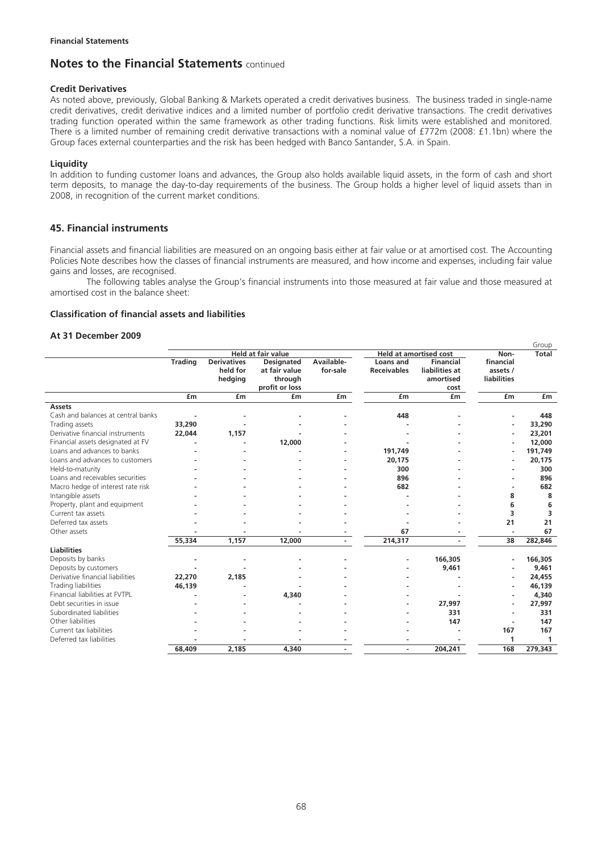### **Credit Derivatives**

As noted above, previously, Global Banking & Markets operated a credit derivatives business. The business traded in single-name credit derivatives, credit derivative indices and a limited number of portfolio credit derivative transactions. The credit derivatives trading function operated within the same framework as other trading functions. Risk limits were established and monitored. There is a limited number of remaining credit derivative transactions with a nominal value of £772m (2008: £1.1bn) where the Group faces external counterparties and the risk has been hedged with Banco Santander, S.A. in Spain.

### **Liquidity**

In addition to funding customer loans and advances, the Group also holds available liquid assets, in the form of cash and short term deposits, to manage the day-to-day requirements of the business. The Group holds a higher level of liquid assets than in 2008, in recognition of the current market conditions.

### **45. Financial instruments**

Financial assets and financial liabilities are measured on an ongoing basis either at fair value or at amortised cost. The Accounting Policies Note describes how the classes of financial instruments are measured, and how income and expenses, including fair value gains and losses, are recognised.

The following tables analyse the Group's financial instruments into those measured at fair value and those measured at amortised cost in the balance sheet:

### **Classification of financial assets and liabilities**

#### **At 31 December 2009**

|                                    |                |                                           |                                                                 |                        |                                 | Group                                            |                                             |              |
|------------------------------------|----------------|-------------------------------------------|-----------------------------------------------------------------|------------------------|---------------------------------|--------------------------------------------------|---------------------------------------------|--------------|
|                                    |                |                                           | <b>Held at fair value</b>                                       |                        |                                 | <b>Held at amortised cost</b>                    | Non-                                        | <b>Total</b> |
|                                    | <b>Trading</b> | <b>Derivatives</b><br>held for<br>hedging | <b>Designated</b><br>at fair value<br>through<br>profit or loss | Available-<br>for-sale | Loans and<br><b>Receivables</b> | Financial<br>liabilities at<br>amortised<br>cost | financial<br>assets /<br><b>liabilities</b> |              |
|                                    | £m             | £m                                        | £m                                                              | £m                     | £m                              | £m                                               | £m                                          | £m           |
| <b>Assets</b>                      |                |                                           |                                                                 |                        |                                 |                                                  |                                             |              |
| Cash and balances at central banks |                |                                           |                                                                 |                        | 448                             |                                                  | ٠                                           | 448          |
| Trading assets                     | 33,290         |                                           |                                                                 |                        |                                 |                                                  | ٠                                           | 33,290       |
| Derivative financial instruments   | 22,044         | 1,157                                     |                                                                 |                        |                                 |                                                  | ٠                                           | 23,201       |
| Financial assets designated at FV  |                |                                           | 12,000                                                          |                        |                                 |                                                  | ٠                                           | 12,000       |
| Loans and advances to banks        |                |                                           |                                                                 |                        | 191,749                         |                                                  | ۰                                           | 191,749      |
| Loans and advances to customers    |                |                                           |                                                                 |                        | 20,175                          |                                                  |                                             | 20,175       |
| Held-to-maturity                   |                |                                           |                                                                 |                        | 300                             |                                                  |                                             | 300          |
| Loans and receivables securities   |                |                                           |                                                                 |                        | 896                             |                                                  |                                             | 896          |
| Macro hedge of interest rate risk  |                |                                           |                                                                 |                        | 682                             |                                                  | $\blacksquare$                              | 682          |
| Intangible assets                  |                |                                           |                                                                 |                        |                                 |                                                  | 8                                           | 8            |
| Property, plant and equipment      |                |                                           |                                                                 |                        |                                 |                                                  | 6                                           | 6            |
| Current tax assets                 |                |                                           |                                                                 |                        |                                 |                                                  | 3                                           | 3            |
| Deferred tax assets                |                |                                           |                                                                 |                        |                                 |                                                  | 21                                          | 21           |
| Other assets                       |                |                                           |                                                                 |                        | 67                              |                                                  | ٠                                           | 67           |
|                                    | 55,334         | 1,157                                     | 12,000                                                          |                        | 214,317                         |                                                  | 38                                          | 282,846      |
| <b>Liabilities</b>                 |                |                                           |                                                                 |                        |                                 |                                                  |                                             |              |
| Deposits by banks                  |                |                                           |                                                                 |                        |                                 | 166,305                                          |                                             | 166,305      |
| Deposits by customers              |                |                                           |                                                                 |                        |                                 | 9,461                                            |                                             | 9,461        |
| Derivative financial liabilities   | 22,270         | 2,185                                     |                                                                 |                        |                                 |                                                  | ٠                                           | 24,455       |
| Trading liabilities                | 46,139         |                                           |                                                                 |                        |                                 |                                                  | ٠                                           | 46,139       |
| Financial liabilities at FVTPL     |                |                                           | 4,340                                                           |                        |                                 |                                                  | ٠                                           | 4,340        |
| Debt securities in issue           |                |                                           |                                                                 |                        |                                 | 27,997                                           | ۰                                           | 27,997       |
| Subordinated liabilities           |                |                                           |                                                                 |                        |                                 | 331                                              | ٠                                           | 331          |
| Other liabilities                  |                |                                           |                                                                 |                        |                                 | 147                                              | ٠                                           | 147          |
| Current tax liabilities            |                |                                           |                                                                 |                        |                                 |                                                  | 167                                         | 167          |
| Deferred tax liabilities           |                |                                           |                                                                 |                        |                                 |                                                  | 1                                           | $\mathbf{1}$ |
|                                    | 68,409         | 2,185                                     | 4,340                                                           |                        |                                 | 204,241                                          | 168                                         | 279,343      |
|                                    |                |                                           |                                                                 |                        |                                 |                                                  |                                             |              |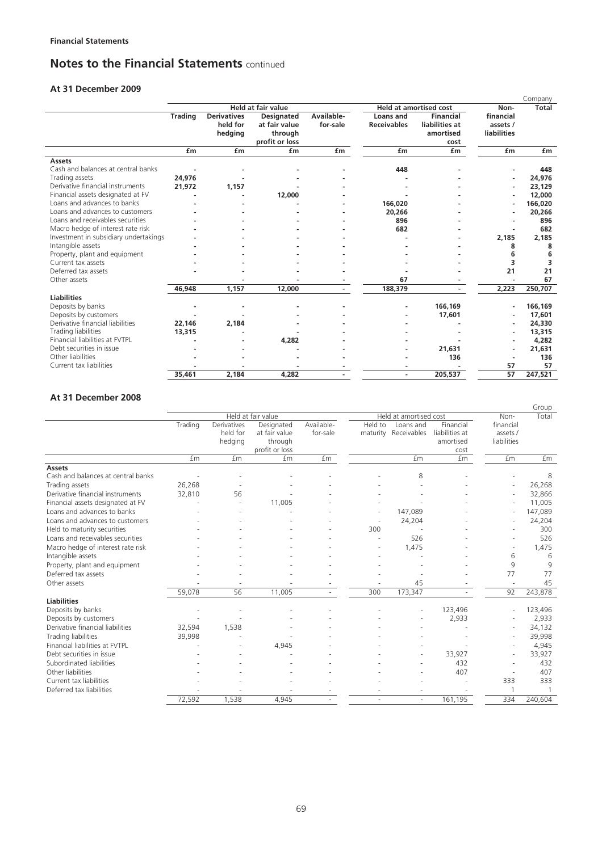## **At 31 December 2009**

|                                       |                |                                           |                                                                 |                        |                                        |                                                         |                                      | Company |
|---------------------------------------|----------------|-------------------------------------------|-----------------------------------------------------------------|------------------------|----------------------------------------|---------------------------------------------------------|--------------------------------------|---------|
|                                       |                |                                           | <b>Held at fair value</b>                                       |                        |                                        | <b>Held at amortised cost</b>                           | Non-                                 | Total   |
|                                       | <b>Trading</b> | <b>Derivatives</b><br>held for<br>hedging | <b>Designated</b><br>at fair value<br>through<br>profit or loss | Available-<br>for-sale | <b>Loans</b> and<br><b>Receivables</b> | <b>Financial</b><br>liabilities at<br>amortised<br>cost | financial<br>assets /<br>liabilities |         |
|                                       | £m             | £m                                        | £m                                                              | £m                     | £m                                     | £m                                                      | £m                                   | £m      |
| <b>Assets</b>                         |                |                                           |                                                                 |                        |                                        |                                                         |                                      |         |
| Cash and balances at central banks    |                |                                           |                                                                 |                        | 448                                    |                                                         |                                      | 448     |
| Trading assets                        | 24,976         |                                           |                                                                 |                        |                                        |                                                         |                                      | 24,976  |
| Derivative financial instruments      | 21,972         | 1,157                                     |                                                                 |                        |                                        |                                                         |                                      | 23,129  |
| Financial assets designated at FV     |                |                                           | 12,000                                                          |                        |                                        |                                                         | ٠                                    | 12,000  |
| Loans and advances to banks           |                |                                           |                                                                 |                        | 166,020                                |                                                         | ٠                                    | 166,020 |
| Loans and advances to customers       |                |                                           |                                                                 |                        | 20,266                                 |                                                         |                                      | 20,266  |
| Loans and receivables securities      |                |                                           |                                                                 |                        | 896                                    |                                                         |                                      | 896     |
| Macro hedge of interest rate risk     |                |                                           |                                                                 |                        | 682                                    |                                                         |                                      | 682     |
| Investment in subsidiary undertakings |                |                                           |                                                                 |                        |                                        |                                                         | 2,185                                | 2,185   |
| Intangible assets                     |                |                                           |                                                                 |                        |                                        |                                                         | 8                                    | 8       |
| Property, plant and equipment         |                |                                           |                                                                 |                        |                                        |                                                         | 6                                    | 6       |
| Current tax assets                    |                |                                           |                                                                 |                        |                                        |                                                         | 3                                    | 3       |
| Deferred tax assets                   |                |                                           |                                                                 |                        |                                        |                                                         | 21                                   | 21      |
| Other assets                          |                |                                           |                                                                 |                        | 67                                     |                                                         |                                      | 67      |
|                                       | 46,948         | 1,157                                     | 12,000                                                          |                        | 188,379                                |                                                         | 2,223                                | 250,707 |
| <b>Liabilities</b>                    |                |                                           |                                                                 |                        |                                        |                                                         |                                      |         |
| Deposits by banks                     |                |                                           |                                                                 |                        |                                        | 166,169                                                 | $\overline{\phantom{a}}$             | 166,169 |
| Deposits by customers                 |                |                                           |                                                                 |                        |                                        | 17,601                                                  |                                      | 17,601  |
| Derivative financial liabilities      | 22,146         | 2,184                                     |                                                                 |                        |                                        |                                                         | ٠                                    | 24,330  |
| Trading liabilities                   | 13,315         |                                           |                                                                 |                        |                                        |                                                         | ٠                                    | 13,315  |
| Financial liabilities at FVTPL        |                |                                           | 4,282                                                           |                        |                                        |                                                         |                                      | 4,282   |
| Debt securities in issue              |                |                                           |                                                                 |                        |                                        | 21.631                                                  | ٠                                    | 21,631  |
| Other liabilities                     |                |                                           |                                                                 |                        |                                        | 136                                                     |                                      | 136     |
| Current tax liabilities               |                |                                           |                                                                 |                        |                                        |                                                         | 57                                   | 57      |
|                                       | 35,461         | 2.184                                     | 4,282                                                           |                        |                                        | 205,537                                                 | 57                                   | 247.521 |

## **At 31 December 2008**

|                                    |         |                                    |                                                          |                        |         |                                   |                                                  |                                      | Group   |
|------------------------------------|---------|------------------------------------|----------------------------------------------------------|------------------------|---------|-----------------------------------|--------------------------------------------------|--------------------------------------|---------|
|                                    |         |                                    | Held at fair value                                       |                        |         | Held at amortised cost            |                                                  | Non-                                 | Total   |
|                                    | Trading | Derivatives<br>held for<br>hedging | Designated<br>at fair value<br>through<br>profit or loss | Available-<br>for-sale | Held to | Loans and<br>maturity Receivables | Financial<br>liabilities at<br>amortised<br>cost | financial<br>assets /<br>liabilities |         |
|                                    | £m      | <b>fm</b>                          | £m                                                       | <b>fm</b>              |         | £m                                | £m                                               | £m                                   | £m      |
| <b>Assets</b>                      |         |                                    |                                                          |                        |         |                                   |                                                  |                                      |         |
| Cash and balances at central banks |         |                                    |                                                          |                        |         | 8                                 |                                                  |                                      | 8       |
| Trading assets                     | 26,268  |                                    |                                                          |                        |         |                                   |                                                  | $\overline{a}$                       | 26,268  |
| Derivative financial instruments   | 32,810  | 56                                 |                                                          |                        |         |                                   |                                                  | $\overline{a}$                       | 32,866  |
| Financial assets designated at FV  |         |                                    | 11,005                                                   |                        |         |                                   |                                                  | $\overline{\phantom{a}}$             | 11,005  |
| Loans and advances to banks        |         |                                    |                                                          |                        |         | 147,089                           |                                                  | ٠                                    | 147,089 |
| Loans and advances to customers    |         |                                    |                                                          |                        |         | 24,204                            |                                                  |                                      | 24,204  |
| Held to maturity securities        |         |                                    |                                                          |                        | 300     |                                   |                                                  |                                      | 300     |
| Loans and receivables securities   |         |                                    |                                                          |                        |         | 526                               |                                                  |                                      | 526     |
| Macro hedge of interest rate risk  |         |                                    |                                                          |                        |         | 1,475                             |                                                  |                                      | 1,475   |
| Intangible assets                  |         |                                    |                                                          |                        |         |                                   |                                                  | 6                                    | 6       |
| Property, plant and equipment      |         |                                    |                                                          |                        |         |                                   |                                                  | 9                                    | 9       |
| Deferred tax assets                |         |                                    |                                                          |                        |         |                                   |                                                  | 77                                   | 77      |
| Other assets                       |         |                                    |                                                          |                        |         | 45                                |                                                  | $\overline{\phantom{a}}$             | 45      |
|                                    | 59,078  | 56                                 | 11,005                                                   | $\sim$                 | 300     | 173,347                           |                                                  | 92                                   | 243,878 |
| <b>Liabilities</b>                 |         |                                    |                                                          |                        |         |                                   |                                                  |                                      |         |
| Deposits by banks                  |         |                                    |                                                          |                        |         |                                   | 123,496                                          | ÷,                                   | 123,496 |
| Deposits by customers              |         |                                    |                                                          |                        |         |                                   | 2,933                                            |                                      | 2,933   |
| Derivative financial liabilities   | 32,594  | 1,538                              |                                                          |                        |         |                                   |                                                  | $\overline{a}$                       | 34,132  |
| Trading liabilities                | 39,998  |                                    |                                                          |                        |         |                                   |                                                  | $\overline{\phantom{a}}$             | 39,998  |
| Financial liabilities at FVTPL     |         |                                    | 4,945                                                    |                        |         |                                   |                                                  |                                      | 4,945   |
| Debt securities in issue           |         |                                    |                                                          |                        |         |                                   | 33,927                                           | $\overline{\phantom{a}}$             | 33,927  |
| Subordinated liabilities           |         |                                    |                                                          |                        |         |                                   | 432                                              |                                      | 432     |
| Other liabilities                  |         |                                    |                                                          |                        |         |                                   | 407                                              |                                      | 407     |
| Current tax liabilities            |         |                                    |                                                          |                        |         |                                   |                                                  | 333                                  | 333     |
| Deferred tax liabilities           |         |                                    |                                                          |                        |         |                                   |                                                  |                                      |         |
|                                    | 72,592  | 1,538                              | 4,945                                                    |                        |         | $\overline{\phantom{a}}$          | 161,195                                          | 334                                  | 240,604 |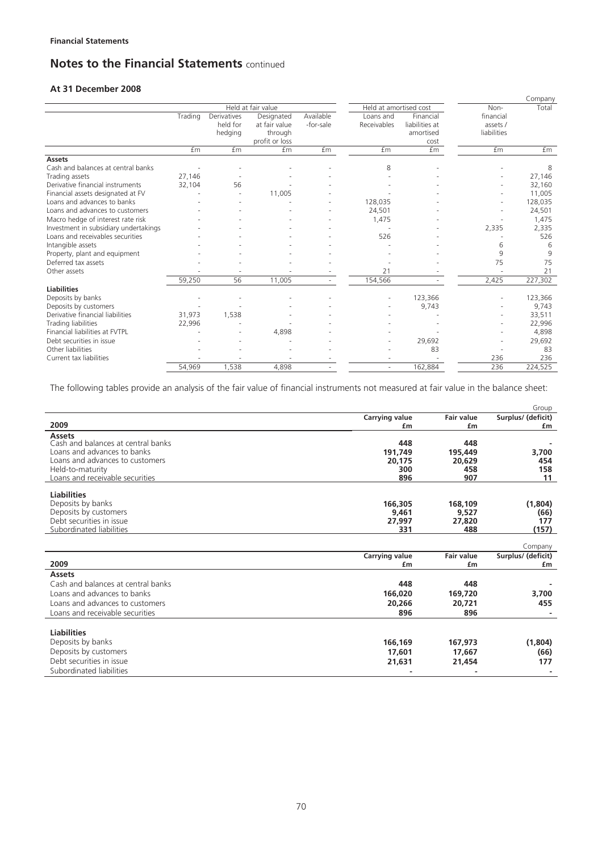## **At 31 December 2008**

|                                                     |         |                                    |                                                          |                        |                          |                                                  |                                      | Company   |
|-----------------------------------------------------|---------|------------------------------------|----------------------------------------------------------|------------------------|--------------------------|--------------------------------------------------|--------------------------------------|-----------|
|                                                     |         |                                    | Held at fair value                                       |                        | Held at amortised cost   |                                                  | Non-                                 | Total     |
|                                                     | Trading | Derivatives<br>held for<br>hedging | Designated<br>at fair value<br>through<br>profit or loss | Available<br>-for-sale | Loans and<br>Receivables | Financial<br>liabilities at<br>amortised<br>cost | financial<br>assets /<br>liabilities |           |
|                                                     | £m      | <b>fm</b>                          | £m                                                       | £m                     | £m                       | <b>fm</b>                                        | £m                                   | <b>fm</b> |
| <b>Assets</b><br>Cash and balances at central banks |         |                                    |                                                          |                        | 8                        |                                                  |                                      | 8         |
| Trading assets                                      | 27,146  |                                    |                                                          |                        |                          |                                                  |                                      | 27,146    |
| Derivative financial instruments                    | 32,104  | 56                                 |                                                          |                        |                          |                                                  |                                      | 32,160    |
| Financial assets designated at FV                   |         |                                    | 11,005                                                   |                        |                          |                                                  |                                      | 11,005    |
| Loans and advances to banks                         |         |                                    |                                                          |                        | 128,035                  |                                                  |                                      | 128,035   |
| Loans and advances to customers                     |         |                                    |                                                          |                        | 24,501                   |                                                  |                                      | 24,501    |
| Macro hedge of interest rate risk                   |         |                                    |                                                          |                        | 1,475                    |                                                  |                                      | 1,475     |
| Investment in subsidiary undertakings               |         |                                    |                                                          |                        |                          |                                                  | 2,335                                | 2,335     |
| Loans and receivables securities                    |         |                                    |                                                          |                        | 526                      |                                                  |                                      | 526       |
| Intangible assets                                   |         |                                    |                                                          |                        |                          |                                                  | 6                                    | 6         |
| Property, plant and equipment                       |         |                                    |                                                          |                        |                          |                                                  | 9                                    | 9         |
| Deferred tax assets                                 |         |                                    |                                                          |                        |                          |                                                  | 75                                   | 75        |
| Other assets                                        |         |                                    |                                                          |                        | 21                       |                                                  |                                      | 21        |
|                                                     | 59,250  | 56                                 | 11,005                                                   |                        | 154,566                  |                                                  | 2,425                                | 227,302   |
| <b>Liabilities</b><br>Deposits by banks             |         |                                    |                                                          |                        |                          | 123,366                                          |                                      | 123,366   |
| Deposits by customers                               |         |                                    |                                                          |                        |                          | 9,743                                            |                                      | 9,743     |
| Derivative financial liabilities                    | 31,973  | 1,538                              |                                                          |                        |                          |                                                  |                                      | 33,511    |
| Trading liabilities                                 | 22,996  |                                    |                                                          |                        |                          |                                                  |                                      | 22,996    |
| Financial liabilities at FVTPL                      |         |                                    | 4,898                                                    |                        |                          |                                                  |                                      | 4,898     |
| Debt securities in issue                            |         |                                    |                                                          |                        |                          | 29,692                                           |                                      | 29,692    |
| Other liabilities                                   |         |                                    |                                                          |                        |                          | 83                                               |                                      | 83        |
| Current tax liabilities                             |         |                                    |                                                          |                        |                          |                                                  | 236                                  | 236       |
|                                                     | 54,969  | 1,538                              | 4,898                                                    |                        | ٠                        | 162,884                                          | 236                                  | 224,525   |

The following tables provide an analysis of the fair value of financial instruments not measured at fair value in the balance sheet:

|                                    |                       |                   | Group              |
|------------------------------------|-----------------------|-------------------|--------------------|
|                                    | <b>Carrying value</b> | <b>Fair value</b> | Surplus/ (deficit) |
| 2009                               | £m                    | £m                | <b>f</b> m         |
| <b>Assets</b>                      |                       |                   |                    |
| Cash and balances at central banks | 448                   | 448               |                    |
| Loans and advances to banks        | 191,749               | 195,449           | 3,700              |
| Loans and advances to customers    | 20,175                | 20,629            | 454                |
| Held-to-maturity                   | 300                   | 458               | 158                |
| Loans and receivable securities    | 896                   | 907               | 11                 |
| <b>Liabilities</b>                 |                       |                   |                    |
| Deposits by banks                  | 166,305               | 168,109           | (1,804)            |
| Deposits by customers              | 9,461                 | 9,527             | (66)               |
| Debt securities in issue           | 27.997                | 27,820            | 177                |
| Subordinated liabilities           | 331                   | 488               | (157)              |
|                                    |                       |                   |                    |
|                                    |                       |                   | Company            |
|                                    | <b>Carrying value</b> | <b>Fair value</b> | Surplus/ (deficit) |
| 2009                               | £m                    | £m                | £m                 |
| <b>Assets</b>                      |                       |                   |                    |
| Cash and balances at central banks | 448                   | 448               |                    |
| Loans and advances to banks        | 166,020               | 169,720           | 3,700              |
| Loans and advances to customers    | 20,266                | 20,721            | 455                |
| Loans and receivable securities    | 896                   | 896               |                    |
|                                    |                       |                   |                    |
| <b>Liabilities</b>                 |                       |                   |                    |
| Deposits by banks                  | 166,169               | 167,973           | (1,804)            |
| Deposits by customers              | 17,601                | 17,667            | (66)               |
| Debt securities in issue           | 21,631                | 21,454            | 177                |
| Subordinated liabilities           |                       |                   |                    |
|                                    |                       |                   |                    |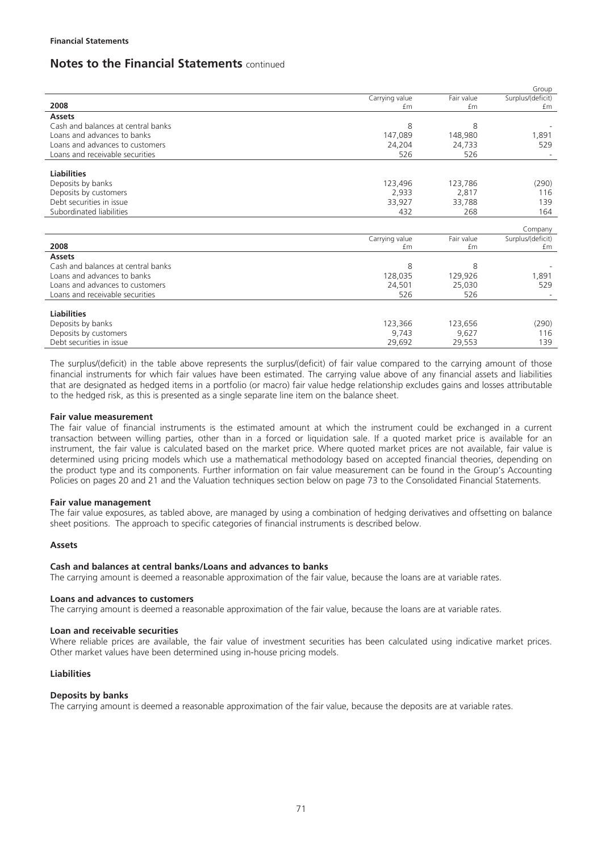|                |                                                                                     | Group                                                                           |
|----------------|-------------------------------------------------------------------------------------|---------------------------------------------------------------------------------|
| Carrying value | Fair value                                                                          | Surplus/(deficit)                                                               |
| £m             | £m                                                                                  | £m                                                                              |
|                |                                                                                     |                                                                                 |
| 8              | 8                                                                                   |                                                                                 |
| 147,089        | 148,980                                                                             | 1,891                                                                           |
| 24,204         | 24,733                                                                              | 529                                                                             |
| 526            | 526                                                                                 |                                                                                 |
|                |                                                                                     |                                                                                 |
|                |                                                                                     |                                                                                 |
| 123,496        | 123,786                                                                             | (290)                                                                           |
| 2,933          | 2,817                                                                               | 116                                                                             |
| 33,927         | 33,788                                                                              | 139                                                                             |
| 432            | 268                                                                                 | 164                                                                             |
|                |                                                                                     |                                                                                 |
|                |                                                                                     | Company                                                                         |
|                |                                                                                     | Surplus/(deficit)<br>£m                                                         |
|                |                                                                                     |                                                                                 |
|                |                                                                                     |                                                                                 |
|                |                                                                                     | 1,891                                                                           |
|                |                                                                                     | 529                                                                             |
|                |                                                                                     |                                                                                 |
|                |                                                                                     |                                                                                 |
|                |                                                                                     |                                                                                 |
|                |                                                                                     | (290)                                                                           |
|                |                                                                                     | 116                                                                             |
|                |                                                                                     | 139                                                                             |
|                | Carrying value<br>£m<br>8<br>128,035<br>24,501<br>526<br>123,366<br>9,743<br>29,692 | Fair value<br>£m<br>8<br>129,926<br>25,030<br>526<br>123,656<br>9,627<br>29,553 |

The surplus/(deficit) in the table above represents the surplus/(deficit) of fair value compared to the carrying amount of those financial instruments for which fair values have been estimated. The carrying value above of any financial assets and liabilities that are designated as hedged items in a portfolio (or macro) fair value hedge relationship excludes gains and losses attributable to the hedged risk, as this is presented as a single separate line item on the balance sheet.

#### **Fair value measurement**

The fair value of financial instruments is the estimated amount at which the instrument could be exchanged in a current transaction between willing parties, other than in a forced or liquidation sale. If a quoted market price is available for an instrument, the fair value is calculated based on the market price. Where quoted market prices are not available, fair value is determined using pricing models which use a mathematical methodology based on accepted financial theories, depending on the product type and its components. Further information on fair value measurement can be found in the Group's Accounting Policies on pages 20 and 21 and the Valuation techniques section below on page 73 to the Consolidated Financial Statements.

#### **Fair value management**

The fair value exposures, as tabled above, are managed by using a combination of hedging derivatives and offsetting on balance sheet positions. The approach to specific categories of financial instruments is described below.

#### **Assets**

#### **Cash and balances at central banks/Loans and advances to banks**

The carrying amount is deemed a reasonable approximation of the fair value, because the loans are at variable rates.

#### **Loans and advances to customers**

The carrying amount is deemed a reasonable approximation of the fair value, because the loans are at variable rates.

#### **Loan and receivable securities**

Where reliable prices are available, the fair value of investment securities has been calculated using indicative market prices. Other market values have been determined using in-house pricing models.

#### **Liabilities**

#### **Deposits by banks**

The carrying amount is deemed a reasonable approximation of the fair value, because the deposits are at variable rates.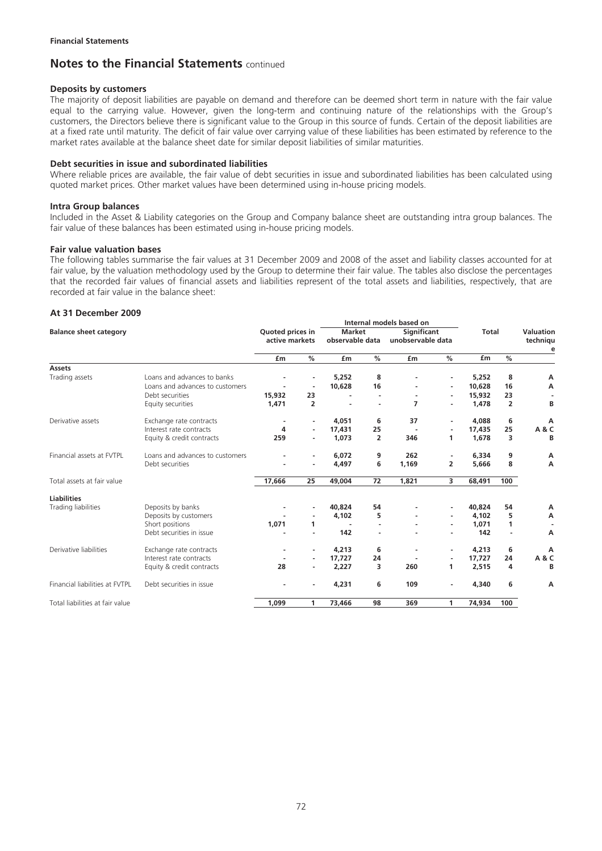#### **Deposits by customers**

The majority of deposit liabilities are payable on demand and therefore can be deemed short term in nature with the fair value equal to the carrying value. However, given the long-term and continuing nature of the relationships with the Group's customers, the Directors believe there is significant value to the Group in this source of funds. Certain of the deposit liabilities are at a fixed rate until maturity. The deficit of fair value over carrying value of these liabilities has been estimated by reference to the market rates available at the balance sheet date for similar deposit liabilities of similar maturities.

#### **Debt securities in issue and subordinated liabilities**

Where reliable prices are available, the fair value of debt securities in issue and subordinated liabilities has been calculated using quoted market prices. Other market values have been determined using in-house pricing models.

#### **Intra Group balances**

Included in the Asset & Liability categories on the Group and Company balance sheet are outstanding intra group balances. The fair value of these balances has been estimated using in-house pricing models.

#### **Fair value valuation bases**

The following tables summarise the fair values at 31 December 2009 and 2008 of the asset and liability classes accounted for at fair value, by the valuation methodology used by the Group to determine their fair value. The tables also disclose the percentages that the recorded fair values of financial assets and liabilities represent of the total assets and liabilities, respectively, that are recorded at fair value in the balance sheet:

#### **At 31 December 2009**

|                                 |                                 |                                    | Internal models based on |                                  |                |                                         |                          |              |                |                       |
|---------------------------------|---------------------------------|------------------------------------|--------------------------|----------------------------------|----------------|-----------------------------------------|--------------------------|--------------|----------------|-----------------------|
| <b>Balance sheet category</b>   |                                 | Quoted prices in<br>active markets |                          | <b>Market</b><br>observable data |                | <b>Significant</b><br>unobservable data |                          | <b>Total</b> |                | Valuation<br>techniqu |
|                                 |                                 | £m                                 | %                        | £m                               | %              | £m                                      | %                        | £m           | $\frac{0}{0}$  | e                     |
| <b>Assets</b>                   |                                 |                                    |                          |                                  |                |                                         |                          |              |                |                       |
| Trading assets                  | Loans and advances to banks     |                                    |                          | 5,252                            | 8              |                                         | $\overline{\phantom{a}}$ | 5,252        | 8              | А                     |
|                                 | Loans and advances to customers |                                    | $\blacksquare$           | 10,628                           | 16             |                                         | $\blacksquare$           | 10,628       | 16             | А                     |
|                                 | Debt securities                 | 15,932                             | 23                       | $\overline{\phantom{a}}$         |                | $\overline{\phantom{a}}$                | $\overline{\phantom{a}}$ | 15,932       | 23             |                       |
|                                 | Equity securities               | 1,471                              | $\overline{2}$           | ۰                                |                | 7                                       | ٠                        | 1,478        | $\overline{2}$ | B                     |
| Derivative assets               | Exchange rate contracts         |                                    |                          | 4,051                            | 6              | 37                                      | ٠                        | 4,088        | 6              | А                     |
|                                 | Interest rate contracts         | 4                                  | $\overline{\phantom{a}}$ | 17,431                           | 25             |                                         | $\blacksquare$           | 17,435       | 25             | A & C                 |
|                                 | Equity & credit contracts       | 259                                | ٠                        | 1,073                            | $\overline{2}$ | 346                                     | 1                        | 1,678        | 3              | B                     |
| Financial assets at FVTPL       | Loans and advances to customers |                                    |                          | 6,072                            | 9              | 262                                     | ٠                        | 6,334        | 9              | А                     |
|                                 | Debt securities                 |                                    |                          | 4,497                            | 6              | 1,169                                   | $\overline{2}$           | 5,666        | 8              | А                     |
| Total assets at fair value      |                                 | 17,666                             | 25                       | 49,004                           | 72             | 1,821                                   | 3                        | 68,491       | 100            |                       |
| <b>Liabilities</b>              |                                 |                                    |                          |                                  |                |                                         |                          |              |                |                       |
| Trading liabilities             | Deposits by banks               |                                    |                          | 40,824                           | 54             |                                         | $\overline{\phantom{a}}$ | 40,824       | 54             | А                     |
|                                 | Deposits by customers           |                                    |                          | 4.102                            | 5              |                                         | $\overline{\phantom{a}}$ | 4.102        | 5              | А                     |
|                                 | Short positions                 | 1,071                              | 1                        |                                  |                |                                         | $\overline{\phantom{m}}$ | 1,071        | 1              |                       |
|                                 | Debt securities in issue        |                                    |                          | 142                              |                |                                         |                          | 142          | ÷              | А                     |
| Derivative liabilities          | Exchange rate contracts         |                                    | $\blacksquare$           | 4,213                            | 6              |                                         | $\overline{\phantom{a}}$ | 4,213        | 6              | А                     |
|                                 | Interest rate contracts         |                                    | $\overline{\phantom{a}}$ | 17,727                           | 24             |                                         | $\blacksquare$           | 17,727       | 24             | A & C                 |
|                                 | Equity & credit contracts       | 28                                 |                          | 2,227                            | з              | 260                                     | 1                        | 2,515        | 4              | B                     |
| Financial liabilities at FVTPL  | Debt securities in issue        |                                    |                          | 4,231                            | 6              | 109                                     | $\blacksquare$           | 4,340        | 6              | А                     |
| Total liabilities at fair value |                                 | 1,099                              | 1                        | 73,466                           | 98             | 369                                     | 1                        | 74,934       | 100            |                       |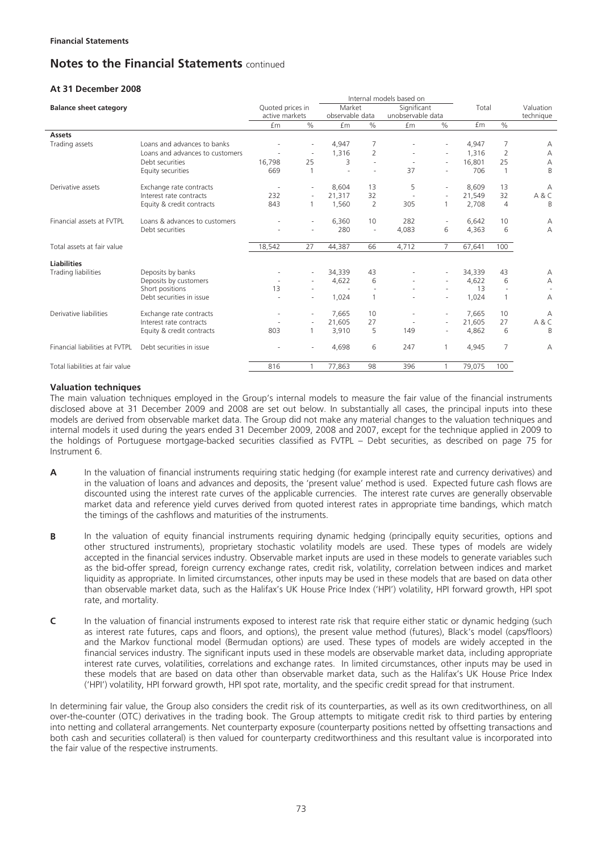## **At 31 December 2008**

|                                 |                                 |                                    |                          |                           |                          | Internal models based on         |                          |        |                |                        |
|---------------------------------|---------------------------------|------------------------------------|--------------------------|---------------------------|--------------------------|----------------------------------|--------------------------|--------|----------------|------------------------|
| <b>Balance sheet category</b>   |                                 | Quoted prices in<br>active markets |                          | Market<br>observable data |                          | Significant<br>unobservable data |                          | Total  |                | Valuation<br>technique |
|                                 |                                 | £m                                 | $\%$                     | £m                        | $\%$                     | <b>fm</b>                        | $\%$                     | £m     | $\frac{0}{0}$  |                        |
| <b>Assets</b>                   |                                 |                                    |                          |                           |                          |                                  |                          |        |                |                        |
| Trading assets                  | Loans and advances to banks     |                                    |                          | 4,947                     | 7                        |                                  |                          | 4,947  | 7              | А                      |
|                                 | Loans and advances to customers |                                    | $\overline{\phantom{a}}$ | 1,316                     | 2                        |                                  | $\overline{\phantom{a}}$ | 1,316  | 2              | А                      |
|                                 | Debt securities                 | 16,798                             | 25                       | 3                         | $\sim$                   |                                  | $\sim$                   | 16,801 | 25             | А                      |
|                                 | Equity securities               | 669                                |                          | $\sim$                    | ٠                        | 37                               |                          | 706    | $\overline{1}$ | B                      |
| Derivative assets               | Exchange rate contracts         |                                    |                          | 8,604                     | 13                       | 5                                | ٠                        | 8,609  | 13             | А                      |
|                                 | Interest rate contracts         | 232                                | ٠                        | 21,317                    | 32                       |                                  | $\overline{\phantom{a}}$ | 21,549 | 32             | A&C                    |
|                                 | Equity & credit contracts       | 843                                |                          | 1,560                     | 2                        | 305                              | $\mathbf{1}$             | 2,708  | $\overline{4}$ | B                      |
| Financial assets at FVTPL       | Loans & advances to customers   |                                    |                          | 6,360                     | 10                       | 282                              | ٠                        | 6,642  | 10             | А                      |
|                                 | Debt securities                 |                                    |                          | 280                       | $\overline{\phantom{a}}$ | 4,083                            | 6                        | 4,363  | 6              | А                      |
| Total assets at fair value      |                                 | 18,542                             | 27                       | 44,387                    | 66                       | 4,712                            | $\overline{7}$           | 67,641 | 100            |                        |
| <b>Liabilities</b>              |                                 |                                    |                          |                           |                          |                                  |                          |        |                |                        |
| Trading liabilities             | Deposits by banks               |                                    |                          | 34,339                    | 43                       |                                  |                          | 34,339 | 43             | Α                      |
|                                 | Deposits by customers           |                                    |                          | 4,622                     | 6                        |                                  | $\overline{\phantom{a}}$ | 4,622  | 6              | А                      |
|                                 | Short positions                 | 13                                 |                          |                           | ÷                        |                                  |                          | 13     |                |                        |
|                                 | Debt securities in issue        |                                    |                          | 1,024                     |                          |                                  |                          | 1,024  | $\mathbf{1}$   | А                      |
| Derivative liabilities          | Exchange rate contracts         |                                    | ٠                        | 7.665                     | 10                       |                                  | $\overline{\phantom{a}}$ | 7.665  | 10             | А                      |
|                                 | Interest rate contracts         |                                    |                          | 21,605                    | 27                       |                                  | ٠                        | 21.605 | 27             | A & C                  |
|                                 | Equity & credit contracts       | 803                                |                          | 3,910                     | 5                        | 149                              |                          | 4,862  | 6              | B                      |
| Financial liabilities at FVTPL  | Debt securities in issue        |                                    |                          | 4,698                     | 6                        | 247                              | $\mathbf{1}$             | 4,945  | $\overline{7}$ | А                      |
| Total liabilities at fair value |                                 | 816                                |                          | 77,863                    | 98                       | 396                              |                          | 79,075 | 100            |                        |

#### **Valuation techniques**

The main valuation techniques employed in the Group's internal models to measure the fair value of the financial instruments disclosed above at 31 December 2009 and 2008 are set out below. In substantially all cases, the principal inputs into these models are derived from observable market data. The Group did not make any material changes to the valuation techniques and internal models it used during the years ended 31 December 2009, 2008 and 2007, except for the technique applied in 2009 to the holdings of Portuguese mortgage-backed securities classified as FVTPL – Debt securities, as described on page 75 for Instrument 6.

- **A** In the valuation of financial instruments requiring static hedging (for example interest rate and currency derivatives) and in the valuation of loans and advances and deposits, the 'present value' method is used. Expected future cash flows are discounted using the interest rate curves of the applicable currencies. The interest rate curves are generally observable market data and reference yield curves derived from quoted interest rates in appropriate time bandings, which match the timings of the cashflows and maturities of the instruments.
- **B** In the valuation of equity financial instruments requiring dynamic hedging (principally equity securities, options and other structured instruments), proprietary stochastic volatility models are used. These types of models are widely accepted in the financial services industry. Observable market inputs are used in these models to generate variables such as the bid-offer spread, foreign currency exchange rates, credit risk, volatility, correlation between indices and market liquidity as appropriate. In limited circumstances, other inputs may be used in these models that are based on data other than observable market data, such as the Halifax's UK House Price Index ('HPI') volatility, HPI forward growth, HPI spot rate, and mortality.
- **C** In the valuation of financial instruments exposed to interest rate risk that require either static or dynamic hedging (such as interest rate futures, caps and floors, and options), the present value method (futures), Black's model (caps/floors) and the Markov functional model (Bermudan options) are used. These types of models are widely accepted in the financial services industry. The significant inputs used in these models are observable market data, including appropriate interest rate curves, volatilities, correlations and exchange rates. In limited circumstances, other inputs may be used in these models that are based on data other than observable market data, such as the Halifax's UK House Price Index ('HPI') volatility, HPI forward growth, HPI spot rate, mortality, and the specific credit spread for that instrument.

In determining fair value, the Group also considers the credit risk of its counterparties, as well as its own creditworthiness, on all over-the-counter (OTC) derivatives in the trading book. The Group attempts to mitigate credit risk to third parties by entering into netting and collateral arrangements. Net counterparty exposure (counterparty positions netted by offsetting transactions and both cash and securities collateral) is then valued for counterparty creditworthiness and this resultant value is incorporated into the fair value of the respective instruments.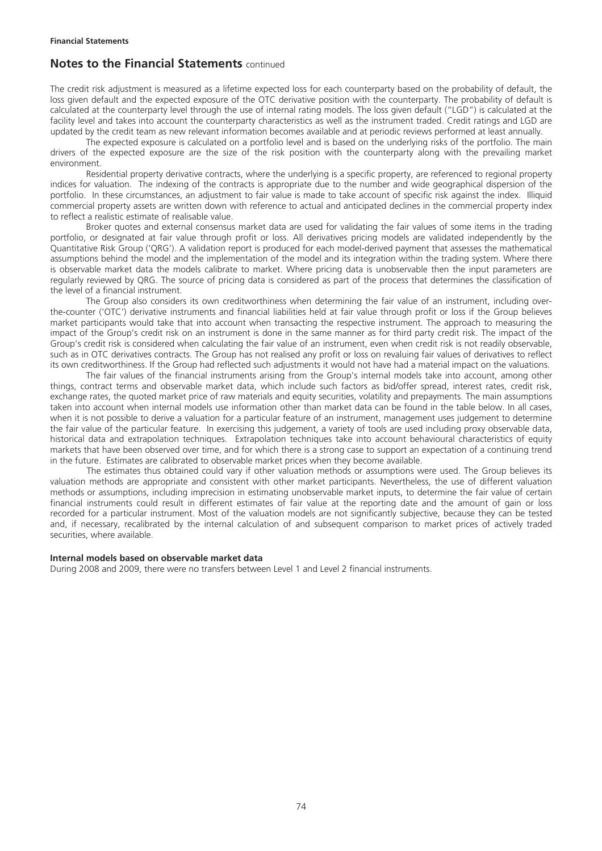The credit risk adjustment is measured as a lifetime expected loss for each counterparty based on the probability of default, the loss given default and the expected exposure of the OTC derivative position with the counterparty. The probability of default is calculated at the counterparty level through the use of internal rating models. The loss given default ("LGD") is calculated at the facility level and takes into account the counterparty characteristics as well as the instrument traded. Credit ratings and LGD are updated by the credit team as new relevant information becomes available and at periodic reviews performed at least annually.

The expected exposure is calculated on a portfolio level and is based on the underlying risks of the portfolio. The main drivers of the expected exposure are the size of the risk position with the counterparty along with the prevailing market environment.

Residential property derivative contracts, where the underlying is a specific property, are referenced to regional property indices for valuation. The indexing of the contracts is appropriate due to the number and wide geographical dispersion of the portfolio. In these circumstances, an adjustment to fair value is made to take account of specific risk against the index. Illiquid commercial property assets are written down with reference to actual and anticipated declines in the commercial property index to reflect a realistic estimate of realisable value.

Broker quotes and external consensus market data are used for validating the fair values of some items in the trading portfolio, or designated at fair value through profit or loss. All derivatives pricing models are validated independently by the Quantitative Risk Group ('QRG'). A validation report is produced for each model-derived payment that assesses the mathematical assumptions behind the model and the implementation of the model and its integration within the trading system. Where there is observable market data the models calibrate to market. Where pricing data is unobservable then the input parameters are regularly reviewed by QRG. The source of pricing data is considered as part of the process that determines the classification of the level of a financial instrument.

The Group also considers its own creditworthiness when determining the fair value of an instrument, including overthe-counter ('OTC') derivative instruments and financial liabilities held at fair value through profit or loss if the Group believes market participants would take that into account when transacting the respective instrument. The approach to measuring the impact of the Group's credit risk on an instrument is done in the same manner as for third party credit risk. The impact of the Group's credit risk is considered when calculating the fair value of an instrument, even when credit risk is not readily observable, such as in OTC derivatives contracts. The Group has not realised any profit or loss on revaluing fair values of derivatives to reflect its own creditworthiness. If the Group had reflected such adjustments it would not have had a material impact on the valuations.

The fair values of the financial instruments arising from the Group's internal models take into account, among other things, contract terms and observable market data, which include such factors as bid/offer spread, interest rates, credit risk, exchange rates, the quoted market price of raw materials and equity securities, volatility and prepayments. The main assumptions taken into account when internal models use information other than market data can be found in the table below. In all cases, when it is not possible to derive a valuation for a particular feature of an instrument, management uses judgement to determine the fair value of the particular feature. In exercising this judgement, a variety of tools are used including proxy observable data, historical data and extrapolation techniques. Extrapolation techniques take into account behavioural characteristics of equity markets that have been observed over time, and for which there is a strong case to support an expectation of a continuing trend in the future. Estimates are calibrated to observable market prices when they become available.

The estimates thus obtained could vary if other valuation methods or assumptions were used. The Group believes its valuation methods are appropriate and consistent with other market participants. Nevertheless, the use of different valuation methods or assumptions, including imprecision in estimating unobservable market inputs, to determine the fair value of certain financial instruments could result in different estimates of fair value at the reporting date and the amount of gain or loss recorded for a particular instrument. Most of the valuation models are not significantly subjective, because they can be tested and, if necessary, recalibrated by the internal calculation of and subsequent comparison to market prices of actively traded securities, where available.

#### **Internal models based on observable market data**

During 2008 and 2009, there were no transfers between Level 1 and Level 2 financial instruments.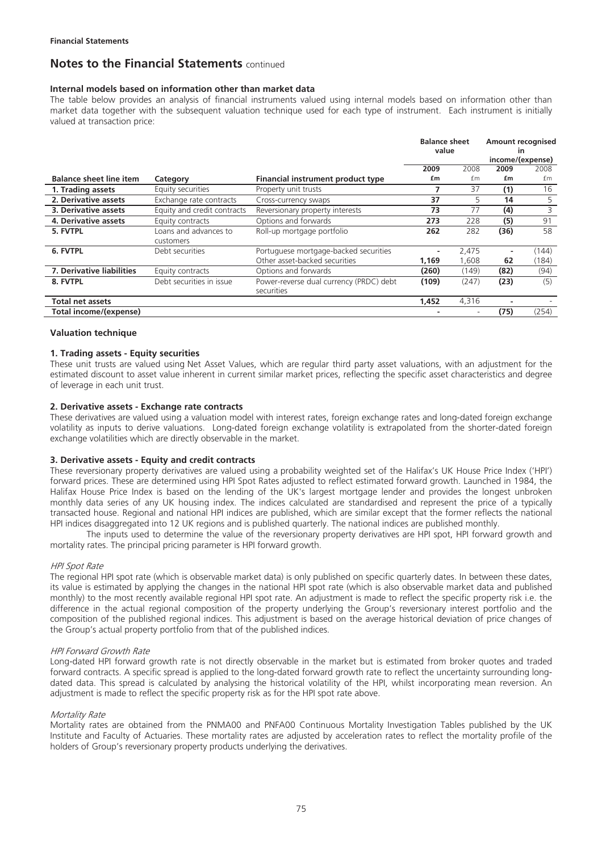#### **Internal models based on information other than market data**

The table below provides an analysis of financial instruments valued using internal models based on information other than market data together with the subsequent valuation technique used for each type of instrument. Each instrument is initially valued at transaction price:

|                                |                                    |                                                       | <b>Balance sheet</b><br>value |       | <b>Amount recognised</b><br>in<br>income/(expense) |       |  |
|--------------------------------|------------------------------------|-------------------------------------------------------|-------------------------------|-------|----------------------------------------------------|-------|--|
|                                |                                    |                                                       | 2009                          | 2008  | 2009                                               | 2008  |  |
| <b>Balance sheet line item</b> | Category                           | Financial instrument product type                     | £m                            | fm    | £m                                                 | £m    |  |
| 1. Trading assets              | Equity securities                  | Property unit trusts                                  |                               | 37    | (1)                                                | 16    |  |
| 2. Derivative assets           | Exchange rate contracts            | Cross-currency swaps                                  | 37                            | 5     | 14                                                 | 5     |  |
| 3. Derivative assets           | Equity and credit contracts        | Reversionary property interests                       | 73                            | 77    | (4)                                                | 3     |  |
| <b>4. Derivative assets</b>    | Equity contracts                   | Options and forwards                                  | 273                           | 228   | (5)                                                | 91    |  |
| 5. FVTPL                       | Loans and advances to<br>customers | Roll-up mortgage portfolio                            | 262                           | 282   | (36)                                               | 58    |  |
| 6. FVTPL                       | Debt securities                    | Portuguese mortgage-backed securities                 |                               | 2,475 |                                                    | (144) |  |
|                                |                                    | Other asset-backed securities                         | 1,169                         | 1,608 | 62                                                 | (184) |  |
| 7. Derivative liabilities      | Equity contracts                   | Options and forwards                                  | (260)                         | (149) | (82)                                               | (94)  |  |
| 8. FVTPL                       | Debt securities in issue           | Power-reverse dual currency (PRDC) debt<br>securities | (109)                         | (247) | (23)                                               | (5)   |  |
| Total net assets               |                                    |                                                       | 1.452                         | 4,316 |                                                    |       |  |
| Total income/(expense)         |                                    |                                                       |                               |       | (75)                                               | (254) |  |

#### **Valuation technique**

#### **1. Trading assets - Equity securities**

These unit trusts are valued using Net Asset Values, which are regular third party asset valuations, with an adjustment for the estimated discount to asset value inherent in current similar market prices, reflecting the specific asset characteristics and degree of leverage in each unit trust.

#### **2. Derivative assets - Exchange rate contracts**

These derivatives are valued using a valuation model with interest rates, foreign exchange rates and long-dated foreign exchange volatility as inputs to derive valuations. Long-dated foreign exchange volatility is extrapolated from the shorter-dated foreign exchange volatilities which are directly observable in the market.

#### **3. Derivative assets - Equity and credit contracts**

These reversionary property derivatives are valued using a probability weighted set of the Halifax's UK House Price Index ('HPI') forward prices. These are determined using HPI Spot Rates adjusted to reflect estimated forward growth. Launched in 1984, the Halifax House Price Index is based on the lending of the UK's largest mortgage lender and provides the longest unbroken monthly data series of any UK housing index. The indices calculated are standardised and represent the price of a typically transacted house. Regional and national HPI indices are published, which are similar except that the former reflects the national HPI indices disaggregated into 12 UK regions and is published quarterly. The national indices are published monthly.

The inputs used to determine the value of the reversionary property derivatives are HPI spot, HPI forward growth and mortality rates. The principal pricing parameter is HPI forward growth.

#### HPI Spot Rate

The regional HPI spot rate (which is observable market data) is only published on specific quarterly dates. In between these dates, its value is estimated by applying the changes in the national HPI spot rate (which is also observable market data and published monthly) to the most recently available regional HPI spot rate. An adjustment is made to reflect the specific property risk i.e. the difference in the actual regional composition of the property underlying the Group's reversionary interest portfolio and the composition of the published regional indices. This adjustment is based on the average historical deviation of price changes of the Group's actual property portfolio from that of the published indices.

#### HPI Forward Growth Rate

Long-dated HPI forward growth rate is not directly observable in the market but is estimated from broker quotes and traded forward contracts. A specific spread is applied to the long-dated forward growth rate to reflect the uncertainty surrounding longdated data. This spread is calculated by analysing the historical volatility of the HPI, whilst incorporating mean reversion. An adjustment is made to reflect the specific property risk as for the HPI spot rate above.

#### Mortality Rate

Mortality rates are obtained from the PNMA00 and PNFA00 Continuous Mortality Investigation Tables published by the UK Institute and Faculty of Actuaries. These mortality rates are adjusted by acceleration rates to reflect the mortality profile of the holders of Group's reversionary property products underlying the derivatives.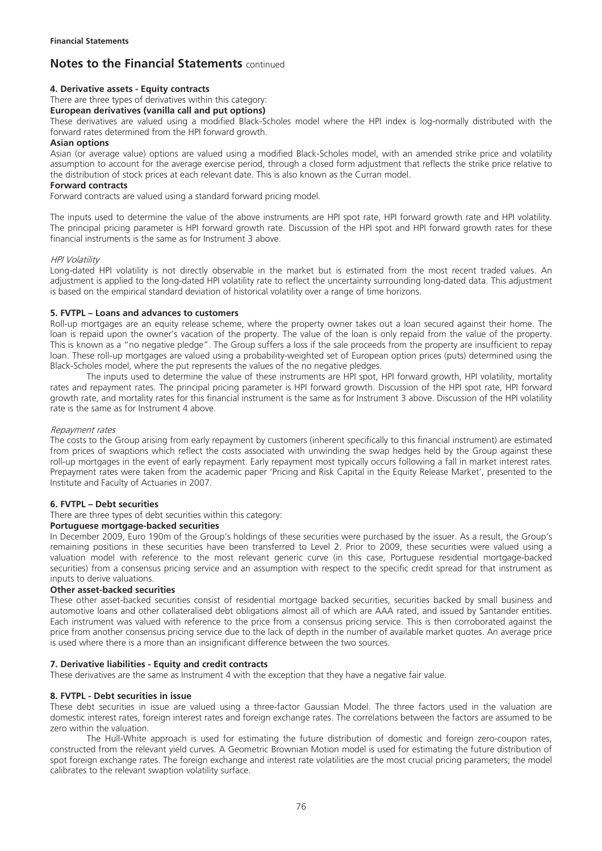### **4. Derivative assets - Equity contracts**

There are three types of derivatives within this category:

### **European derivatives (vanilla call and put options)**

These derivatives are valued using a modified Black-Scholes model where the HPI index is log-normally distributed with the forward rates determined from the HPI forward growth.

### **Asian options**

Asian (or average value) options are valued using a modified Black-Scholes model, with an amended strike price and volatility assumption to account for the average exercise period, through a closed form adjustment that reflects the strike price relative to the distribution of stock prices at each relevant date. This is also known as the Curran model.

### **Forward contracts**

Forward contracts are valued using a standard forward pricing model.

The inputs used to determine the value of the above instruments are HPI spot rate, HPI forward growth rate and HPI volatility. The principal pricing parameter is HPI forward growth rate. Discussion of the HPI spot and HPI forward growth rates for these financial instruments is the same as for Instrument 3 above.

#### HPI Volatility

Long-dated HPI volatility is not directly observable in the market but is estimated from the most recent traded values. An adjustment is applied to the long-dated HPI volatility rate to reflect the uncertainty surrounding long-dated data. This adjustment is based on the empirical standard deviation of historical volatility over a range of time horizons.

#### **5. FVTPL – Loans and advances to customers**

Roll-up mortgages are an equity release scheme, where the property owner takes out a loan secured against their home. The loan is repaid upon the owner's vacation of the property. The value of the loan is only repaid from the value of the property. This is known as a "no negative pledge". The Group suffers a loss if the sale proceeds from the property are insufficient to repay loan. These roll-up mortgages are valued using a probability-weighted set of European option prices (puts) determined using the Black-Scholes model, where the put represents the values of the no negative pledges.

The inputs used to determine the value of these instruments are HPI spot, HPI forward growth, HPI volatility, mortality rates and repayment rates. The principal pricing parameter is HPI forward growth. Discussion of the HPI spot rate, HPI forward growth rate, and mortality rates for this financial instrument is the same as for Instrument 3 above. Discussion of the HPI volatility rate is the same as for Instrument 4 above.

#### Repayment rates

The costs to the Group arising from early repayment by customers (inherent specifically to this financial instrument) are estimated from prices of swaptions which reflect the costs associated with unwinding the swap hedges held by the Group against these roll-up mortgages in the event of early repayment. Early repayment most typically occurs following a fall in market interest rates. Prepayment rates were taken from the academic paper 'Pricing and Risk Capital in the Equity Release Market', presented to the Institute and Faculty of Actuaries in 2007.

#### **6. FVTPL – Debt securities**

There are three types of debt securities within this category:

## **Portuguese mortgage-backed securities**

In December 2009, Euro 190m of the Group's holdings of these securities were purchased by the issuer. As a result, the Group's remaining positions in these securities have been transferred to Level 2. Prior to 2009, these securities were valued using a valuation model with reference to the most relevant generic curve (in this case, Portuguese residential mortgage-backed securities) from a consensus pricing service and an assumption with respect to the specific credit spread for that instrument as inputs to derive valuations.

#### **Other asset-backed securities**

These other asset-backed securities consist of residential mortgage backed securities, securities backed by small business and automotive loans and other collateralised debt obligations almost all of which are AAA rated, and issued by Santander entities. Each instrument was valued with reference to the price from a consensus pricing service. This is then corroborated against the price from another consensus pricing service due to the lack of depth in the number of available market quotes. An average price is used where there is a more than an insignificant difference between the two sources.

#### **7. Derivative liabilities - Equity and credit contracts**

These derivatives are the same as Instrument 4 with the exception that they have a negative fair value.

#### **8. FVTPL - Debt securities in issue**

These debt securities in issue are valued using a three-factor Gaussian Model. The three factors used in the valuation are domestic interest rates, foreign interest rates and foreign exchange rates. The correlations between the factors are assumed to be zero within the valuation.

The Hull-White approach is used for estimating the future distribution of domestic and foreign zero-coupon rates, constructed from the relevant yield curves. A Geometric Brownian Motion model is used for estimating the future distribution of spot foreign exchange rates. The foreign exchange and interest rate volatilities are the most crucial pricing parameters; the model calibrates to the relevant swaption volatility surface.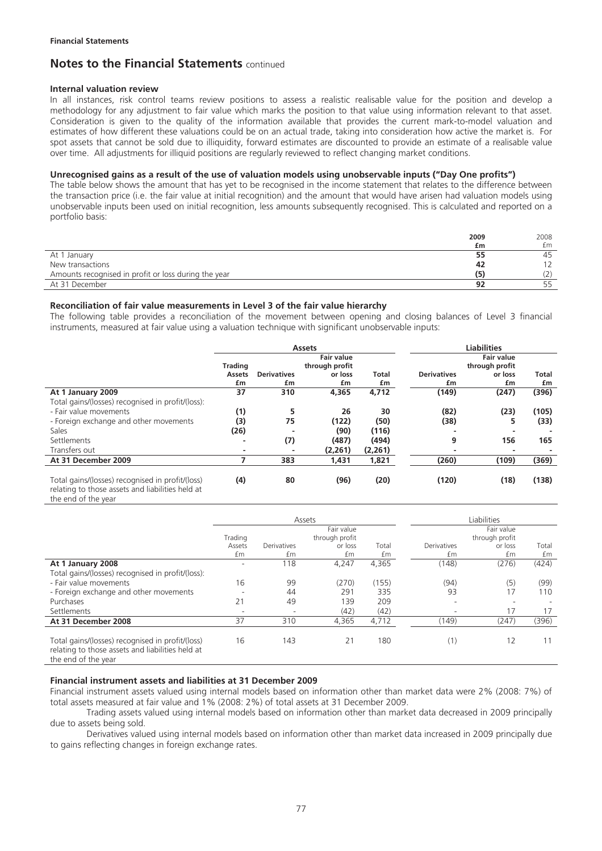#### **Internal valuation review**

In all instances, risk control teams review positions to assess a realistic realisable value for the position and develop a methodology for any adjustment to fair value which marks the position to that value using information relevant to that asset. Consideration is given to the quality of the information available that provides the current mark-to-model valuation and estimates of how different these valuations could be on an actual trade, taking into consideration how active the market is. For spot assets that cannot be sold due to illiquidity, forward estimates are discounted to provide an estimate of a realisable value over time. All adjustments for illiquid positions are regularly reviewed to reflect changing market conditions.

#### **Unrecognised gains as a result of the use of valuation models using unobservable inputs ("Day One profits")**

The table below shows the amount that has yet to be recognised in the income statement that relates to the difference between the transaction price (i.e. the fair value at initial recognition) and the amount that would have arisen had valuation models using unobservable inputs been used on initial recognition, less amounts subsequently recognised. This is calculated and reported on a portfolio basis:

|                                                      | 2009 | 2008 |
|------------------------------------------------------|------|------|
|                                                      | £m   | £m   |
| At 1 January                                         | 55   | 45   |
| New transactions                                     | 42   |      |
| Amounts recognised in profit or loss during the year | (5)  | (2)  |
| At 31 December                                       | 92   |      |

#### **Reconciliation of fair value measurements in Level 3 of the fair value hierarchy**

The following table provides a reconciliation of the movement between opening and closing balances of Level 3 financial instruments, measured at fair value using a valuation technique with significant unobservable inputs:

|                                                                                                      | <b>Assets</b>  |                          |                                     |                                     | <b>Liabilities</b>       |               |             |
|------------------------------------------------------------------------------------------------------|----------------|--------------------------|-------------------------------------|-------------------------------------|--------------------------|---------------|-------------|
|                                                                                                      | <b>Trading</b> |                          | <b>Fair value</b><br>through profit | <b>Fair value</b><br>through profit |                          |               |             |
|                                                                                                      | Assets<br>£m   | <b>Derivatives</b><br>£m | or loss<br>£m                       | <b>Total</b><br>£m                  | <b>Derivatives</b><br>£m | or loss<br>£m | Total<br>£m |
| At 1 January 2009                                                                                    | 37             | 310                      | 4,365                               | 4,712                               | (149)                    | (247)         | (396)       |
| Total gains/(losses) recognised in profit/(loss):                                                    |                |                          |                                     |                                     |                          |               |             |
| - Fair value movements                                                                               | (1)            | 5                        | 26                                  | 30                                  | (82)                     | (23)          | (105)       |
| - Foreign exchange and other movements                                                               | (3)            | 75                       | (122)                               | (50)                                | (38)                     | 5             | (33)        |
| Sales                                                                                                | (26)           |                          | (90)                                | (116)                               |                          | -             |             |
| Settlements                                                                                          |                | (7)                      | (487)                               | (494)                               | 9                        | 156           | 165         |
| Transfers out                                                                                        | ۰              |                          | (2,261)                             | (2,261)                             |                          | -             |             |
| At 31 December 2009                                                                                  |                | 383                      | 1,431                               | 1,821                               | (260)                    | (109)         | (369)       |
| Total gains/(losses) recognised in profit/(loss)<br>relating to those assets and liabilities held at | (4)            | 80                       | (96)                                | (20)                                | (120)                    | (18)          | (138)       |

the end of the year

|                                                                                                                             | Assets     |                          |                |       |                          | Liabilities              |                          |  |
|-----------------------------------------------------------------------------------------------------------------------------|------------|--------------------------|----------------|-------|--------------------------|--------------------------|--------------------------|--|
|                                                                                                                             | Fair value |                          |                |       | Fair value               |                          |                          |  |
|                                                                                                                             | Trading    |                          | through profit |       |                          | through profit           |                          |  |
|                                                                                                                             | Assets     | Derivatives              | or loss        | Total | <b>Derivatives</b>       | or loss                  | Total                    |  |
|                                                                                                                             | £m         | £m                       | £m             | £m    | £m                       | £m                       | £m                       |  |
| At 1 January 2008                                                                                                           |            | 118                      | 4,247          | 4,365 | (148)                    | (276)                    | (424)                    |  |
| Total gains/(losses) recognised in profit/(loss):                                                                           |            |                          |                |       |                          |                          |                          |  |
| - Fair value movements                                                                                                      | 16         | 99                       | (270)          | (155) | (94)                     | (5)                      | (99)                     |  |
| - Foreign exchange and other movements                                                                                      |            | 44                       | 291            | 335   | 93                       | 17                       | 110                      |  |
| Purchases                                                                                                                   | 21         | 49                       | 139            | 209   | $\overline{\phantom{a}}$ | $\overline{\phantom{a}}$ | $\overline{\phantom{a}}$ |  |
| Settlements                                                                                                                 |            | $\overline{\phantom{a}}$ | (42)           | (42)  |                          | 17                       | 17                       |  |
| At 31 December 2008                                                                                                         | 37         | 310                      | 4.365          | 4,712 | (149)                    | (247)                    | (396)                    |  |
|                                                                                                                             |            |                          |                |       |                          |                          |                          |  |
| Total gains/(losses) recognised in profit/(loss)<br>relating to those assets and liabilities held at<br>the end of the year | 16         | 143                      | 21             | 180   | (1)                      | 12                       |                          |  |

#### **Financial instrument assets and liabilities at 31 December 2009**

Financial instrument assets valued using internal models based on information other than market data were 2% (2008: 7%) of total assets measured at fair value and 1% (2008: 2%) of total assets at 31 December 2009.

Trading assets valued using internal models based on information other than market data decreased in 2009 principally due to assets being sold.

Derivatives valued using internal models based on information other than market data increased in 2009 principally due to gains reflecting changes in foreign exchange rates.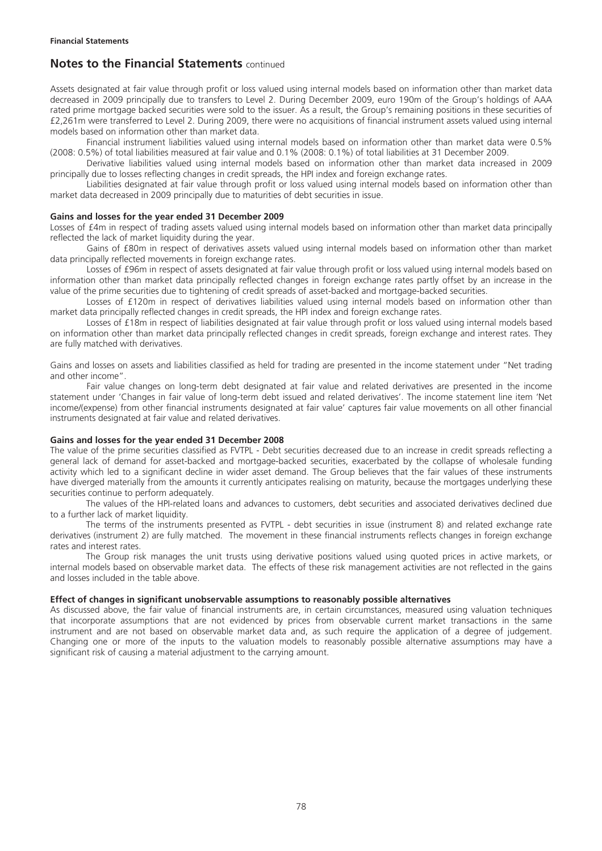Assets designated at fair value through profit or loss valued using internal models based on information other than market data decreased in 2009 principally due to transfers to Level 2. During December 2009, euro 190m of the Group's holdings of AAA rated prime mortgage backed securities were sold to the issuer. As a result, the Group's remaining positions in these securities of £2,261m were transferred to Level 2. During 2009, there were no acquisitions of financial instrument assets valued using internal models based on information other than market data.

Financial instrument liabilities valued using internal models based on information other than market data were 0.5% (2008: 0.5%) of total liabilities measured at fair value and 0.1% (2008: 0.1%) of total liabilities at 31 December 2009.

Derivative liabilities valued using internal models based on information other than market data increased in 2009 principally due to losses reflecting changes in credit spreads, the HPI index and foreign exchange rates.

Liabilities designated at fair value through profit or loss valued using internal models based on information other than market data decreased in 2009 principally due to maturities of debt securities in issue.

## **Gains and losses for the year ended 31 December 2009**

Losses of £4m in respect of trading assets valued using internal models based on information other than market data principally reflected the lack of market liquidity during the year.

Gains of £80m in respect of derivatives assets valued using internal models based on information other than market data principally reflected movements in foreign exchange rates.

Losses of £96m in respect of assets designated at fair value through profit or loss valued using internal models based on information other than market data principally reflected changes in foreign exchange rates partly offset by an increase in the value of the prime securities due to tightening of credit spreads of asset-backed and mortgage-backed securities.

Losses of £120m in respect of derivatives liabilities valued using internal models based on information other than market data principally reflected changes in credit spreads, the HPI index and foreign exchange rates.

Losses of £18m in respect of liabilities designated at fair value through profit or loss valued using internal models based on information other than market data principally reflected changes in credit spreads, foreign exchange and interest rates. They are fully matched with derivatives.

Gains and losses on assets and liabilities classified as held for trading are presented in the income statement under "Net trading and other income".

Fair value changes on long-term debt designated at fair value and related derivatives are presented in the income statement under 'Changes in fair value of long-term debt issued and related derivatives'. The income statement line item 'Net income/(expense) from other financial instruments designated at fair value' captures fair value movements on all other financial instruments designated at fair value and related derivatives.

#### **Gains and losses for the year ended 31 December 2008**

The value of the prime securities classified as FVTPL - Debt securities decreased due to an increase in credit spreads reflecting a general lack of demand for asset-backed and mortgage-backed securities, exacerbated by the collapse of wholesale funding activity which led to a significant decline in wider asset demand. The Group believes that the fair values of these instruments have diverged materially from the amounts it currently anticipates realising on maturity, because the mortgages underlying these securities continue to perform adequately.

The values of the HPI-related loans and advances to customers, debt securities and associated derivatives declined due to a further lack of market liquidity.

The terms of the instruments presented as FVTPL - debt securities in issue (instrument 8) and related exchange rate derivatives (instrument 2) are fully matched. The movement in these financial instruments reflects changes in foreign exchange rates and interest rates.

The Group risk manages the unit trusts using derivative positions valued using quoted prices in active markets, or internal models based on observable market data. The effects of these risk management activities are not reflected in the gains and losses included in the table above.

#### **Effect of changes in significant unobservable assumptions to reasonably possible alternatives**

As discussed above, the fair value of financial instruments are, in certain circumstances, measured using valuation techniques that incorporate assumptions that are not evidenced by prices from observable current market transactions in the same instrument and are not based on observable market data and, as such require the application of a degree of judgement. Changing one or more of the inputs to the valuation models to reasonably possible alternative assumptions may have a significant risk of causing a material adjustment to the carrying amount.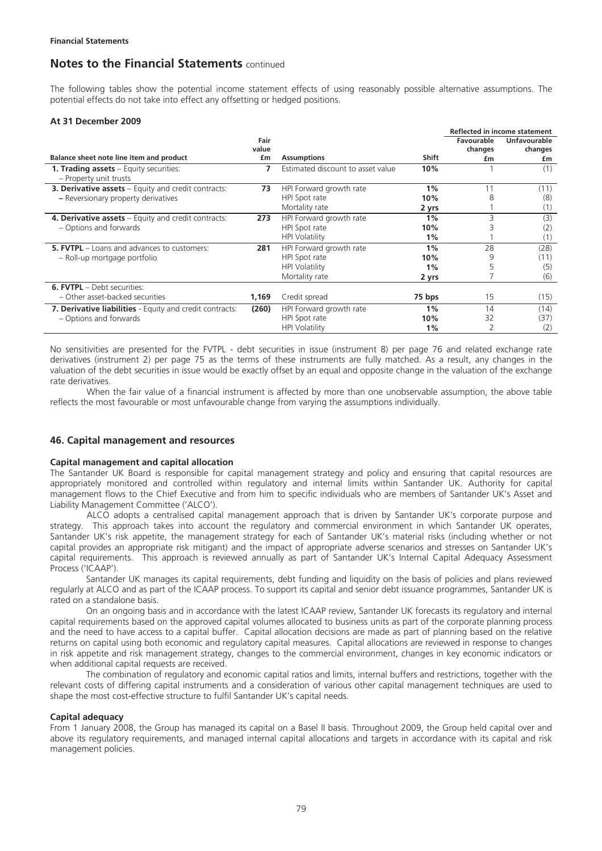The following tables show the potential income statement effects of using reasonably possible alternative assumptions. The potential effects do not take into effect any offsetting or hedged positions.

#### **At 31 December 2009**

|                                                                         |       |                                   |              | Reflected in income statement |                     |
|-------------------------------------------------------------------------|-------|-----------------------------------|--------------|-------------------------------|---------------------|
|                                                                         | Fair  |                                   |              | Favourable                    | <b>Unfavourable</b> |
|                                                                         | value |                                   |              | changes                       | changes             |
| Balance sheet note line item and product                                | £m    | <b>Assumptions</b>                | <b>Shift</b> | £m                            | £m                  |
| <b>1. Trading assets</b> – Equity securities:<br>- Property unit trusts | 7     | Estimated discount to asset value | 10%          |                               | (1)                 |
| <b>3. Derivative assets</b> - Equity and credit contracts:              | 73    | HPI Forward growth rate           | 1%           | 11                            | (11)                |
| - Reversionary property derivatives                                     |       | HPI Spot rate                     | 10%          | 8                             | (8)                 |
|                                                                         |       | Mortality rate                    | 2 yrs        |                               | (1)                 |
| 4. Derivative assets – Equity and credit contracts:                     | 273   | HPI Forward growth rate           | 1%           | 3                             | (3)                 |
| - Options and forwards                                                  |       | HPI Spot rate                     | 10%          |                               | (2)                 |
|                                                                         |       | <b>HPI Volatility</b>             | 1%           |                               | (1)                 |
| <b>5. EVTPL</b> – Loans and advances to customers:                      | 281   | HPI Forward growth rate           | 1%           | 28                            | (28)                |
| - Roll-up mortgage portfolio                                            |       | HPI Spot rate                     | 10%          | 9                             | (11)                |
|                                                                         |       | <b>HPI Volatility</b>             | 1%           |                               | (5)                 |
|                                                                         |       | Mortality rate                    | 2 yrs        |                               | (6)                 |
| <b>6. FVTPL</b> - Debt securities:                                      |       |                                   |              |                               |                     |
| - Other asset-backed securities                                         | 1,169 | Credit spread                     | 75 bps       | 15                            | (15)                |
| 7. Derivative liabilities - Equity and credit contracts:                | (260) | HPI Forward growth rate           | 1%           | 14                            | (14)                |
| - Options and forwards                                                  |       | HPI Spot rate                     | 10%          | 32                            | (37)                |
|                                                                         |       | <b>HPI Volatility</b>             | $1\%$        |                               | (2)                 |

No sensitivities are presented for the FVTPL - debt securities in issue (instrument 8) per page 76 and related exchange rate derivatives (instrument 2) per page 75 as the terms of these instruments are fully matched. As a result, any changes in the valuation of the debt securities in issue would be exactly offset by an equal and opposite change in the valuation of the exchange rate derivatives.

When the fair value of a financial instrument is affected by more than one unobservable assumption, the above table reflects the most favourable or most unfavourable change from varying the assumptions individually.

### **46. Capital management and resources**

#### **Capital management and capital allocation**

The Santander UK Board is responsible for capital management strategy and policy and ensuring that capital resources are appropriately monitored and controlled within regulatory and internal limits within Santander UK. Authority for capital management flows to the Chief Executive and from him to specific individuals who are members of Santander UK's Asset and Liability Management Committee ('ALCO').

 ALCO adopts a centralised capital management approach that is driven by Santander UK's corporate purpose and strategy. This approach takes into account the regulatory and commercial environment in which Santander UK operates, Santander UK's risk appetite, the management strategy for each of Santander UK's material risks (including whether or not capital provides an appropriate risk mitigant) and the impact of appropriate adverse scenarios and stresses on Santander UK's capital requirements. This approach is reviewed annually as part of Santander UK's Internal Capital Adequacy Assessment Process ('ICAAP').

Santander UK manages its capital requirements, debt funding and liquidity on the basis of policies and plans reviewed regularly at ALCO and as part of the ICAAP process. To support its capital and senior debt issuance programmes, Santander UK is rated on a standalone basis.

On an ongoing basis and in accordance with the latest ICAAP review, Santander UK forecasts its regulatory and internal capital requirements based on the approved capital volumes allocated to business units as part of the corporate planning process and the need to have access to a capital buffer. Capital allocation decisions are made as part of planning based on the relative returns on capital using both economic and regulatory capital measures. Capital allocations are reviewed in response to changes in risk appetite and risk management strategy, changes to the commercial environment, changes in key economic indicators or when additional capital requests are received.

The combination of regulatory and economic capital ratios and limits, internal buffers and restrictions, together with the relevant costs of differing capital instruments and a consideration of various other capital management techniques are used to shape the most cost-effective structure to fulfil Santander UK's capital needs.

### **Capital adequacy**

From 1 January 2008, the Group has managed its capital on a Basel II basis. Throughout 2009, the Group held capital over and above its regulatory requirements, and managed internal capital allocations and targets in accordance with its capital and risk management policies.